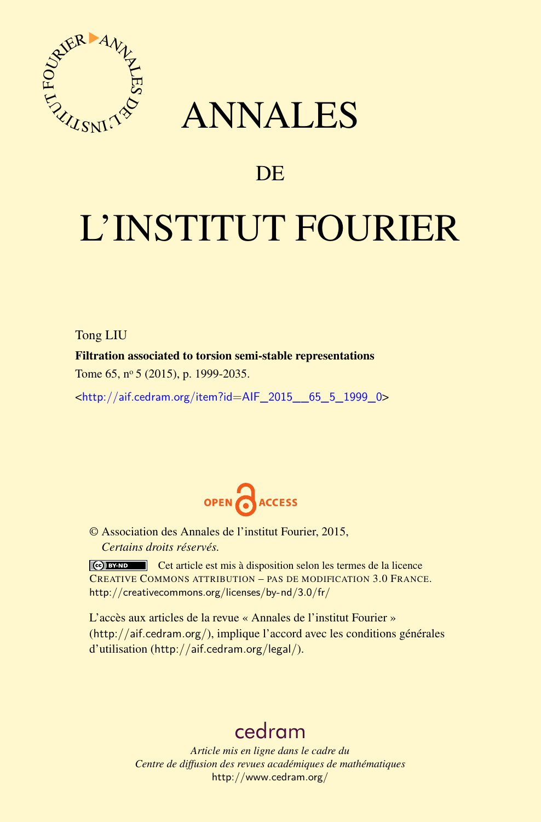

## ANNALES

### **DE**

# L'INSTITUT FOURIER

Tong LIU

Filtration associated to torsion semi-stable representations

Tome 65, nº 5 (2015), p. 1999-2035.

<[http://aif.cedram.org/item?id=AIF\\_2015\\_\\_65\\_5\\_1999\\_0](http://aif.cedram.org/item?id=AIF_2015__65_5_1999_0)>



© Association des Annales de l'institut Fourier, 2015, *Certains droits réservés.*

Cet article est mis à disposition selon les termes de la licence CREATIVE COMMONS ATTRIBUTION – PAS DE MODIFICATION 3.0 FRANCE. <http://creativecommons.org/licenses/by-nd/3.0/fr/>

L'accès aux articles de la revue « Annales de l'institut Fourier » (<http://aif.cedram.org/>), implique l'accord avec les conditions générales d'utilisation (<http://aif.cedram.org/legal/>).

## [cedram](http://www.cedram.org/)

*Article mis en ligne dans le cadre du Centre de diffusion des revues académiques de mathématiques* <http://www.cedram.org/>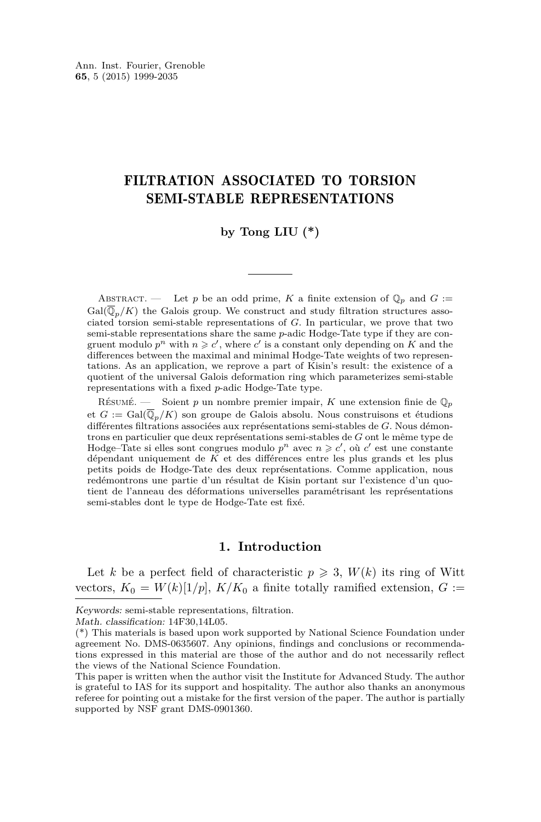#### FILTRATION ASSOCIATED TO TORSION SEMI-STABLE REPRESENTATIONS

#### by Tong LIU  $(*)$

ABSTRACT. — Let *p* be an odd prime, *K* a finite extension of  $\mathbb{Q}_p$  and  $G$  :=  $Gal(\overline{\mathbb{Q}}_n/K)$  the Galois group. We construct and study filtration structures associated torsion semi-stable representations of *G*. In particular, we prove that two semi-stable representations share the same *p*-adic Hodge-Tate type if they are congruent modulo  $p^n$  with  $n \geqslant c'$ , where  $c'$  is a constant only depending on  $K$  and the differences between the maximal and minimal Hodge-Tate weights of two representations. As an application, we reprove a part of Kisin's result: the existence of a quotient of the universal Galois deformation ring which parameterizes semi-stable representations with a fixed *p*-adic Hodge-Tate type.

Résumé. — Soient *p* un nombre premier impair, *K* une extension finie de Q*<sup>p</sup>* et  $G := \text{Gal}(\mathbb{Q}_p/K)$  son groupe de Galois absolu. Nous construisons et étudions différentes filtrations associées aux représentations semi-stables de *G*. Nous démontrons en particulier que deux représentations semi-stables de *G* ont le même type de Hodge–Tate si elles sont congrues modulo  $p^n$  avec  $n \geq c'$ , où  $c'$  est une constante dépendant uniquement de *K* et des différences entre les plus grands et les plus petits poids de Hodge-Tate des deux représentations. Comme application, nous redémontrons une partie d'un résultat de Kisin portant sur l'existence d'un quotient de l'anneau des déformations universelles paramétrisant les représentations semi-stables dont le type de Hodge-Tate est fixé.

#### **1. Introduction**

Let *k* be a perfect field of characteristic  $p \ge 3$ ,  $W(k)$  its ring of Witt vectors,  $K_0 = W(k)[1/p], K/K_0$  a finite totally ramified extension,  $G :=$ 

Keywords: semi-stable representations, filtration.

Math. classification: 14F30,14L05.

<sup>(\*)</sup> This materials is based upon work supported by National Science Foundation under agreement No. DMS-0635607. Any opinions, findings and conclusions or recommendations expressed in this material are those of the author and do not necessarily reflect the views of the National Science Foundation.

This paper is written when the author visit the Institute for Advanced Study. The author is grateful to IAS for its support and hospitality. The author also thanks an anonymous referee for pointing out a mistake for the first version of the paper. The author is partially supported by NSF grant DMS-0901360.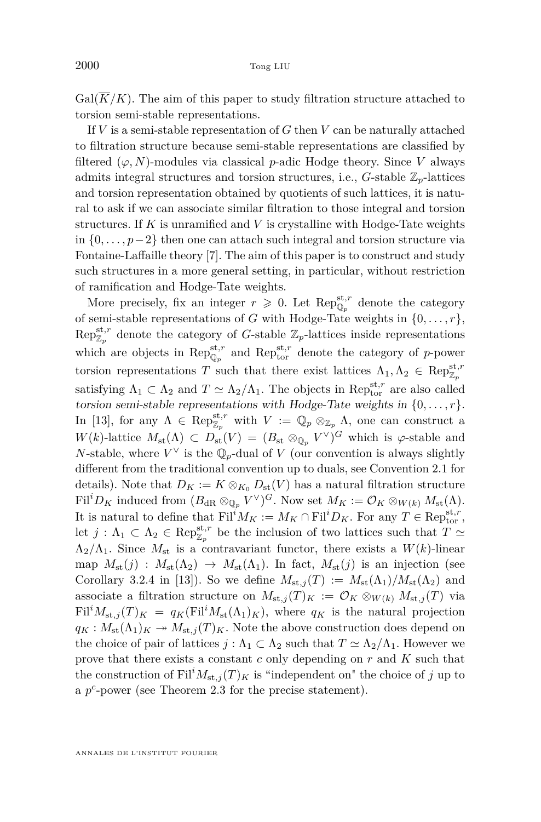$Gal(\overline{K}/K)$ . The aim of this paper to study filtration structure attached to torsion semi-stable representations.

If *V* is a semi-stable representation of *G* then *V* can be naturally attached to filtration structure because semi-stable representations are classified by filtered  $(\varphi, N)$ -modules via classical *p*-adic Hodge theory. Since *V* always admits integral structures and torsion structures, i.e.,  $G$ -stable  $\mathbb{Z}_p$ -lattices and torsion representation obtained by quotients of such lattices, it is natural to ask if we can associate similar filtration to those integral and torsion structures. If *K* is unramified and *V* is crystalline with Hodge-Tate weights in {0*, . . . , p*−2} then one can attach such integral and torsion structure via Fontaine-Laffaille theory [\[7\]](#page-37-0). The aim of this paper is to construct and study such structures in a more general setting, in particular, without restriction of ramification and Hodge-Tate weights.

More precisely, fix an integer  $r \geqslant 0$ . Let  $\operatorname{Rep}_{\mathbb{Q}_p}^{\operatorname{st},r}$  denote the category of semi-stable representations of *G* with Hodge-Tate weights in  $\{0, \ldots, r\}$ ,  $\text{Rep}_{\mathbb{Z}_p}^{\text{st},r}$  denote the category of *G*-stable  $\mathbb{Z}_p$ -lattices inside representations which are objects in  $\text{Rep}_{\mathbb{Q}_p}^{\text{st},r}$  and  $\text{Rep}_{\text{tor}}^{\text{st},r}$  denote the category of *p*-power torsion representations *T* such that there exist lattices  $\Lambda_1, \Lambda_2 \in \text{Rep}_{\mathbb{Z}_p}^{\text{st},r}$ satisfying  $\Lambda_1 \subset \Lambda_2$  and  $T \simeq \Lambda_2/\Lambda_1$ . The objects in Rep<sub>tor</sub> are also called torsion semi-stable representations with Hodge-Tate weights in  $\{0, \ldots, r\}$ . In [\[13\]](#page-37-0), for any  $\Lambda \in \operatorname{Rep}_{\mathbb{Z}_p}^{\operatorname{st},r}$  with  $V := \mathbb{Q}_p \otimes_{\mathbb{Z}_p} \Lambda$ , one can construct a  $W(k)$ -lattice  $M_{\text{st}}(\Lambda) \subset D_{\text{st}}(V) = (B_{\text{st}} \otimes_{\mathbb{Q}_p} V^{\vee})^G$  which is  $\varphi$ -stable and *N*-stable, where  $V^{\vee}$  is the  $\mathbb{Q}_p$ -dual of *V* (our convention is always slightly different from the traditional convention up to duals, see Convention [2.1](#page-4-0) for details). Note that  $D_K := K \otimes_{K_0} D_{\text{st}}(V)$  has a natural filtration structure  $\text{Fil}^iD_K$  induced from  $(B_{\text{dR}} \otimes_{\mathbb{Q}_p} V^{\vee})^G$ . Now set  $M_K := \mathcal{O}_K \otimes_{W(k)} M_{\text{st}}(\Lambda)$ . It is natural to define that  $\text{Fil}^i M_K := M_K \cap \text{Fil}^i D_K$ . For any  $T \in \text{Rep}_{\text{tor}}^{\text{st},r}$ , let  $j: \Lambda_1 \subset \Lambda_2 \in \text{Rep}_{\mathbb{Z}_p}^{\text{st},r}$  be the inclusion of two lattices such that  $T \simeq$  $\Lambda_2/\Lambda_1$ . Since  $M_{\rm st}$  is a contravariant functor, there exists a  $W(k)$ -linear map  $M_{\text{st}}(j)$ :  $M_{\text{st}}(\Lambda_2) \to M_{\text{st}}(\Lambda_1)$ . In fact,  $M_{\text{st}}(j)$  is an injection (see Corollary 3.2.4 in [\[13\]](#page-37-0)). So we define  $M_{st,j}(T) := M_{st}(\Lambda_1)/M_{st}(\Lambda_2)$  and associate a filtration structure on  $M_{st,j}(T)_K := \mathcal{O}_K \otimes_{W(k)} M_{st,j}(T)$  via  $Fil^{i}M_{st,j}(T)_{K} = q_{K}(Fil^{i}M_{st}(\Lambda_{1})_{K}),$  where  $q_{K}$  is the natural projection  $q_K: M_{st}(\Lambda_1)_K \to M_{st,j}(T)_K$ . Note the above construction does depend on the choice of pair of lattices  $j : \Lambda_1 \subset \Lambda_2$  such that  $T \simeq \Lambda_2/\Lambda_1$ . However we prove that there exists a constant *c* only depending on *r* and *K* such that the construction of  $\text{Fil}^i M_{\text{st},j}(T)_K$  is "independent on" the choice of *j* up to a  $p^c$ -power (see Theorem [2.3](#page-6-0) for the precise statement).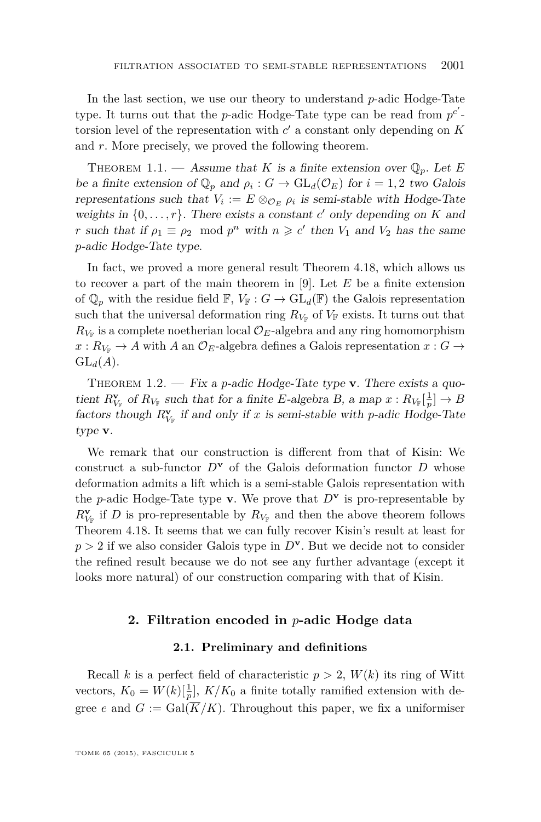<span id="page-3-0"></span>In the last section, we use our theory to understand *p*-adic Hodge-Tate type. It turns out that the *p*-adic Hodge-Tate type can be read from  $p^{c'}$ torsion level of the representation with  $c'$  a constant only depending on  $K$ and *r*. More precisely, we proved the following theorem.

THEOREM 1.1. — Assume that *K* is a finite extension over  $\mathbb{Q}_p$ . Let *E* be a finite extension of  $\mathbb{Q}_p$  and  $\rho_i$ :  $G \to \text{GL}_d(\mathcal{O}_E)$  for  $i = 1, 2$  two Galois representations such that  $V_i := E \otimes_{\mathcal{O}_E} \rho_i$  is semi-stable with Hodge-Tate weights in  $\{0, \ldots, r\}$ . There exists a constant *c'* only depending on *K* and *r* such that if  $\rho_1 \equiv \rho_2 \mod p^n$  with  $n \geq c'$  then  $V_1$  and  $V_2$  has the same *p*-adic Hodge-Tate type.

In fact, we proved a more general result Theorem [4.18,](#page-31-0) which allows us to recover a part of the main theorem in [\[9\]](#page-37-0). Let *E* be a finite extension of  $\mathbb{Q}_p$  with the residue field  $\mathbb{F}$ ,  $V_{\mathbb{F}}$  :  $G \to \text{GL}_d(\mathbb{F})$  the Galois representation such that the universal deformation ring  $R_{V_F}$  of  $V_F$  exists. It turns out that  $R_{V_{\mathbb{F}}}$  is a complete noetherian local  $\mathcal{O}_E$ -algebra and any ring homomorphism  $x: R_{V_F} \to A$  with *A* an  $\mathcal{O}_E$ -algebra defines a Galois representation  $x: G \to$  $GL_d(A)$ .

THEOREM  $1.2.$  — Fix a *p*-adic Hodge-Tate type **v**. There exists a quotient  $R_{V_{\mathbb{F}}}^{\mathbf{v}}$  of  $R_{V_{\mathbb{F}}}$  such that for a finite *E*-algebra *B*, a map  $x: R_{V_{\mathbb{F}}}[\frac{1}{p}] \to B$ factors though  $R_{V_F}^{\mathbf{v}}$  if and only if *x* is semi-stable with *p*-adic Hodge-Tate type **v**.

We remark that our construction is different from that of Kisin: We construct a sub-functor  $D^{\mathbf{v}}$  of the Galois deformation functor  $D$  whose deformation admits a lift which is a semi-stable Galois representation with the *p*-adic Hodge-Tate type **v**. We prove that  $D^{\mathbf{v}}$  is pro-representable by  $R_{V_{\mathbb{F}}}^{\mathbf{v}}$  if *D* is pro-representable by  $R_{V_{\mathbb{F}}}$  and then the above theorem follows Theorem [4.18.](#page-31-0) It seems that we can fully recover Kisin's result at least for *p >* 2 if we also consider Galois type in *D***<sup>v</sup>** . But we decide not to consider the refined result because we do not see any further advantage (except it looks more natural) of our construction comparing with that of Kisin.

#### **2. Filtration encoded in** *p***-adic Hodge data**

#### **2.1. Preliminary and definitions**

Recall *k* is a perfect field of characteristic  $p > 2$ ,  $W(k)$  its ring of Witt vectors,  $K_0 = W(k)[\frac{1}{p}]$ ,  $K/K_0$  a finite totally ramified extension with degree *e* and  $G := \text{Gal}(K/K)$ . Throughout this paper, we fix a uniformiser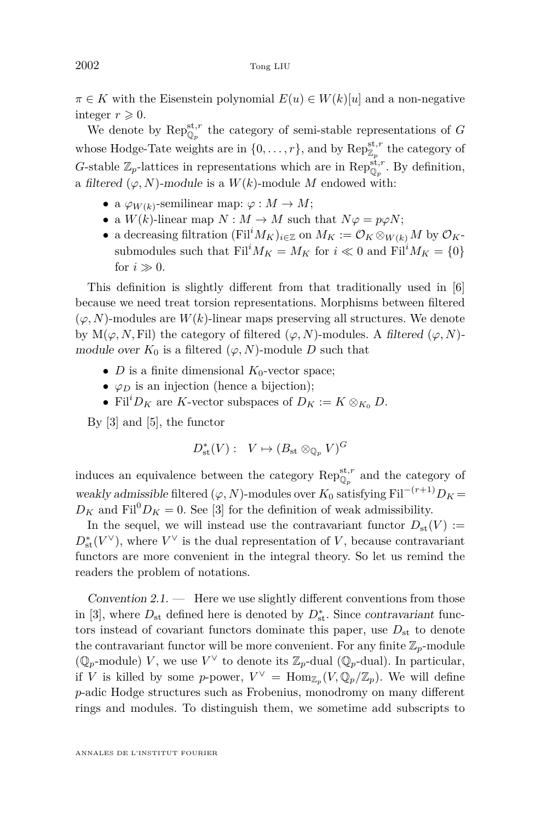<span id="page-4-0"></span> $\pi \in K$  with the Eisenstein polynomial  $E(u) \in W(k)[u]$  and a non-negative integer  $r \geqslant 0$ .

We denote by  $\operatorname{Rep}_{\mathbb{Q}_p}^{\operatorname{st},r}$  the category of semi-stable representations of *G* whose Hodge-Tate weights are in  $\{0, \ldots, r\}$ , and by  $\operatorname{Rep}_{\mathbb{Z}_p}^{\operatorname{st}, r}$  the category of *G*-stable  $\mathbb{Z}_p$ -lattices in representations which are in  $\text{Rep}_{\mathbb{Q}_p}^{\text{st},r}$ . By definition, a filtered  $(\varphi, N)$ -module is a  $W(k)$ -module M endowed with:

- a  $\varphi_{W(k)}$ -semilinear map:  $\varphi: M \to M$ ;
- a  $W(k)$ -linear map  $N : M \to M$  such that  $N\varphi = p\varphi N$ ;
- a decreasing filtration  $(Fil^iM_K)_{i\in\mathbb{Z}}$  on  $M_K := \mathcal{O}_K \otimes_{W(k)} M$  by  $\mathcal{O}_K$ submodules such that  $\text{Fil}^i M_K = M_K$  for  $i \ll 0$  and  $\text{Fil}^i M_K = \{0\}$ for  $i \gg 0$ .

This definition is slightly different from that traditionally used in [\[6\]](#page-37-0) because we need treat torsion representations. Morphisms between filtered  $(\varphi, N)$ -modules are  $W(k)$ -linear maps preserving all structures. We denote by  $M(\varphi, N, \text{Fil})$  the category of filtered  $(\varphi, N)$ -modules. A filtered  $(\varphi, N)$ module over  $K_0$  is a filtered  $(\varphi, N)$ -module *D* such that

- *D* is a finite dimensional  $K_0$ -vector space;
- $\varphi_D$  is an injection (hence a bijection);
- Fil<sup>*i*</sup> $D_K$  are *K*-vector subspaces of  $D_K := K \otimes_{K_0} D$ .

By [\[3\]](#page-36-0) and [\[5\]](#page-36-0), the functor

$$
D_{\mathrm{st}}^*(V): V \mapsto (B_{\mathrm{st}} \otimes_{\mathbb{Q}_p} V)^G
$$

induces an equivalence between the category  $\mathrm{Rep}_{\mathbb{Q}_p}^{\mathrm{st},r}$  and the category of weakly admissible filtered ( $\varphi$ , *N*)-modules over  $K_0$  satisfying Fil<sup>-(*r*+1)</sup> $D_K$  =  $D_K$  and Fil<sup>0</sup> $D_K$  = 0. See [\[3\]](#page-36-0) for the definition of weak admissibility.

In the sequel, we will instead use the contravariant functor  $D_{st}(V) :=$  $D_{\text{st}}^*(V^\vee)$ , where  $V^\vee$  is the dual representation of *V*, because contravariant functors are more convenient in the integral theory. So let us remind the readers the problem of notations.

Convention  $2.1.$  — Here we use slightly different conventions from those in [\[3\]](#page-36-0), where  $D_{\text{st}}$  defined here is denoted by  $D_{\text{st}}^*$ . Since contravariant functors instead of covariant functors dominate this paper, use  $D_{st}$  to denote the contravariant functor will be more convenient. For any finite  $\mathbb{Z}_p$ -module ( $\mathbb{Q}_p$ -module) *V*, we use  $V^\vee$  to denote its  $\mathbb{Z}_p$ -dual ( $\mathbb{Q}_p$ -dual). In particular, if *V* is killed by some *p*-power,  $V^{\vee} = \text{Hom}_{\mathbb{Z}_p}(V, \mathbb{Q}_p/\mathbb{Z}_p)$ . We will define *p*-adic Hodge structures such as Frobenius, monodromy on many different rings and modules. To distinguish them, we sometime add subscripts to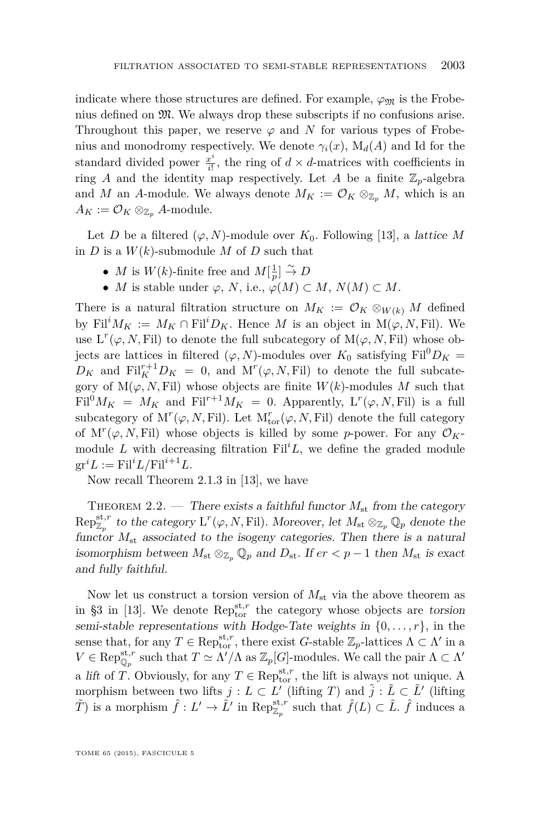<span id="page-5-0"></span>indicate where those structures are defined. For example,  $\varphi_{\mathfrak{M}}$  is the Frobenius defined on M. We always drop these subscripts if no confusions arise. Throughout this paper, we reserve  $\varphi$  and  $N$  for various types of Frobenius and monodromy respectively. We denote  $\gamma_i(x)$ ,  $M_d(A)$  and Id for the standard divided power *<sup>x</sup> i*  $\frac{x^2}{i!}$ , the ring of  $d \times d$ -matrices with coefficients in ring *A* and the identity map respectively. Let *A* be a finite  $\mathbb{Z}_p$ -algebra and *M* an *A*-module. We always denote  $M_K := \mathcal{O}_K \otimes_{\mathbb{Z}_p} M$ , which is an  $A_K := \mathcal{O}_K \otimes_{\mathbb{Z}_p} A$ -module.

Let *D* be a filtered  $(\varphi, N)$ -module over  $K_0$ . Following [\[13\]](#page-37-0), a *lattice M* in *D* is a  $W(k)$ -submodule *M* of *D* such that

- *M* is  $W(k)$ -finite free and  $M[\frac{1}{p}] \overset{\sim}{\to} D$
- *M* is stable under  $\varphi$ , *N*, i.e.,  $\varphi(M) \subset M$ ,  $N(M) \subset M$ .

There is a natural filtration structure on  $M_K := \mathcal{O}_K \otimes_{W(k)} M$  defined by Fil<sup>*i*</sup> $M_K := M_K \cap \text{Fil}^i D_K$ . Hence *M* is an object in  $M(\varphi, N, \text{Fil})$ . We use  $L^r(\varphi, N, \text{Fil})$  to denote the full subcategory of  $M(\varphi, N, \text{Fil})$  whose objects are lattices in filtered  $(\varphi, N)$ -modules over  $K_0$  satisfying Fil<sup>0</sup> $D_K$  =  $D_K$  and  $\text{Fil}_K^{r+1}D_K = 0$ , and  $\text{M}^r(\varphi, N, \text{Fil})$  to denote the full subcategory of  $M(\varphi, N, Fil)$  whose objects are finite  $W(k)$ -modules M such that  $\text{Fil}^0 M_K = M_K$  and  $\text{Fil}^{r+1} M_K = 0$ . Apparently,  $\text{L}^r(\varphi, N, \text{Fil})$  is a full subcategory of  $M^r(\varphi, N, \mathrm{Fil})$ . Let  $M^r_{\mathrm{tor}}(\varphi, N, \mathrm{Fil})$  denote the full category of  $M^r(\varphi, N, \text{Fil})$  whose objects is killed by some *p*-power. For any  $\mathcal{O}_K$ module *L* with decreasing filtration  $\text{Fil}^i L$ , we define the graded module  $gr^iL := Fil^iL/Fil^{i+1}L$ .

Now recall Theorem 2.1.3 in [\[13\]](#page-37-0), we have

THEOREM 2.2. — There exists a faithful functor  $M_{\rm st}$  from the category  $Rep_{\mathbb{Z}_p}^{\text{st},r}$  to the category  $L^r(\varphi, N, \text{Fil})$ . Moreover, let  $M_{\text{st}} \otimes_{\mathbb{Z}_p} \mathbb{Q}_p$  denote the functor  $M_{st}$  associated to the isogeny categories. Then there is a natural isomorphism between  $M_{st} \otimes_{\mathbb{Z}_p} \mathbb{Q}_p$  and  $D_{st}$ . If  $er < p-1$  then  $M_{st}$  is exact and fully faithful.

Now let us construct a torsion version of *M*st via the above theorem as in §3 in [\[13\]](#page-37-0). We denote  $Rep_{\text{tor}}^{\text{st},r}$  the category whose objects are torsion semi-stable representations with Hodge-Tate weights in  $\{0, \ldots, r\}$ , in the sense that, for any  $T \in \text{Rep}_{\text{tor}}^{\text{st},r}$ , there exist *G*-stable  $\mathbb{Z}_p$ -lattices  $\Lambda \subset \Lambda'$  in a  $V \in \operatorname{Rep}_{\mathbb{Q}_p}^{\text{st},r}$  such that  $T \simeq \Lambda'/\Lambda$  as  $\mathbb{Z}_p[G]$ -modules. We call the pair  $\Lambda \subset \Lambda'$ a lift of *T*. Obviously, for any  $T \in \operatorname{Rep}_{\mathrm{tor}}^{\operatorname{st},r}$ , the lift is always not unique. A morphism between two lifts  $j: L \subset L'$  (lifting *T*) and  $\tilde{j}: \tilde{L} \subset \tilde{L}'$  (lifting  $\tilde{T}$ ) is a morphism  $\hat{f}: L' \to \tilde{L}'$  in  $\text{Rep}_{\mathbb{Z}_p}^{\text{st},r}$  such that  $\hat{f}(L) \subset \tilde{L}$ .  $\hat{f}$  induces a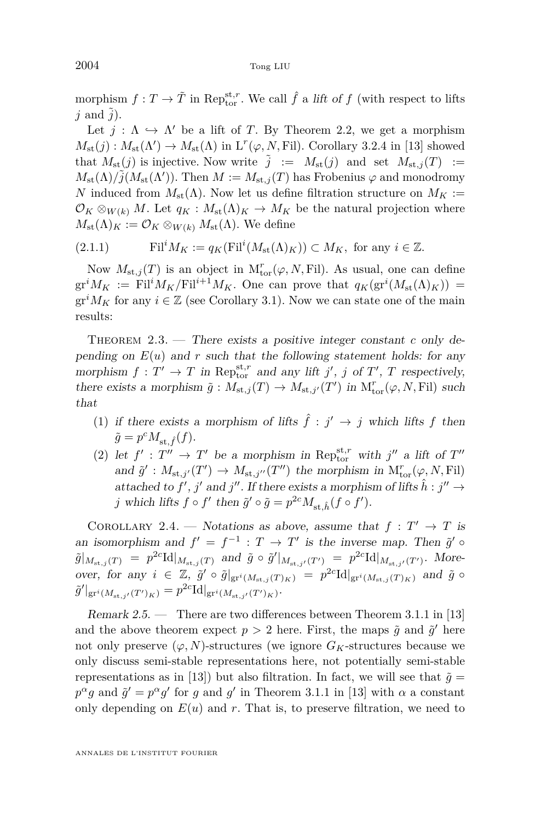<span id="page-6-0"></span>morphism  $f: T \to \tilde{T}$  in Repst<sub>r</sub>. We call  $\hat{f}$  a lift of  $f$  (with respect to lifts  $j$  and  $\tilde{j}$ ).

Let  $j : \Lambda \hookrightarrow \Lambda'$  be a lift of *T*. By Theorem [2.2,](#page-5-0) we get a morphism  $M_{\text{st}}(j): M_{\text{st}}(\Lambda') \to M_{\text{st}}(\Lambda)$  in  $L^r(\varphi, N, \text{Fil})$ . Corollary 3.2.4 in [\[13\]](#page-37-0) showed that  $M_{st}(j)$  is injective. Now write  $\tilde{j} := M_{st}(j)$  and set  $M_{st,j}(T) :=$  $M_{\text{st}}(\Lambda)/\tilde{j}(M_{\text{st}}(\Lambda'))$ . Then  $M := M_{\text{st},j}(T)$  has Frobenius  $\varphi$  and monodromy *N* induced from  $M_{st}(\Lambda)$ . Now let us define filtration structure on  $M_K$  :=  $\mathcal{O}_K \otimes_{W(k)} M$ . Let  $q_K : M_{st}(\Lambda)_K \to M_K$  be the natural projection where  $M_{\text{st}}(\Lambda)_K := \mathcal{O}_K \otimes_{W(k)} M_{\text{st}}(\Lambda)$ . We define

(2.1.1) 
$$
\mathrm{Fil}^i M_K := q_K(\mathrm{Fil}^i(M_{\mathrm{st}}(\Lambda)_K)) \subset M_K, \text{ for any } i \in \mathbb{Z}.
$$

Now  $M_{\text{st},j}(T)$  is an object in  $M^r_{\text{tor}}(\varphi, N, \text{Fil})$ . As usual, one can define  $gr^i M_K := Fil^i M_K/Fil^{i+1} M_K$ . One can prove that  $q_K(gr^i(M_{st}(\Lambda)_K)) =$  $gr<sup>i</sup>M<sub>K</sub>$  for any  $i \in \mathbb{Z}$  (see Corollary [3.1\)](#page-18-0). Now we can state one of the main results:

THEOREM 2.3. — There exists a positive integer constant *c* only depending on  $E(u)$  and r such that the following statement holds: for any morphism  $f: T' \to T$  in Rep<sub>tor</sub> and any lift *j'*, *j* of *T'*, *T* respectively, there exists a morphism  $\tilde{g}: M_{st,j}(T) \to M_{st,j'}(T')$  in  $M^r_{tor}(\varphi, N, \text{Fil})$  such that

- (1) if there exists a morphism of lifts  $\hat{f}$  :  $j' \rightarrow j$  which lifts f then  $\tilde{g} = p^c M_{\text{st},\hat{f}}(f).$
- (2) let  $f' : T'' \to T'$  be a morphism in Repst<sub>raphie</sub> with  $j''$  a lift of  $T''$ and  $\tilde{g}' : M_{st,j'}(T') \to M_{st,j''}(T'')$  the morphism in  $M_{tor}^r(\varphi, N, Fil)$ attached to  $f'$ ,  $j'$  and  $j''$ . If there exists a morphism of lifts  $\hat{h}: j'' \to j''$ *j* which lifts  $f \circ f'$  then  $\tilde{g}' \circ \tilde{g} = p^{2c} M_{st, \hat{h}}(f \circ f')$ .

COROLLARY 2.4. — Notations as above, assume that  $f: T' \to T$  is an isomorphism and  $f' = f^{-1} : T \to T'$  is the inverse map. Then  $\tilde{g}' \circ$  $\tilde{g}|_{M_{\text{st},j}(T)} = p^{2c} \text{Id}|_{M_{\text{st},j}(T)}$  and  $\tilde{g} \circ \tilde{g}'|_{M_{\text{st},j'}(T')} = p^{2c} \text{Id}|_{M_{\text{st},j'}(T')}$ . More- $\text{over, for any } i \in \mathbb{Z}, \tilde{g}' \circ \tilde{g}|_{\text{gr}^i(M_{\text{st},j}(T)_K)} = p^{2c} \text{Id}|_{\text{gr}^i(M_{\text{st},j}(T)_K)}$  and  $\tilde{g} \circ \tilde{g}$  $\tilde{g}'|_{\text{gr}^{i}(M_{\text{st},j'}(T')_{K})} = p^{2c} \text{Id}|_{\text{gr}^{i}(M_{\text{st},j'}(T')_{K})}.$ 

Remark 2.5. — There are two differences between Theorem 3.1.1 in [\[13\]](#page-37-0) and the above theorem expect  $p > 2$  here. First, the maps  $\tilde{g}$  and  $\tilde{g}'$  here not only preserve  $(\varphi, N)$ -structures (we ignore  $G_K$ -structures because we only discuss semi-stable representations here, not potentially semi-stable representations as in [\[13\]](#page-37-0)) but also filtration. In fact, we will see that  $\tilde{g} =$  $p^{\alpha}g$  and  $\tilde{g}' = p^{\alpha}g'$  for *g* and *g*' in Theorem 3.1.1 in [\[13\]](#page-37-0) with *α* a constant only depending on  $E(u)$  and r. That is, to preserve filtration, we need to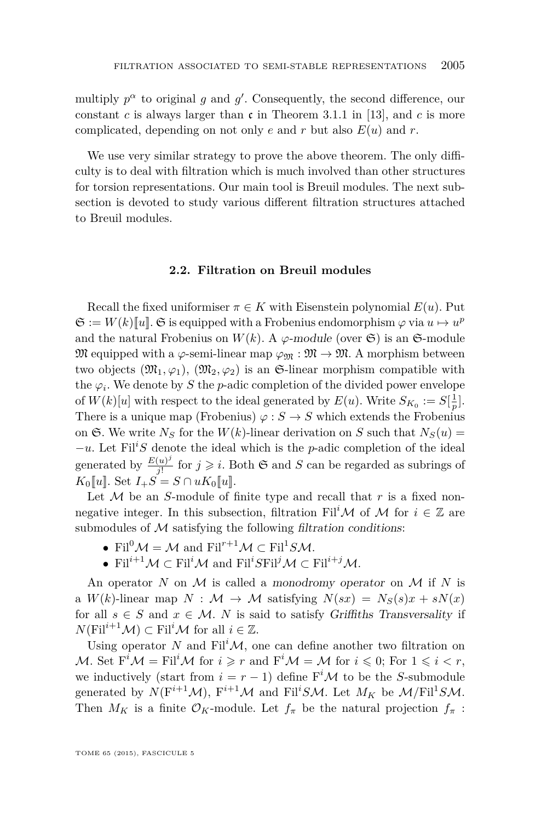multiply  $p^{\alpha}$  to original g and g'. Consequently, the second difference, our constant  $c$  is always larger than  $\mathfrak c$  in Theorem 3.1.1 in [\[13\]](#page-37-0), and  $c$  is more complicated, depending on not only  $e$  and  $r$  but also  $E(u)$  and  $r$ .

We use very similar strategy to prove the above theorem. The only difficulty is to deal with filtration which is much involved than other structures for torsion representations. Our main tool is Breuil modules. The next subsection is devoted to study various different filtration structures attached to Breuil modules.

#### **2.2. Filtration on Breuil modules**

Recall the fixed uniformiser  $\pi \in K$  with Eisenstein polynomial  $E(u)$ . Put  $\mathfrak{S} := W(k)[\![u]\!]$ .  $\mathfrak{S}$  is equipped with a Frobenius endomorphism  $\varphi$  via  $u \mapsto u^p$ and the natural Frobenius on  $W(k)$ . A  $\varphi$ -module (over  $\mathfrak{S}$ ) is an  $\mathfrak{S}$ -module  $\mathfrak{M}$  equipped with a  $\varphi$ -semi-linear map  $\varphi_{\mathfrak{M}} : \mathfrak{M} \to \mathfrak{M}$ . A morphism between two objects  $(\mathfrak{M}_1, \varphi_1), (\mathfrak{M}_2, \varphi_2)$  is an G-linear morphism compatible with the  $\varphi_i$ . We denote by *S* the *p*-adic completion of the divided power envelope of  $W(k)[u]$  with respect to the ideal generated by  $E(u)$ . Write  $S_{K_0} := S[\frac{1}{p}]$ . There is a unique map (Frobenius)  $\varphi : S \to S$  which extends the Frobenius on  $\mathfrak{S}$ . We write  $N_S$  for the  $W(k)$ -linear derivation on *S* such that  $N_S(u)$  = −*u*. Let Fil*<sup>i</sup>S* denote the ideal which is the *p*-adic completion of the ideal generated by  $\frac{E(u)^j}{i!}$  $\frac{(u)^j}{j!}$  for  $j \geq i$ . Both G and *S* can be regarded as subrings of  $K_0[[u]]$ . Set  $I_+S = S \cap uK_0[[u]]$ .

Let  $M$  be an *S*-module of finite type and recall that  $r$  is a fixed nonnegative integer. In this subsection, filtration Fil<sup>*i*</sup>M of M for  $i \in \mathbb{Z}$  are submodules of  $M$  satisfying the following filtration conditions:

- Fil<sup>0</sup> $M = M$  and Fil<sup>r+1</sup> $M \subset$  Fil<sup>1</sup>SM.
- Fil<sup>*i*+1</sup> $\mathcal{M} \subset$ Fil<sup>*i*</sup> $\mathcal{M}$  and Fil<sup>*i*</sup>*S*Fil<sup>*j*</sup> $\mathcal{M} \subset$ Fil<sup>*i*+*j*</sup> $\mathcal{M}$ .

An operator *N* on M is called a monodromy operator on M if *N* is a  $W(k)$ -linear map  $N : \mathcal{M} \to \mathcal{M}$  satisfying  $N(sx) = N_S(s)x + sN(x)$ for all  $s \in S$  and  $x \in M$ . *N* is said to satisfy Griffiths Transversality if  $N(\text{Fil}^{i+1}\mathcal{M}) \subset \text{Fil}^i\mathcal{M}$  for all  $i \in \mathbb{Z}$ .

Using operator N and  $\text{Fil}^i\mathcal{M}$ , one can define another two filtration on M. Set  $F^i \mathcal{M} = \text{Fil}^i \mathcal{M}$  for  $i \geq r$  and  $F^i \mathcal{M} = \mathcal{M}$  for  $i \leq 0$ ; For  $1 \leq i \leq r$ , we inductively (start from  $i = r - 1$ ) define  $F^i \mathcal{M}$  to be the *S*-submodule generated by  $N(F^{i+1}M)$ ,  $F^{i+1}M$  and  $Fil^{i}S\mathcal{M}$ . Let  $M_K$  be  $\mathcal{M}/Fil^{1}S\mathcal{M}$ . Then  $M_K$  is a finite  $\mathcal{O}_K$ -module. Let  $f_\pi$  be the natural projection  $f_\pi$ :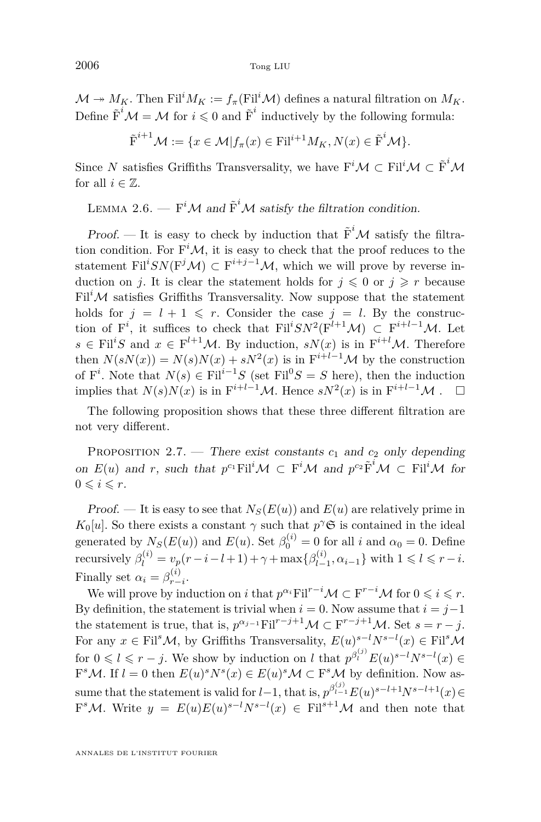<span id="page-8-0"></span> $\mathcal{M} \twoheadrightarrow M_K$ . Then Fil<sup>*i*</sup> $M_K := f_\pi(\text{Fil}^i \mathcal{M})$  defines a natural filtration on  $M_K$ . Define  $\tilde{F}^i \mathcal{M} = \mathcal{M}$  for  $i \leq 0$  and  $\tilde{F}^i$  inductively by the following formula:

$$
\tilde{\mathrm{F}}^{i+1}\mathcal{M} := \{x \in \mathcal{M} | f_{\pi}(x) \in \mathrm{Fil}^{i+1}M_K, N(x) \in \tilde{\mathrm{F}}^i\mathcal{M}\}.
$$

Since *N* satisfies Griffiths Transversality, we have  $F^i\mathcal{M} \subset F^{i}\mathcal{M} \subset \tilde{F}^i\mathcal{M}$ for all  $i \in \mathbb{Z}$ .

LEMMA 2.6. —  $F^iM$  and  $\tilde{F}^iM$  satisfy the filtration condition.

Proof. — It is easy to check by induction that  $\tilde{F}^i$  M satisfy the filtration condition. For  $F^iM$ , it is easy to check that the proof reduces to the statement Fil<sup>*i*</sup> $SN(F^{j}\mathcal{M}) \subset F^{i+j-1}\mathcal{M}$ , which we will prove by reverse induction on *j*. It is clear the statement holds for  $j \leq 0$  or  $j \geq r$  because  $\text{Fil}^i\mathcal{M}$  satisfies Griffiths Transversality. Now suppose that the statement holds for  $j = l + 1 \leq r$ . Consider the case  $j = l$ . By the construction of F<sup>*i*</sup>, it suffices to check that Fil<sup>*i*</sup>SN<sup>2</sup>(F<sup>*l*+1</sup>M) ⊂ F<sup>*i*+*l*-1</sup>M. Let  $s \in \text{Fil}^iS$  and  $x \in \text{F}^{l+1}\mathcal{M}$ . By induction,  $sN(x)$  is in  $\text{F}^{i+l}\mathcal{M}$ . Therefore then  $N(sN(x)) = N(s)N(x) + sN^2(x)$  is in  $F^{i+l-1}M$  by the construction of  $F^i$ . Note that  $N(s) \in \text{Fil}^{i-1}S$  (set  $\text{Fil}^0S = S$  here), then the induction implies that  $N(s)N(x)$  is in  $F^{i+l-1}M$ . Hence  $sN^2(x)$  is in  $F^{i+l-1}M$ .  $\square$ 

The following proposition shows that these three different filtration are not very different.

PROPOSITION 2.7. — There exist constants  $c_1$  and  $c_2$  only depending on  $E(u)$  and *r*, such that  $p^{c_1}$ Fil<sup>*i*</sup>M ⊂ F<sup>*i*</sup>M and  $p^{c_2}$  $\tilde{F}$ <sup>*i*</sup>M ⊂ Fil<sup>*i*</sup>M for  $0 \leqslant i \leqslant r$ .

Proof. — It is easy to see that  $N_S(E(u))$  and  $E(u)$  are relatively prime in  $K_0[u]$ . So there exists a constant  $\gamma$  such that  $p^{\gamma}$ **S** is contained in the ideal generated by  $N_S(E(u))$  and  $E(u)$ . Set  $\beta_0^{(i)} = 0$  for all *i* and  $\alpha_0 = 0$ . Define recursively  $\beta_l^{(i)} = v_p(r - i - l + 1) + \gamma + \max{\{\beta_{l-}^{(i)}\}}$  $\{a_{l-1}^{(i)}, \alpha_{i-1}\}$  with  $1 \leq l \leq r - i$ . Finally set  $\alpha_i = \beta_{r-i}^{(i)}$ .

We will prove by induction on *i* that  $p^{\alpha_i}$ Fil<sup> $r-i$ </sup>M  $\subset$  F<sup> $r-i$ </sup>M for  $0 \leq i \leq r$ . By definition, the statement is trivial when  $i = 0$ . Now assume that  $i = j-1$ the statement is true, that is,  $p^{\alpha_{j-1}}$ Fil<sup>r-j+1</sup>M ⊂ F<sup>r-j+1</sup>M. Set  $s = r - j$ . For any  $x \in \text{Fil}^s \mathcal{M}$ , by Griffiths Transversality,  $E(u)^{s-l} N^{s-l}(x) \in \text{Fil}^s \mathcal{M}$ for  $0 \leq l \leq r - j$ . We show by induction on *l* that  $p^{\beta_i^{(j)}} E(u)^{s-l} N^{s-l}(x) \in$  $F^sM$ . If  $l = 0$  then  $E(u)^sN^s(x) \in E(u)^sM \subset F^sM$  by definition. Now assume that the statement is valid for  $l-1$ , that is,  $p^{\beta_{l-1}^{(j)}} E(u)^{s-l+1} N^{s-l+1}(x) \in$  $F<sup>s</sup>M$ . Write  $y = E(u)E(u)<sup>s-l</sup>N<sup>s-l</sup>(x) \in \text{Fil}^{s+l}M$  and then note that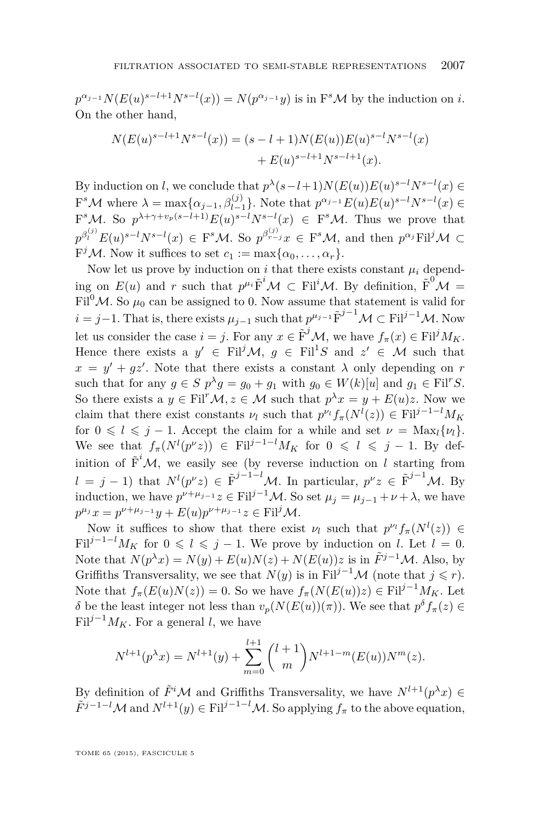$p^{\alpha_{j-1}}N(E(u)^{s-l+1}N^{s-l}(x)) = N(p^{\alpha_{j-1}}y)$  is in F<sup>*s*</sup>M by the induction on *i*. On the other hand,

$$
N(E(u)^{s-l+1}N^{s-l}(x)) = (s-l+1)N(E(u))E(u)^{s-l}N^{s-l}(x) + E(u)^{s-l+1}N^{s-l+1}(x).
$$

By induction on *l*, we conclude that  $p^{\lambda}(s-l+1)N(E(u))E(u)^{s-l}N^{s-l}(x) \in$  $F^s \mathcal{M}$  where  $\lambda = \max\{\alpha_{j-1}, \beta_{l-1}^{(j)}\}$ . Note that  $p^{\alpha_{j-1}} E(u) E(u)^{s-l} N^{s-l}(x) \in$ *l*−1  $F^sM$ . So  $p^{\lambda+\gamma+v_p(s-l+1)}E(u)^{s-l}N^{s-l}(x) \in F^sM$ . Thus we prove that  $p^{\beta_l^{(j)}} E(u)^{s-l} N^{s-l}(x) \in F^s \mathcal{M}$ . So  $p^{\beta_{r-j}^{(j)}} x \in F^s \mathcal{M}$ , and then  $p^{\alpha_j} Fil^j \mathcal{M} \subset$  $F^jM$ . Now it suffices to set  $c_1 := \max\{\alpha_0, \ldots, \alpha_r\}.$ 

Now let us prove by induction on *i* that there exists constant  $\mu_i$  depending on  $E(u)$  and *r* such that  $p^{\mu_i} \tilde{F}^i \mathcal{M} \subset Fil^i \mathcal{M}$ . By definition,  $\tilde{F}^0 \mathcal{M} =$ Fil<sup>0</sup> $\mathcal{M}$ . So  $\mu_0$  can be assigned to 0. Now assume that statement is valid for *i* = *j*−1. That is, there exists  $\mu_{j-1}$  such that  $p^{\mu_{j-1}} \tilde{F}^{j-1} \mathcal{M} \subset Fil^{j-1} \mathcal{M}$ . Now let us consider the case  $i = j$ . For any  $x \in \tilde{F}^{j} \mathcal{M}$ , we have  $f_{\pi}(x) \in \text{Fil}^{j} M_K$ . Hence there exists a  $y' \in \text{Fil}^j \mathcal{M}, g \in \text{Fil}^1S$  and  $z' \in \mathcal{M}$  such that  $x = y' + gz'$ . Note that there exists a constant  $\lambda$  only depending on *r* such that for any  $g \in S$   $p^{\lambda}g = g_0 + g_1$  with  $g_0 \in W(k)[u]$  and  $g_1 \in \text{Fil}^rS$ . So there exists a  $y \in \text{Fil}^r \mathcal{M}, z \in \mathcal{M}$  such that  $p^{\lambda} x = y + E(u)z$ . Now we claim that there exist constants  $\nu_l$  such that  $p^{\nu_l} f_\pi(N^l(z)) \in \text{Fil}^{j-1-l} M_K$ for  $0 \leq l \leq j-1$ . Accept the claim for a while and set  $\nu = \text{Max}_{l} \{ \nu_l \}.$ We see that  $f_\pi(N^l(p^{\nu}z)) \in \text{Fil}^{j-1-l}M_K$  for  $0 \leq l \leq j-1$ . By definition of  $\tilde{F}^i$ *M*, we easily see (by reverse induction on *l* starting from  $l = j - 1$ ) that  $N^l(p^{\nu}z) \in \tilde{F}^{j-1-l}M$ . In particular,  $p^{\nu}z \in \tilde{F}^{j-1}M$ . By induction, we have  $p^{\nu+\mu_{j-1}}z \in \text{Fil}^{j-1}\mathcal{M}$ . So set  $\mu_j = \mu_{j-1} + \nu + \lambda$ , we have  $p^{\mu_j}x = p^{\nu+\mu_{j-1}}y + E(u)p^{\nu+\mu_{j-1}}z \in \text{Fil}^j\mathcal{M}.$ 

Now it suffices to show that there exist  $\nu_l$  such that  $p^{\nu_l} f_\pi(N^l(z)) \in$ Fil<sup>j-1-*l*</sup> $M_K$  for  $0 \le l \le j-1$ . We prove by induction on *l*. Let  $l = 0$ . Note that  $N(p^{\lambda}x) = N(y) + E(u)N(z) + N(E(u))z$  is in  $\tilde{F}^{j-1}M$ . Also, by Griffiths Transversality, we see that  $N(y)$  is in Fil<sup>j-1</sup>M (note that  $j \leq r$ ). Note that  $f_\pi(E(u)N(z)) = 0$ . So we have  $f_\pi(N(E(u))z) \in \text{Fil}^{j-1}M_K$ . Let *δ* be the least integer not less than  $v_p(N(E(u))(\pi))$ . We see that  $p^δ f_π(z) ∈$ Fil<sup> $j-1$ </sup> $M_K$ . For a general *l*, we have

$$
N^{l+1}(p^{\lambda}x) = N^{l+1}(y) + \sum_{m=0}^{l+1} {l+1 \choose m} N^{l+1-m}(E(u))N^{m}(z).
$$

By definition of  $\tilde{F}^i\mathcal{M}$  and Griffiths Transversality, we have  $N^{l+1}(p^{\lambda}x) \in$  $\tilde{F}^{j-1-l}\mathcal{M}$  and  $N^{l+1}(y) \in \text{Fil}^{j-1-l}\mathcal{M}$ . So applying  $f_{\pi}$  to the above equation,

TOME 65 (2015), FASCICULE 5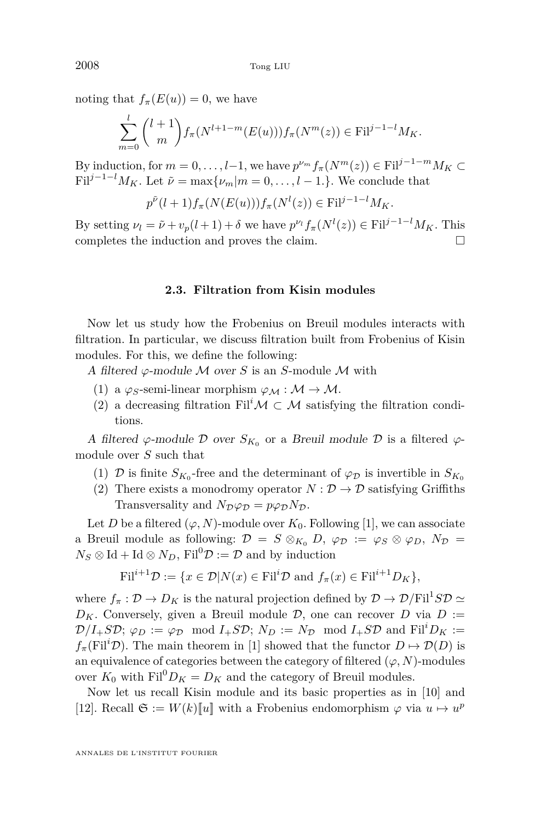noting that  $f_\pi(E(u)) = 0$ , we have

$$
\sum_{m=0}^{l} {l+1 \choose m} f_{\pi}(N^{l+1-m}(E(u))) f_{\pi}(N^{m}(z)) \in \textnormal{Fil}^{j-1-l} M_K.
$$

By induction, for  $m = 0, \ldots, l-1$ , we have  $p^{\nu_m} f_\pi(N^m(z)) \in \text{Fil}^{j-1-m} M_K \subset$ Fil<sup> $j-1-l$ </sup> $M_K$ . Let  $\tilde{\nu} = \max{\{\nu_m|m = 0,\ldots,l-1\}}$ . We conclude that

$$
p^{\tilde{\nu}}(l+1)f_{\pi}(N(E(u)))f_{\pi}(N^l(z)) \in \text{Fil}^{j-1-l}M_K.
$$

By setting  $\nu_l = \tilde{\nu} + v_p(l+1) + \delta$  we have  $p^{\nu_l} f_\pi(N^l(z)) \in \text{Fil}^{j-1-l} M_K$ . This completes the induction and proves the claim.  $\Box$ 

#### **2.3. Filtration from Kisin modules**

Now let us study how the Frobenius on Breuil modules interacts with filtration. In particular, we discuss filtration built from Frobenius of Kisin modules. For this, we define the following:

A filtered  $\varphi$ -module M over *S* is an *S*-module M with

- (1) a  $\varphi_S$ -semi-linear morphism  $\varphi_M : \mathcal{M} \to \mathcal{M}$ .
- (2) a decreasing filtration Fil<sup>*i*</sup> $\mathcal{M} \subset \mathcal{M}$  satisfying the filtration conditions.

A filtered  $\varphi$ -module  $\mathcal D$  over  $S_{K_0}$  or a Breuil module  $\mathcal D$  is a filtered  $\varphi$ module over *S* such that

- (1)  $\mathcal{D}$  is finite  $S_{K_0}$ -free and the determinant of  $\varphi_{\mathcal{D}}$  is invertible in  $S_{K_0}$
- (2) There exists a monodromy operator  $N : \mathcal{D} \to \mathcal{D}$  satisfying Griffiths Transversality and  $N_{\mathcal{D}}\varphi_{\mathcal{D}} = p\varphi_{\mathcal{D}}N_{\mathcal{D}}$ .

Let *D* be a filtered  $(\varphi, N)$ -module over  $K_0$ . Following [\[1\]](#page-36-0), we can associate a Breuil module as following:  $\mathcal{D} = S \otimes_{K_0} D$ ,  $\varphi_{\mathcal{D}} := \varphi_S \otimes \varphi_D$ ,  $N_{\mathcal{D}} =$  $N_S \otimes \text{Id} + \text{Id} \otimes N_D$ , Fil<sup>0</sup> $\mathcal{D} := \mathcal{D}$  and by induction

$$
\mathrm{Fil}^{i+1}\mathcal{D} := \{x \in \mathcal{D}| N(x) \in \mathrm{Fil}^i\mathcal{D} \text{ and } f_\pi(x) \in \mathrm{Fil}^{i+1}D_K\},\
$$

where  $f_{\pi}: \mathcal{D} \to D_K$  is the natural projection defined by  $\mathcal{D} \to \mathcal{D}/\mathrm{Fil}^1 S \mathcal{D} \simeq$  $D_K$ . Conversely, given a Breuil module  $D$ , one can recover *D* via  $D :=$  $\mathcal{D}/I_+S\mathcal{D}; \varphi_D := \varphi_{\mathcal{D}} \mod I_+S\mathcal{D}; N_D := N_{\mathcal{D}} \mod I_+S\mathcal{D} \text{ and } \text{Fil}^iD_K :=$  $f_\pi(\text{Fil}^i\mathcal{D})$ . The main theorem in [\[1\]](#page-36-0) showed that the functor  $D \mapsto \mathcal{D}(D)$  is an equivalence of categories between the category of filtered  $(\varphi, N)$ -modules over  $K_0$  with  $\text{Fil}^0 D_K = D_K$  and the category of Breuil modules.

Now let us recall Kisin module and its basic properties as in [\[10\]](#page-37-0) and [\[12\]](#page-37-0). Recall  $\mathfrak{S} := W(k)[\![u]\!]$  with a Frobenius endomorphism  $\varphi$  via  $u \mapsto u^p$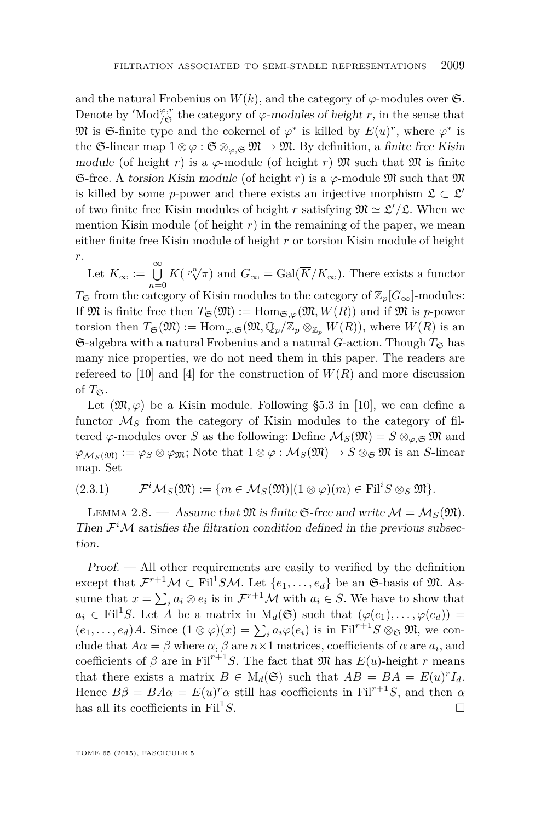<span id="page-11-0"></span>and the natural Frobenius on  $W(k)$ , and the category of  $\varphi$ -modules over  $\mathfrak{S}$ . Denote by 'Mod<sup> $\varphi$ </sup>,<sup>*r*</sup> the category of  $\varphi$ -modules of height *r*, in the sense that  $\mathfrak{M}$  is  $\mathfrak{S}\text{-finite type}$  and the cokernel of  $\varphi^*$  is killed by  $E(u)^r$ , where  $\varphi^*$  is the G-linear map  $1 \otimes \varphi : \mathfrak{S} \otimes_{\varphi, \mathfrak{S}} \mathfrak{M} \to \mathfrak{M}$ . By definition, a finite free Kisin module (of height *r*) is a  $\varphi$ -module (of height *r*) M such that M is finite G-free. A torsion Kisin module (of height *r*) is a  $\varphi$ -module  $\mathfrak{M}$  such that  $\mathfrak{M}$ is killed by some *p*-power and there exists an injective morphism  $\mathfrak{L} \subset \mathfrak{L}'$ of two finite free Kisin modules of height *r* satisfying  $\mathfrak{M} \simeq \mathfrak{L}'/\mathfrak{L}$ . When we mention Kisin module (of height  $r$ ) in the remaining of the paper, we mean either finite free Kisin module of height *r* or torsion Kisin module of height *r*.

Let  $K_{\infty} := \bigcup_{n=0}^{\infty} K(\sqrt[p^n]{\pi})$  and  $G_{\infty} = \text{Gal}(\overline{K}/K_{\infty})$ . There exists a functor

 $T_{\mathfrak{S}}$  from the category of Kisin modules to the category of  $\mathbb{Z}_p[G_{\infty}]$ -modules: If M is finite free then  $T_{\mathfrak{S}}(\mathfrak{M}):= \text{Hom}_{\mathfrak{S},\varphi}(\mathfrak{M},W(R))$  and if M is *p*-power torsion then  $T_{\mathfrak{S}}(\mathfrak{M}) := \text{Hom}_{\varphi,\mathfrak{S}}(\mathfrak{M}, \mathbb{Q}_p/\mathbb{Z}_p \otimes_{\mathbb{Z}_p} W(R))$ , where  $W(R)$  is an  $\mathfrak{S}\text{-algebra with a natural Frobenius and a natural }G\text{-action. Though }T_{\mathfrak{S}}$  has many nice properties, we do not need them in this paper. The readers are refereed to [\[10\]](#page-37-0) and [\[4\]](#page-36-0) for the construction of  $W(R)$  and more discussion of  $T_{\mathfrak{S}}$ .

Let  $(\mathfrak{M}, \varphi)$  be a Kisin module. Following §5.3 in [\[10\]](#page-37-0), we can define a functor  $\mathcal{M}_S$  from the category of Kisin modules to the category of filtered  $\varphi$ -modules over *S* as the following: Define  $\mathcal{M}_S(\mathfrak{M}) = S \otimes_{\varphi, \mathfrak{S}} \mathfrak{M}$  and  $\varphi_{\mathcal{M}_S(\mathfrak{M})} := \varphi_S \otimes \varphi_{\mathfrak{M}}$ ; Note that  $1 \otimes \varphi : \mathcal{M}_S(\mathfrak{M}) \to S \otimes_{\mathfrak{S}} \mathfrak{M}$  is an *S*-linear map. Set

(2.3.1) 
$$
\mathcal{F}^i\mathcal{M}_S(\mathfrak{M}):=\{m\in\mathcal{M}_S(\mathfrak{M})|(1\otimes\varphi)(m)\in \mathrm{Fil}^iS\otimes_S\mathfrak{M}\}.
$$

LEMMA 2.8. — Assume that  $\mathfrak{M}$  is finite G-free and write  $\mathcal{M} = \mathcal{M}_S(\mathfrak{M})$ . Then  $\mathcal{F}^i\mathcal{M}$  satisfies the filtration condition defined in the previous subsection.

Proof. — All other requirements are easily to verified by the definition except that  $\mathcal{F}^{r+1}\mathcal{M} \subset \text{Fil}^1S\mathcal{M}$ . Let  $\{e_1, \ldots, e_d\}$  be an G-basis of  $\mathfrak{M}$ . Assume that  $x = \sum_i a_i \otimes e_i$  is in  $\mathcal{F}^{r+1}M$  with  $a_i \in S$ . We have to show that  $a_i \in \text{Fil}^1S$ . Let *A* be a matrix in  $\text{M}_d(\mathfrak{S})$  such that  $(\varphi(e_1), \ldots, \varphi(e_d)) =$  $(e_1, \ldots, e_d)A$ . Since  $(1 \otimes \varphi)(x) = \sum_i a_i \varphi(e_i)$  is in  $\text{Fil}^{r+1}S \otimes_{\mathfrak{S}} \mathfrak{M}$ , we conclude that  $A\alpha = \beta$  where  $\alpha$ ,  $\beta$  are  $n \times 1$  matrices, coefficients of  $\alpha$  are  $a_i$ , and coefficients of  $\beta$  are in Fil<sup> $r+1$ </sup>*S*. The fact that  $\mathfrak{M}$  has  $E(u)$ -height *r* means that there exists a matrix  $B \in M_d(\mathfrak{S})$  such that  $AB = BA = E(u)^r I_d$ . Hence  $B\beta = BA\alpha = E(u)^r \alpha$  still has coefficients in Fil<sup>r+1</sup>*S*, and then  $\alpha$ has all its coefficients in Fil<sup>1</sup>S.  $\square$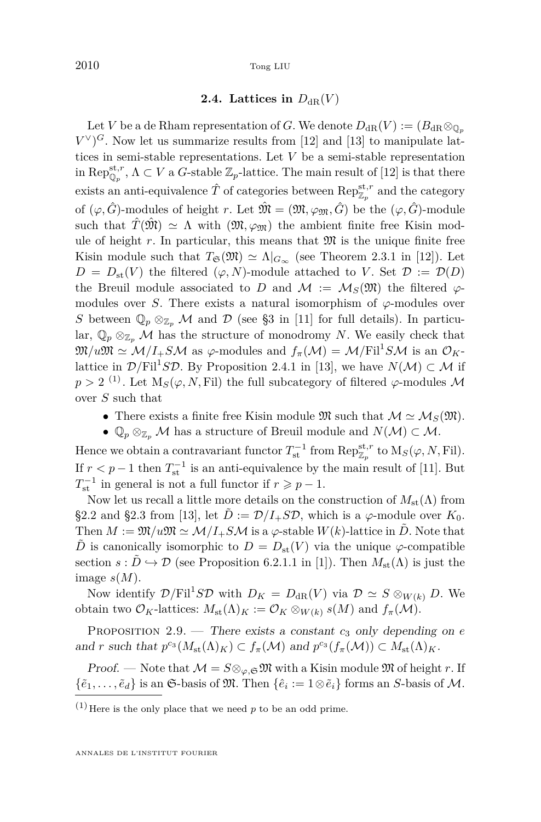#### **2.4.** Lattices in  $D_{\text{dR}}(V)$

<span id="page-12-0"></span>Let *V* be a de Rham representation of *G*. We denote  $D_{\text{dR}}(V) := (B_{\text{dR}} \otimes_{\mathbb{Q}_p} V)$  $V^{\vee}$ <sup>G</sup>. Now let us summarize results from [\[12\]](#page-37-0) and [\[13\]](#page-37-0) to manipulate lattices in semi-stable representations. Let *V* be a semi-stable representation in  $\text{Rep}_{\mathbb{Q}_p}^{\text{st},r}$ ,  $\Lambda \subset V$  a *G*-stable  $\mathbb{Z}_p$ -lattice. The main result of [\[12\]](#page-37-0) is that there exists an anti-equivalence  $\hat{T}$  of categories between  $\operatorname{Rep}^{{\rm st},r}_{\mathbb{Z}_p}$  and the category of  $(\varphi, \hat{G})$ -modules of height *r*. Let  $\hat{\mathfrak{M}} = (\mathfrak{M}, \varphi_{\mathfrak{M}}, \hat{G})$  be the  $(\varphi, \hat{G})$ -module such that  $\hat{T}(\hat{\mathfrak{M}}) \simeq \Lambda$  with  $(\mathfrak{M}, \varphi_{\hat{\mathfrak{M}}})$  the ambient finite free Kisin module of height  $r$ . In particular, this means that  $\mathfrak{M}$  is the unique finite free Kisin module such that  $T_{\mathfrak{S}}(\mathfrak{M}) \simeq \Lambda |_{G_{\infty}}$  (see Theorem 2.3.1 in [\[12\]](#page-37-0)). Let  $D = D_{\text{st}}(V)$  the filtered  $(\varphi, N)$ -module attached to *V*. Set  $\mathcal{D} := \mathcal{D}(D)$ the Breuil module associated to *D* and  $\mathcal{M} := \mathcal{M}_S(\mathfrak{M})$  the filtered  $\varphi$ modules over *S*. There exists a natural isomorphism of  $\varphi$ -modules over *S* between  $\mathbb{Q}_p \otimes_{\mathbb{Z}_p} M$  and  $\mathcal{D}$  (see §3 in [\[11\]](#page-37-0) for full details). In particular,  $\mathbb{Q}_p \otimes_{\mathbb{Z}_p} M$  has the structure of monodromy *N*. We easily check that  $\mathfrak{M}/u\mathfrak{M} \simeq \mathcal{M}/I_+SM$  as  $\varphi$ -modules and  $f_\pi(\mathcal{M}) = \mathcal{M}/\mathrm{Fil}^1SM$  is an  $\mathcal{O}_K$ lattice in  $\mathcal{D}/\mathrm{Fil}^1S\mathcal{D}$ . By Proposition 2.4.1 in [\[13\]](#page-37-0), we have  $N(\mathcal{M}) \subset \mathcal{M}$  if  $p > 2$ <sup>(1)</sup>. Let  $M_S(\varphi, N, \text{Fil})$  the full subcategory of filtered  $\varphi$ -modules M over *S* such that

- There exists a finite free Kisin module  $\mathfrak{M}$  such that  $\mathcal{M} \simeq \mathcal{M}_S(\mathfrak{M})$ .
- $\mathbb{Q}_p \otimes_{\mathbb{Z}_p} M$  has a structure of Breuil module and  $N(\mathcal{M}) \subset \mathcal{M}$ .

Hence we obtain a contravariant functor  $T_{\rm st}^{-1}$  from  ${\rm Rep}_{\mathbb{Z}_p}^{\rm st,r}$  to  ${\rm M}_S(\varphi,N,\mathrm{Fil})$ . If  $r < p-1$  then  $T_{\text{st}}^{-1}$  is an anti-equivalence by the main result of [\[11\]](#page-37-0). But  $T_{\text{st}}^{-1}$  in general is not a full functor if  $r \geqslant p-1$ .

Now let us recall a little more details on the construction of  $M_{\text{st}}(\Lambda)$  from §2.2 and §2.3 from [\[13\]](#page-37-0), let  $\tilde{D} := \mathcal{D}/I_+S\mathcal{D}$ , which is a  $\varphi$ -module over  $K_0$ . Then  $M := \mathfrak{M}/u\mathfrak{M} \simeq \mathcal{M}/I_+SM$  is a  $\varphi$ -stable  $W(k)$ -lattice in D. Note that  $\ddot{D}$  is canonically isomorphic to  $D = D_{\text{st}}(V)$  via the unique  $\varphi$ -compatible section  $s : \tilde{D} \hookrightarrow \mathcal{D}$  (see Proposition 6.2.1.1 in [\[1\]](#page-36-0)). Then  $M_{\text{st}}(\Lambda)$  is just the image *s*(*M*).

Now identify  $\mathcal{D}/\mathrm{Fil}^1S\mathcal{D}$  with  $D_K = D_{\mathrm{dR}}(V)$  via  $\mathcal{D} \simeq S \otimes_{W(k)} D$ . We obtain two  $\mathcal{O}_K$ -lattices:  $M_{\text{st}}(\Lambda)_K := \mathcal{O}_K \otimes_{W(k)} s(M)$  and  $f_{\pi}(\mathcal{M})$ .

PROPOSITION  $2.9.$  — There exists a constant  $c_3$  only depending on  $e$ and *r* such that  $p^{c_3}(M_{\text{st}}(\Lambda)_K) \subset f_{\pi}(\mathcal{M})$  and  $p^{c_3}(f_{\pi}(\mathcal{M})) \subset M_{\text{st}}(\Lambda)_K$ .

*Proof.* — Note that  $M = S \otimes_{\varphi, \mathfrak{S}} \mathfrak{M}$  with a Kisin module  $\mathfrak{M}$  of height *r*. If  $\{\tilde{e}_1,\ldots,\tilde{e}_d\}$  is an G-basis of M. Then  $\{\hat{e}_i:=1\otimes \tilde{e}_i\}$  forms an *S*-basis of M.

 $(1)$  Here is the only place that we need  $p$  to be an odd prime.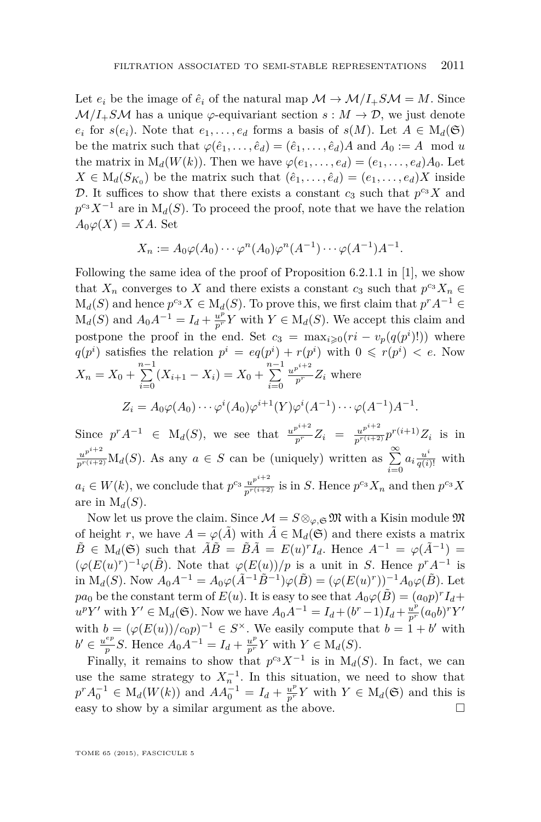Let  $e_i$  be the image of  $\hat{e}_i$  of the natural map  $\mathcal{M} \to \mathcal{M}/I_+SM = M$ . Since  $M/I_+SM$  has a unique  $\varphi$ -equivariant section  $s: M \to \mathcal{D}$ , we just denote  $e_i$  for  $s(e_i)$ . Note that  $e_1, \ldots, e_d$  forms a basis of  $s(M)$ . Let  $A \in M_d(\mathfrak{S})$ be the matrix such that  $\varphi(\hat{e}_1, \ldots, \hat{e}_d) = (\hat{e}_1, \ldots, \hat{e}_d)A$  and  $A_0 := A \mod u$ the matrix in  $M_d(W(k))$ . Then we have  $\varphi(e_1, \ldots, e_d) = (e_1, \ldots, e_d)A_0$ . Let  $X \in M_d(S_{K_0})$  be the matrix such that  $(\hat{e}_1, \ldots, \hat{e}_d) = (e_1, \ldots, e_d)X$  inside D. It suffices to show that there exists a constant  $c_3$  such that  $p^{c_3}X$  and  $p^{c_3}X^{-1}$  are in  $M_d(S)$ . To proceed the proof, note that we have the relation  $A_0\varphi(X) = XA$ . Set

$$
X_n := A_0 \varphi(A_0) \cdots \varphi^n(A_0) \varphi^n(A^{-1}) \cdots \varphi(A^{-1}) A^{-1}.
$$

Following the same idea of the proof of Proposition 6.2.1.1 in [\[1\]](#page-36-0), we show that  $X_n$  converges to  $X$  and there exists a constant  $c_3$  such that  $p^{c_3}X_n \in$  $M_d(S)$  and hence  $p^{c_3}X \in M_d(S)$ . To prove this, we first claim that  $p^r A^{-1} \in$  $M_d(S)$  and  $A_0A^{-1} = I_d + \frac{u^p}{p^r} Y$  with  $Y \in M_d(S)$ . We accept this claim and postpone the proof in the end. Set  $c_3 = \max_{i \geq 0} (ri - v_p(q(p^i))$  where  $q(p^i)$  satisfies the relation  $p^i = eq(p^i) + r(p^i)$  with  $0 \leq r(p^i) < e$ . Now  $X_n = X_0 + \sum_{n=1}^{n-1}$  $\sum_{i=0}^{n-1} (X_{i+1} - X_i) = X_0 + \sum_{i=0}^{n-1}$ *i*=0  $\frac{u^{p^{i+2}}}{p^r}Z_i$  where  $Z_i = A_0 \varphi(A_0) \cdots \varphi^i(A_0) \varphi^{i+1}(Y) \varphi^i(A^{-1}) \cdots \varphi(A^{-1}) A^{-1}.$ 

Since  $p^r A^{-1} \in M_d(S)$ , we see that  $\frac{u^{p^{i+2}}}{p^r} Z_i = \frac{u^{p^{i+2}}}{p^{r(i+2)}} p^{r(i+1)} Z_i$  is in  $u^{p^{i+2}}$  *u*<sup>*i*</sup><sup>*t*</sup> *i*</sub> *A<sub><i>i*</sub></sub>(*S*). As any *a* ∈ *S* can be (uniquely) written as  $\sum_{i=0}^{\infty} a_i \frac{u^i}{q(i)!}$  with  $a_i \in W(k)$ , we conclude that  $p^{c_3} \frac{u^{p^{i+2}}}{p^{r(i+2)}}$  is in S. Hence  $p^{c_3} X_n$  and then  $p^{c_3} X$ are in  $M_d(S)$ .

Now let us prove the claim. Since  $\mathcal{M} = S \otimes_{\varphi, \mathfrak{S}} \mathfrak{M}$  with a Kisin module  $\mathfrak{M}$ of height *r*, we have  $A = \varphi(\tilde{A})$  with  $\tilde{A} \in M_d(\mathfrak{S})$  and there exists a matrix  $\tilde{B} \in M_d(\mathfrak{S})$  such that  $\tilde{A}\tilde{B} = \tilde{B}\tilde{A} = E(u)^rI_d$ . Hence  $A^{-1} = \varphi(\tilde{A}^{-1}) =$  $(\varphi(E(u)^r)^{-1}\varphi(\tilde{B})$ . Note that  $\varphi(E(u))/p$  is a unit in *S*. Hence  $p^rA^{-1}$  is in M<sub>*d*</sub>(*S*). Now  $A_0A^{-1} = A_0\varphi(\tilde{A}^{-1}\tilde{B}^{-1})\varphi(\tilde{B}) = (\varphi(E(u)^r))^{-1}A_0\varphi(\tilde{B})$ . Let *pa*<sup>0</sup> be the constant term of  $E(u)$ . It is easy to see that  $A_0\varphi(\tilde{B}) = (a_0p)^rI_d +$  $u^p Y'$  with  $Y' \in M_d(\mathfrak{S})$ . Now we have  $A_0 A^{-1} = I_d + (b^r - 1)I_d + \frac{u^p}{p^r} (a_0 b)^r Y'$ with  $b = (\varphi(E(u))/c_0p)^{-1} \in S^{\times}$ . We easily compute that  $b = 1 + b'$  with  $b' \in \frac{u^{ep}}{n}$ *p*<sub>*p*</sub><sup>*p*</sup></sup>*S*. Hence  $A_0A^{-1} = I_d + \frac{u^p}{p^r}Y$  with  $Y \in M_d(S)$ .

Finally, it remains to show that  $p^{c_3}X^{-1}$  is in  $M_d(S)$ . In fact, we can use the same strategy to  $X_n^{-1}$ . In this situation, we need to show that  $p^{r} A_0^{-1} \in M_d(W(k))$  and  $A A_0^{-1} = I_d + \frac{u^p}{p^r} Y$  with  $Y \in M_d(\mathfrak{S})$  and this is easy to show by a similar argument as the above.  $\Box$ 

TOME 65 (2015), FASCICULE 5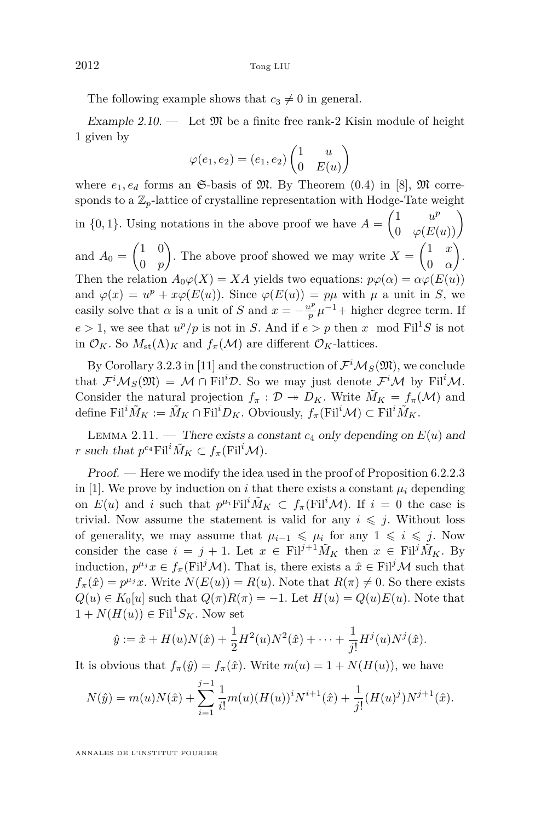<span id="page-14-0"></span>The following example shows that  $c_3 \neq 0$  in general.

Example 2.10. — Let  $\mathfrak{M}$  be a finite free rank-2 Kisin module of height 1 given by

$$
\varphi(e_1, e_2) = (e_1, e_2) \begin{pmatrix} 1 & u \\ 0 & E(u) \end{pmatrix}
$$

where  $e_1, e_d$  forms an  $\mathfrak{S}$ -basis of  $\mathfrak{M}$ . By Theorem (0.4) in [\[8\]](#page-37-0),  $\mathfrak{M}$  corresponds to a  $\mathbb{Z}_p$ -lattice of crystalline representation with Hodge-Tate weight in {0,1}. Using notations in the above proof we have  $A = \begin{pmatrix} 1 & u^p \\ 0 & \varphi(E(u)) \end{pmatrix}$ and  $A_0 = \begin{pmatrix} 1 & 0 \\ 0 & n \end{pmatrix}$ 0 *p* ). The above proof showed we may write  $X = \begin{pmatrix} 1 & x \\ 0 & x \end{pmatrix}$ 0 *α* . Then the relation  $A_0\varphi(X) = XA$  yields two equations:  $p\varphi(\alpha) = \alpha\varphi(E(u))$ and  $\varphi(x) = u^p + x\varphi(E(u))$ . Since  $\varphi(E(u)) = p\mu$  with  $\mu$  a unit in *S*, we easily solve that  $\alpha$  is a unit of *S* and  $x = -\frac{u^p}{p}$  $\frac{\mu^p}{p} \mu^{-1}$ + higher degree term. If  $e > 1$ , we see that  $u^p/p$  is not in *S*. And if  $e > p$  then *x* mod Fil<sup>1</sup>*S* is not in  $\mathcal{O}_K$ . So  $M_{\text{st}}(\Lambda)_K$  and  $f_{\pi}(\mathcal{M})$  are different  $\mathcal{O}_K$ -lattices.

By Corollary 3.2.3 in [\[11\]](#page-37-0) and the construction of  $\mathcal{F}^i\mathcal{M}_S(\mathfrak{M})$ , we conclude that  $\mathcal{F}^i\mathcal{M}_S(\mathfrak{M}) = \mathcal{M} \cap \mathrm{Fil}^i\mathcal{D}$ . So we may just denote  $\mathcal{F}^i\mathcal{M}$  by  $\mathrm{Fil}^i\mathcal{M}$ . Consider the natural projection  $f_\pi : \mathcal{D} \to D_K$ . Write  $\tilde{M}_K = f_\pi(\mathcal{M})$  and define  $\text{Fil}^i \tilde{M}_K := \tilde{M}_K \cap \text{Fil}^i D_K$ . Obviously,  $f_\pi(\text{Fil}^i \mathcal{M}) \subset \text{Fil}^i \tilde{M}_K$ .

LEMMA 2.11. — There exists a constant  $c_4$  only depending on  $E(u)$  and *r* such that  $p^{c_4}$ Fil<sup>*i*</sup> $\tilde{M}_K \subset f_\pi$ (Fil<sup>*i*</sup> $\mathcal{M}$ ).

Proof. — Here we modify the idea used in the proof of Proposition 6.2.2.3 in [\[1\]](#page-36-0). We prove by induction on *i* that there exists a constant  $\mu_i$  depending on  $E(u)$  and *i* such that  $p^{\mu_i}$ Fil<sup>*i*</sup> $\tilde{M}_K \subset f_\pi$ (Fil<sup>*i*</sup> $\mathcal{M}$ ). If  $i = 0$  the case is trivial. Now assume the statement is valid for any  $i \leq j$ . Without loss of generality, we may assume that  $\mu_{i-1} \leq \mu_i$  for any  $1 \leq i \leq j$ . Now consider the case  $i = j + 1$ . Let  $x \in \text{Fil}^{j+1} \tilde{M}_K$  then  $x \in \text{Fil}^j \tilde{M}_K$ . By induction,  $p^{\mu_j}x \in f_\pi(\text{Fil}^j\mathcal{M})$ . That is, there exists a  $\hat{x} \in \text{Fil}^j\mathcal{M}$  such that  $f_{\pi}(\hat{x}) = p^{\mu_j} x$ . Write  $N(E(u)) = R(u)$ . Note that  $R(\pi) \neq 0$ . So there exists  $Q(u) \in K_0[u]$  such that  $Q(\pi)R(\pi) = -1$ . Let  $H(u) = Q(u)E(u)$ . Note that  $1 + N(H(u)) \in \text{Fil}^1S_K$ . Now set

$$
\hat{y} := \hat{x} + H(u)N(\hat{x}) + \frac{1}{2}H^2(u)N^2(\hat{x}) + \dots + \frac{1}{j!}H^j(u)N^j(\hat{x}).
$$

It is obvious that  $f_\pi(\hat{y}) = f_\pi(\hat{x})$ . Write  $m(u) = 1 + N(H(u))$ , we have

$$
N(\hat{y}) = m(u)N(\hat{x}) + \sum_{i=1}^{j-1} \frac{1}{i!} m(u) (H(u))^i N^{i+1}(\hat{x}) + \frac{1}{j!} (H(u)^j) N^{j+1}(\hat{x}).
$$

ANNALES DE L'INSTITUT FOURIER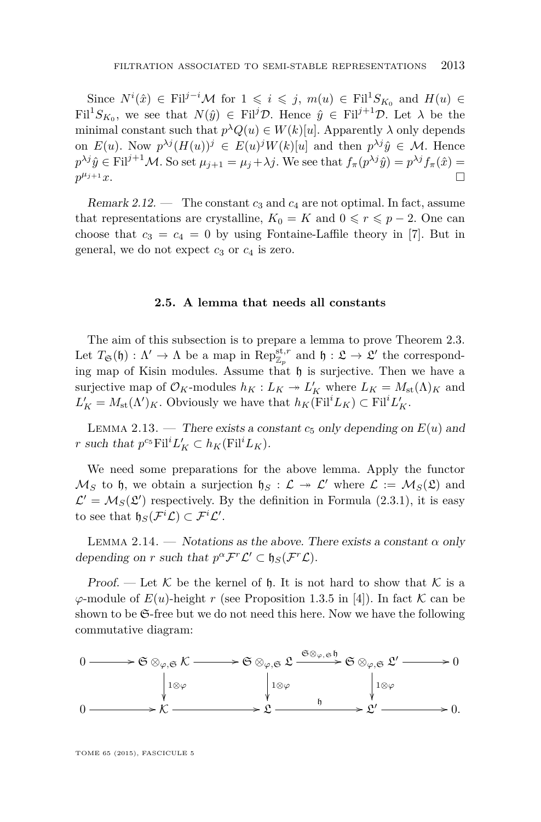<span id="page-15-0"></span>Since  $N^i(\hat{x}) \in \text{Fil}^{j-i}$  *M* for  $1 \leqslant i \leqslant j$ ,  $m(u) \in \text{Fil}^1S_{K_0}$  and  $H(u) \in$  $\text{Fil}^1S_{K_0}$ , we see that  $N(\hat{y}) \in \text{Fil}^j\mathcal{D}$ . Hence  $\hat{y} \in \text{Fil}^{j+1}\mathcal{D}$ . Let  $\lambda$  be the minimal constant such that  $p^{\lambda}Q(u) \in W(k)[u]$ . Apparently  $\lambda$  only depends on  $E(u)$ . Now  $p^{\lambda j}(H(u))^j \in E(u)^jW(k)[u]$  and then  $p^{\lambda j}\hat{y} \in \mathcal{M}$ . Hence  $p^{\lambda j}$  $\hat{y} \in \text{Fil}^{j+1}$ *M*. So set  $\mu_{j+1} = \mu_j + \lambda j$ . We see that  $f_\pi(p^{\lambda j} \hat{y}) = p^{\lambda j} f_\pi(\hat{x}) =$  $p^{\mu_{j+1}}x.$  $\mu_{j+1} x$ .

Remark 2.12. — The constant  $c_3$  and  $c_4$  are not optimal. In fact, assume that representations are crystalline,  $K_0 = K$  and  $0 \le r \le p - 2$ . One can choose that  $c_3 = c_4 = 0$  by using Fontaine-Laffile theory in [\[7\]](#page-37-0). But in general, we do not expect  $c_3$  or  $c_4$  is zero.

#### **2.5. A lemma that needs all constants**

The aim of this subsection is to prepare a lemma to prove Theorem [2.3.](#page-6-0) Let  $T_{\mathfrak{S}}(\mathfrak{h}) : \Lambda' \to \Lambda$  be a map in  $\operatorname{Rep}_{\mathbb{Z}_p}^{\operatorname{st},r}$  and  $\mathfrak{h} : \mathfrak{L} \to \mathfrak{L}'$  the corresponding map of Kisin modules. Assume that  $\mathfrak h$  is surjective. Then we have a surjective map of  $\mathcal{O}_K$ -modules  $h_K: L_K \twoheadrightarrow L_K'$  where  $L_K = M_{\text{st}}(\Lambda)_K$  and  $L'_{K} = M_{\text{st}}(\Lambda')_{K}$ . Obviously we have that  $h_{K}(\text{Fil}^{i}L_{K}) \subset \text{Fil}^{i}L'_{K}$ .

LEMMA 2.13. — There exists a constant  $c_5$  only depending on  $E(u)$  and *r* such that  $p^{c_5}$  Fil<sup>*i*</sup>*L***<sub>K</sub>**</sub>  $\subset$   $h_K$ (Fil<sup>*i*</sup>*L<sub>K</sub>***).** 

We need some preparations for the above lemma. Apply the functor  $\mathcal{M}_S$  to h, we obtain a surjection  $\mathfrak{h}_S : \mathcal{L} \to \mathcal{L}'$  where  $\mathcal{L} := \mathcal{M}_S(\mathfrak{L})$  and  $\mathcal{L}' = \mathcal{M}_S(\mathfrak{L}')$  respectively. By the definition in Formula [\(2.3.1\)](#page-11-0), it is easy to see that  $\mathfrak{h}_S(\mathcal{F}^i\mathcal{L}) \subset \mathcal{F}^i\mathcal{L}'$ .

LEMMA 2.14. — Notations as the above. There exists a constant  $\alpha$  only depending on *r* such that  $p^{\alpha} \mathcal{F}^r \mathcal{L}' \subset \mathfrak{h}_S(\mathcal{F}^r \mathcal{L})$ .

Proof. — Let K be the kernel of h. It is not hard to show that K is a  $\varphi$ -module of  $E(u)$ -height *r* (see Proposition 1.3.5 in [\[4\]](#page-36-0)). In fact K can be shown to be S-free but we do not need this here. Now we have the following commutative diagram:

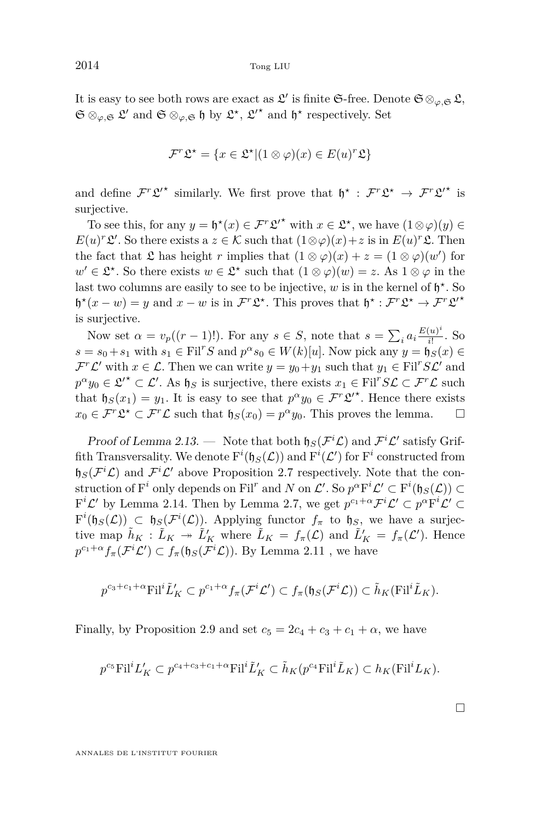It is easy to see both rows are exact as  $\mathfrak{L}'$  is finite G-free. Denote  $\mathfrak{S} \otimes_{\varphi, \mathfrak{S}} \mathfrak{L}$ ,  $\mathfrak{S} \otimes_{\varphi, \mathfrak{S}} \mathfrak{L}'$  and  $\mathfrak{S} \otimes_{\varphi, \mathfrak{S}} \mathfrak{h}$  by  $\mathfrak{L}^{\star}, \mathfrak{L}'^{\star}$  and  $\mathfrak{h}^{\star}$  respectively. Set

$$
\mathcal{F}^r \mathfrak{L}^\star = \{ x \in \mathfrak{L}^\star | (1 \otimes \varphi)(x) \in E(u)^r \mathfrak{L} \}
$$

and define  $\mathcal{F}^r\mathcal{L}'^*$  similarly. We first prove that  $\mathfrak{h}^*$  :  $\mathcal{F}^r\mathcal{L}^* \to \mathcal{F}^r\mathcal{L}'^*$  is surjective.

To see this, for any  $y = \mathfrak{h}^*(x) \in \mathcal{F}^r \mathfrak{L}^{r*}$  with  $x \in \mathfrak{L}^*$ , we have  $(1 \otimes \varphi)(y) \in$  $E(u)^r \mathcal{L}'$ . So there exists a  $z \in \mathcal{K}$  such that  $(1 \otimes \varphi)(x) + z$  is in  $E(u)^r \mathcal{L}$ . Then the fact that  $\mathfrak L$  has height *r* implies that  $(1 \otimes \varphi)(x) + z = (1 \otimes \varphi)(w')$  for  $w' \in \mathcal{L}^*$ . So there exists  $w \in \mathcal{L}^*$  such that  $(1 \otimes \varphi)(w) = z$ . As  $1 \otimes \varphi$  in the last two columns are easily to see to be injective,  $w$  is in the kernel of  $\mathfrak{h}^*$ . So  $\not\! f^*(x - w) = y$  and  $x - w$  is in  $\mathcal{F}^r\mathfrak{L}^*$ . This proves that  $\not\! f^* : \mathcal{F}^r\mathfrak{L}^* \to \mathcal{F}^r\mathfrak{L}^*$ is surjective.

Now set  $\alpha = v_p((r-1)!)$ . For any  $s \in S$ , note that  $s = \sum_i a_i \frac{E(u)^i}{i!}$  $\frac{(u)}{i!}$ . So  $s = s_0 + s_1$  with  $s_1 \in \text{Fil}^rS$  and  $p^{\alpha}s_0 \in W(k)[u]$ . Now pick any  $y = \tilde{\mathfrak{h}}_S(x) \in$  $\mathcal{F}^r\mathcal{L}'$  with  $x \in \mathcal{L}$ . Then we can write  $y = y_0 + y_1$  such that  $y_1 \in \text{Fil}^rSL'$  and  $p^{\alpha}y_0 \in \mathcal{L}'^{\star} \subset \mathcal{L}'$ . As  $\mathfrak{h}_S$  is surjective, there exists  $x_1 \in \text{Fil}^r S \mathcal{L} \subset \mathcal{F}^r \mathcal{L}$  such that  $\mathfrak{h}_S(x_1) = y_1$ . It is easy to see that  $p^{\alpha}y_0 \in \mathcal{F}^r\mathfrak{L}^{\prime\star}$ . Hence there exists  $x_0 \in \mathcal{F}^r \mathfrak{L}^* \subset \mathcal{F}^r \mathcal{L}$  such that  $\mathfrak{h}_S(x_0) = p^\alpha y_0$ . This proves the lemma.  $\Box$ 

Proof of Lemma [2.13.](#page-15-0) — Note that both  $\mathfrak{h}_S(\mathcal{F}^i\mathcal{L})$  and  $\mathcal{F}^i\mathcal{L}'$  satisfy Griffith Transversality. We denote  $F^{i}(\mathfrak{h}_{S}(\mathcal{L}))$  and  $F^{i}(\mathcal{L}')$  for  $F^{i}$  constructed from  $\mathfrak{h}_S(\mathcal{F}^i\mathcal{L})$  and  $\mathcal{F}^i\mathcal{L}'$  above Proposition [2.7](#page-8-0) respectively. Note that the construction of  $F^i$  only depends on  $Fil^r$  and  $N$  on  $\mathcal{L}'$ . So  $p^{\alpha}F^i\mathcal{L}' \subset F^i(\mathfrak{h}_S(\mathcal{L})) \subset$  $F^i \mathcal{L}'$  by Lemma [2.14.](#page-15-0) Then by Lemma [2.7,](#page-8-0) we get  $p^{c_1+\alpha} \mathcal{F}^i \mathcal{L}' \subset p^{\alpha} F^i \mathcal{L}' \subset p$  $F^{i}(\mathfrak{h}_{S}(\mathcal{L})) \subset \mathfrak{h}_{S}(\mathcal{F}^{i}(\mathcal{L}))$ . Applying functor  $f_{\pi}$  to  $\mathfrak{h}_{S}$ , we have a surjective map  $\tilde{h}_K : \tilde{L}_K \to \tilde{L}'_K$  where  $\tilde{L}_K = f_\pi(\mathcal{L})$  and  $\tilde{L}'_K = f_\pi(\mathcal{L}')$ . Hence  $p^{c_1+\alpha} f_\pi(\mathcal{F}^i \mathcal{L}') \subset f_\pi(\mathfrak{h}_S(\mathcal{F}^i \mathcal{L}))$ . By Lemma [2.11](#page-14-0), we have

$$
p^{c_3+c_1+\alpha} \textnormal{Fil}^i \tilde{L}'_K \subset p^{c_1+\alpha} f_\pi(\mathcal{F}^i \mathcal{L}') \subset f_\pi(\mathfrak{h}_S(\mathcal{F}^i \mathcal{L})) \subset \tilde{h}_K(\textnormal{Fil}^i \tilde{L}_K).
$$

Finally, by Proposition [2.9](#page-12-0) and set  $c_5 = 2c_4 + c_3 + c_1 + \alpha$ , we have

$$
p^{c_5}{\mathrm{Fil}}^iL'_K\subset p^{c_4+c_3+c_1+\alpha}{\mathrm{Fil}}^i\tilde{L}'_K\subset \tilde{h}_K(p^{c_4}{\mathrm{Fil}}^i\tilde{L}_K)\subset h_K({\mathrm{Fil}}^iL_K).
$$

 $\Box$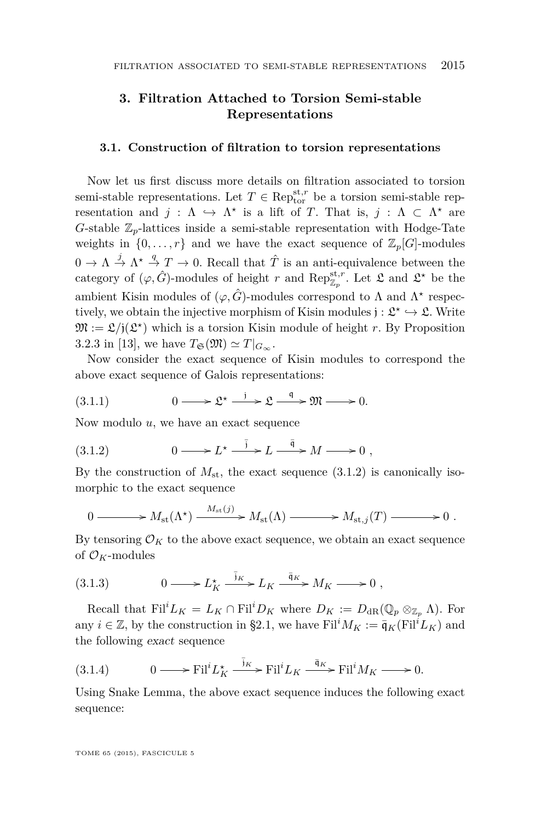#### <span id="page-17-0"></span>**3. Filtration Attached to Torsion Semi-stable Representations**

#### **3.1. Construction of filtration to torsion representations**

Now let us first discuss more details on filtration associated to torsion semi-stable representations. Let  $T \in \text{Rep}_{\text{tor}}^{\text{st},r}$  be a torsion semi-stable representation and  $j : \Lambda \hookrightarrow \Lambda^*$  is a lift of *T*. That is,  $j : \Lambda \subset \Lambda^*$  are *G*-stable  $\mathbb{Z}_p$ -lattices inside a semi-stable representation with Hodge-Tate weights in  $\{0, \ldots, r\}$  and we have the exact sequence of  $\mathbb{Z}_p[G]$ -modules  $0 \to \Lambda \stackrel{j}{\to} \Lambda^* \stackrel{q}{\to} T \to 0$ . Recall that  $\hat{T}$  is an anti-equivalence between the category of  $(\varphi, \hat{G})$ -modules of height *r* and  $\text{Rep}_{\mathbb{Z}_p}^{\text{st},r}$ . Let  $\mathfrak L$  and  $\mathfrak L^*$  be the ambient Kisin modules of  $(\varphi, \hat{G})$ -modules correspond to  $\Lambda$  and  $\Lambda^*$  respectively, we obtain the injective morphism of Kisin modules  $j: \mathfrak{L}^* \hookrightarrow \mathfrak{L}$ . Write  $\mathfrak{M} := \mathfrak{L}/j(\mathfrak{L}^*)$  which is a torsion Kisin module of height *r*. By Proposition 3.2.3 in [\[13\]](#page-37-0), we have  $T_{\mathfrak{S}}(\mathfrak{M}) \simeq T|_{G_{\infty}}$ .

Now consider the exact sequence of Kisin modules to correspond the above exact sequence of Galois representations:

$$
(3.1.1) \t\t 0 \longrightarrow \mathfrak{L}^{\star} \xrightarrow{\rightarrow} \mathfrak{L} \xrightarrow{\mathfrak{q}} \mathfrak{M} \longrightarrow 0.
$$

Now modulo *u*, we have an exact sequence

$$
(3.1.2) \t 0 \longrightarrow L^* \stackrel{\bar{j}}{\longrightarrow} L \stackrel{\bar{q}}{\longrightarrow} M \longrightarrow 0 ,
$$

By the construction of  $M_{\rm st}$ , the exact sequence  $(3.1.2)$  is canonically isomorphic to the exact sequence

$$
0 \longrightarrow M_{\rm st}(\Lambda^{\star}) \xrightarrow{M_{\rm st}(j)} M_{\rm st}(\Lambda) \longrightarrow M_{\rm st, j}(T) \longrightarrow 0.
$$

By tensoring  $\mathcal{O}_K$  to the above exact sequence, we obtain an exact sequence of  $\mathcal{O}_K$ -modules

$$
(3.1.3) \t 0 \longrightarrow L_K^{\star} \xrightarrow{\bar{j}_K} L_K \xrightarrow{\bar{q}_K} M_K \longrightarrow 0 ,
$$

Recall that  $\text{Fil}^i L_K = L_K \cap \text{Fil}^i D_K$  where  $D_K := D_{\text{dR}}(\mathbb{Q}_p \otimes_{\mathbb{Z}_p} \Lambda)$ . For any  $i \in \mathbb{Z}$ , by the construction in §2.1, we have Fil<sup>*i*</sup> $M_K := \overline{\mathfrak{q}}_K$ (Fil<sup>*i*</sup> $L_K$ ) and the following exact sequence

(3.1.4) 
$$
0 \longrightarrow \text{Fil}^i L_K^\star \xrightarrow{\bar{j}_K} \text{Fil}^i L_K \xrightarrow{\bar{\mathfrak{q}}_K} \text{Fil}^i M_K \longrightarrow 0.
$$

Using Snake Lemma, the above exact sequence induces the following exact sequence:

TOME 65 (2015), FASCICULE 5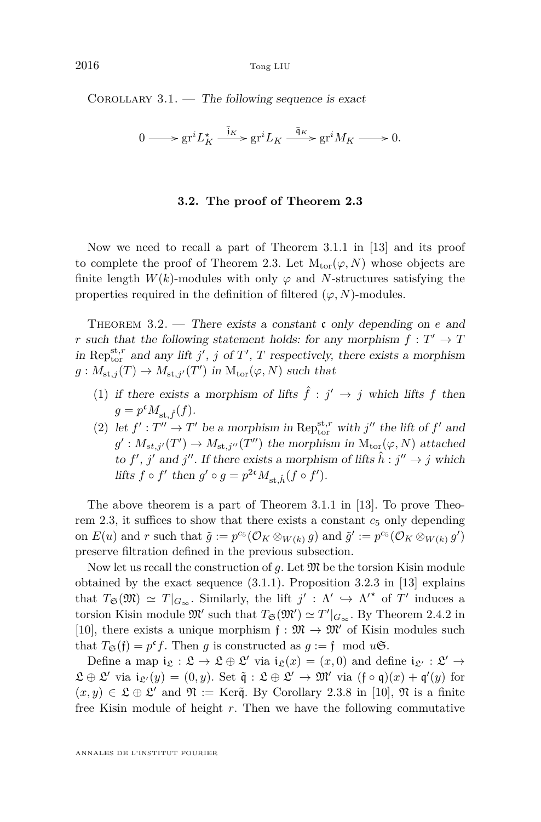<span id="page-18-0"></span>COROLLARY  $3.1.$  — The following sequence is exact

$$
0 \longrightarrow \operatorname{gr}^i L_K^\star \xrightarrow{\overline{j}_K} \operatorname{gr}^i L_K \xrightarrow{\overline{q}_K} \operatorname{gr}^i M_K \longrightarrow 0.
$$

#### **3.2. The proof of Theorem [2.3](#page-6-0)**

Now we need to recall a part of Theorem 3.1.1 in [\[13\]](#page-37-0) and its proof to complete the proof of Theorem [2.3.](#page-6-0) Let  $M_{tor}(\varphi, N)$  whose objects are finite length  $W(k)$ -modules with only  $\varphi$  and *N*-structures satisfying the properties required in the definition of filtered  $(\varphi, N)$ -modules.

Theorem 3.2. — There exists a constant c only depending on *e* and *r* such that the following statement holds: for any morphism  $f: T' \to T$ in Reptriction and any lift *j'*, *j* of *T'*, *T* respectively, there exists a morphism  $g: M_{st,j}(T) \to M_{st,j'}(T')$  in  $M_{tor}(\varphi, N)$  such that

- (1) if there exists a morphism of lifts  $\hat{f}$  :  $j' \rightarrow j$  which lifts f then  $g = p^{\mathfrak{c}} M_{\mathrm{st},\hat{f}}(f).$
- (2) let  $f' : T'' \to T'$  be a morphism in Rep<sub>tor</sub> with  $j''$  the lift of  $f'$  and  $g': M_{st,j'}(T') \to M_{st,j''}(T'')$  the morphism in  $M_{tor}(\varphi, N)$  attached to  $f'$ ,  $j'$  and  $j''$ . If there exists a morphism of lifts  $\hat{h} : j'' \to j$  which lifts  $f \circ f'$  then  $g' \circ g = p^{2\mathfrak{c}} M_{\mathrm{st},\hat{h}}(f \circ f')$ .

The above theorem is a part of Theorem 3.1.1 in [\[13\]](#page-37-0). To prove Theo-rem [2.3,](#page-6-0) it suffices to show that there exists a constant  $c_5$  only depending on  $E(u)$  and  $r$  such that  $\tilde{g} := p^{c_5}(\mathcal{O}_K \otimes_{W(k)} g)$  and  $\tilde{g}' := p^{c_5}(\mathcal{O}_K \otimes_{W(k)} g')$ preserve filtration defined in the previous subsection.

Now let us recall the construction of  $g$ . Let  $\mathfrak{M}$  be the torsion Kisin module obtained by the exact sequence [\(3.1.1\)](#page-17-0). Proposition 3.2.3 in [\[13\]](#page-37-0) explains that  $T_{\mathfrak{S}}(\mathfrak{M}) \simeq T|_{G_{\infty}}$ . Similarly, the lift  $j' : \Lambda' \hookrightarrow \Lambda'^{\star}$  of  $T'$  induces a torsion Kisin module  $\mathfrak{M}'$  such that  $T_{\mathfrak{S}}(\mathfrak{M}') \simeq T'|_{G_{\infty}}$ . By Theorem 2.4.2 in [\[10\]](#page-37-0), there exists a unique morphism  $f : \mathfrak{M} \to \mathfrak{M}'$  of Kisin modules such that  $T_{\mathfrak{S}}(\mathfrak{f}) = p^{\mathfrak{c}} f$ . Then *g* is constructed as  $g := \mathfrak{f} \mod u\mathfrak{S}$ .

Define a map  $i_{\mathfrak{L}} : \mathfrak{L} \to \mathfrak{L} \oplus \mathfrak{L}'$  via  $i_{\mathfrak{L}}(x) = (x,0)$  and define  $i_{\mathfrak{L}'} : \mathfrak{L}' \to$  $\mathfrak{L} \oplus \mathfrak{L}'$  via  $\mathfrak{i}_{\mathfrak{L}'}(y) = (0, y)$ . Set  $\tilde{\mathfrak{q}} : \mathfrak{L} \oplus \mathfrak{L}' \to \mathfrak{M}'$  via  $(\mathfrak{f} \circ \mathfrak{q})(x) + \mathfrak{q}'(y)$  for  $(x, y) \in \mathfrak{L} \oplus \mathfrak{L}'$  and  $\mathfrak{N} := \text{Ker}\tilde{\mathfrak{q}}$ . By Corollary 2.3.8 in [\[10\]](#page-37-0),  $\mathfrak{N}$  is a finite free Kisin module of height *r*. Then we have the following commutative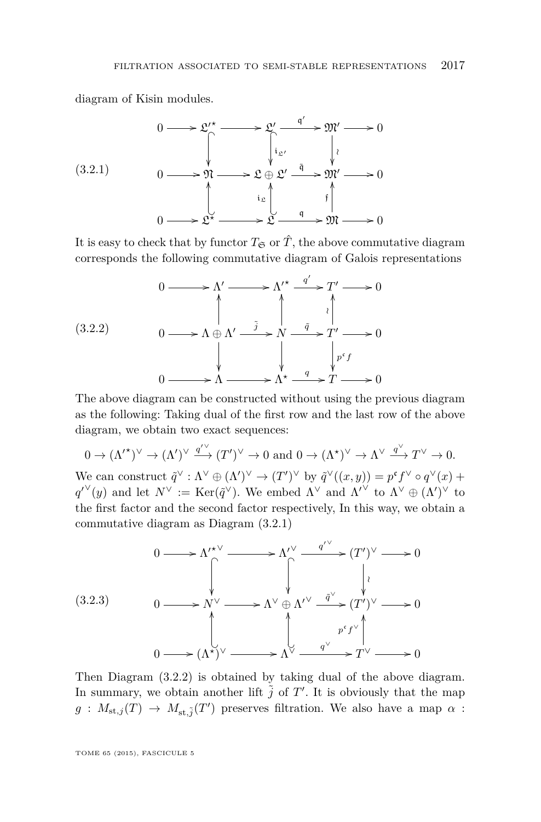<span id="page-19-0"></span>diagram of Kisin modules.

$$
(3.2.1)
$$
\n
$$
0 \longrightarrow \mathfrak{L'}^{\star} \longrightarrow \mathfrak{L'} \xrightarrow{\mathfrak{q}'} \mathfrak{M'} \longrightarrow 0
$$
\n
$$
\downarrow
$$
\n
$$
0 \longrightarrow \mathfrak{N} \longrightarrow \mathfrak{L} \oplus \mathfrak{L'} \xrightarrow{\tilde{\mathfrak{q}}} \mathfrak{M'} \longrightarrow 0
$$
\n
$$
\downarrow
$$
\n
$$
0 \longrightarrow \mathfrak{L}^{\star} \longrightarrow \mathfrak{L} \xrightarrow{\mathfrak{q}} \mathfrak{L} \xrightarrow{\mathfrak{q}} \mathfrak{M} \longrightarrow 0
$$

It is easy to check that by functor  $T_{\mathfrak{S}}$  or  $\hat{T}$ , the above commutative diagram corresponds the following commutative diagram of Galois representations

$$
(3.2.2) \quad 0 \longrightarrow \Lambda' \longrightarrow \Lambda'^{\star} \xrightarrow{q'} T' \longrightarrow 0
$$
\n
$$
\downarrow \qquad \qquad \downarrow \qquad \qquad \downarrow
$$
\n
$$
\downarrow \qquad \qquad \downarrow \qquad \qquad \downarrow
$$
\n
$$
0 \longrightarrow \Lambda \xrightarrow{\tilde{j}} \Lambda' \xrightarrow{\tilde{q}} T' \longrightarrow 0
$$
\n
$$
\downarrow \qquad \qquad \downarrow \qquad \qquad \downarrow \qquad \qquad \downarrow \qquad \qquad \downarrow \qquad \qquad \downarrow \qquad \qquad \downarrow \qquad \qquad \downarrow \qquad \qquad \downarrow \qquad \qquad \downarrow \qquad \qquad \downarrow \qquad \qquad \downarrow \qquad \qquad \downarrow \qquad \qquad \downarrow \qquad \qquad \downarrow \qquad \qquad \downarrow \qquad \qquad \downarrow \qquad \qquad \downarrow \qquad \qquad \downarrow \qquad \qquad \downarrow \qquad \qquad \downarrow \qquad \qquad \downarrow \qquad \qquad \downarrow \qquad \qquad \downarrow \qquad \qquad \downarrow \qquad \qquad \downarrow \qquad \qquad \downarrow \qquad \qquad \downarrow \qquad \qquad \downarrow \qquad \qquad \downarrow \qquad \qquad \downarrow \qquad \qquad \downarrow \qquad \qquad \downarrow \qquad \qquad \downarrow \qquad \qquad \downarrow \qquad \qquad \downarrow \qquad \qquad \downarrow \qquad \qquad \downarrow \qquad \qquad \downarrow \qquad \qquad \downarrow \qquad \qquad \downarrow \qquad \qquad \downarrow \qquad \qquad \downarrow \qquad \qquad \downarrow \qquad \qquad \downarrow \qquad \qquad \downarrow \qquad \qquad \downarrow \qquad \qquad \downarrow \qquad \qquad \downarrow \qquad \qquad \downarrow \qquad \qquad \downarrow \qquad \qquad \downarrow \qquad \qquad \downarrow \qquad \qquad \downarrow \qquad \qquad \downarrow \qquad \qquad \downarrow \qquad \qquad \downarrow \qquad \qquad \downarrow \qquad \qquad \downarrow \qquad \qquad \downarrow \qquad \qquad \downarrow \qquad \qquad \downarrow \qquad \qquad \downarrow \qquad \qquad \downarrow \qquad \qquad \downarrow \qquad \qquad \downarrow \qquad \qquad \downarrow \qquad \qquad \downarrow \qquad \qquad \down
$$

The above diagram can be constructed without using the previous diagram as the following: Taking dual of the first row and the last row of the above diagram, we obtain two exact sequences:

 $0 \to (\Lambda')^\vee \to (\Lambda')^\vee \xrightarrow{q'^\vee} (T')^\vee \to 0 \text{ and } 0 \to (\Lambda^*)^\vee \to \Lambda^\vee \xrightarrow{q^\vee} T^\vee \to 0.$ We can construct  $\tilde{q}^{\vee} : \Lambda^{\vee} \oplus (\Lambda')^{\vee} \to (T')^{\vee}$  by  $\tilde{q}^{\vee}((x, y)) = p^{\mathfrak{c}} f^{\vee} \circ q^{\vee}(x) +$  $q^{\prime\vee}(y)$  and let  $N^{\vee} := \text{Ker}(\tilde{q}^{\vee})$ . We embed  $\Lambda^{\vee}$  and  $\Lambda^{\prime\vee}$  to  $\Lambda^{\vee} \oplus (\Lambda^{\prime})^{\vee}$  to the first factor and the second factor respectively, In this way, we obtain a commutative diagram as Diagram (3.2.1)

$$
(3.2.3) \quad 0 \longrightarrow \Lambda^{\prime \star \vee} \longrightarrow \Lambda^{\prime \vee} \xrightarrow{q^{\prime \vee}} (T^{\prime})^{\vee} \longrightarrow 0
$$
\n
$$
(3.2.3) \quad 0 \longrightarrow N^{\vee} \longrightarrow \Lambda^{\vee} \oplus \Lambda^{\prime \vee} \xrightarrow{\tilde{q}^{\vee}} (T^{\prime})^{\vee} \longrightarrow 0
$$
\n
$$
(3.2.3) \quad 0 \longrightarrow (\Lambda^{\star})^{\vee} \longrightarrow \Lambda^{\vee} \xrightarrow{q^{\vee}} T^{\vee} \longrightarrow 0
$$

Then Diagram (3.2.2) is obtained by taking dual of the above diagram. In summary, we obtain another lift  $\tilde{j}$  of  $T'$ . It is obviously that the map  $g: M_{st,j}(T) \to M_{st,j}(T')$  preserves filtration. We also have a map  $\alpha$ :

TOME 65 (2015), FASCICULE 5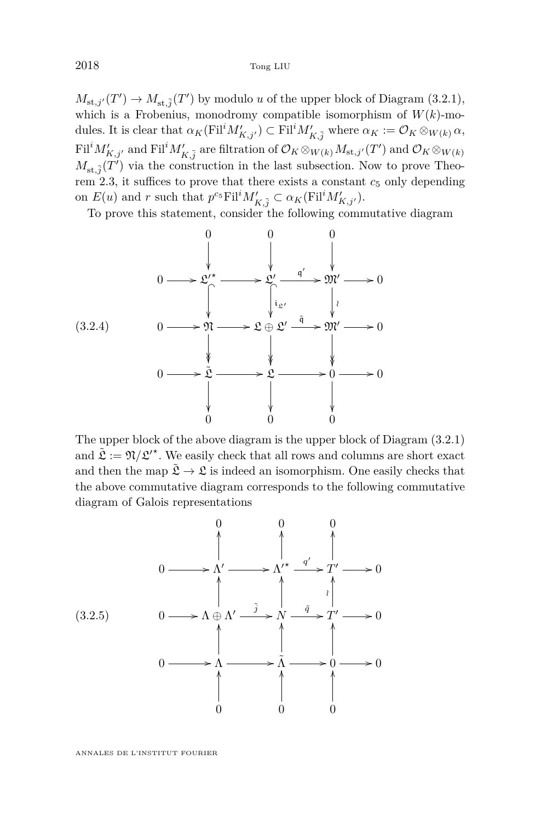<span id="page-20-0"></span> $M_{st,j'}(T') \to M_{st,\tilde{j}}(T')$  by modulo *u* of the upper block of Diagram [\(3.2.1\)](#page-19-0), which is a Frobenius, monodromy compatible isomorphism of  $W(k)$ -modules. It is clear that  $\alpha_K(\text{Fil}^iM'_{K,j'}) \subset \text{Fil}^iM'_{K,\tilde{j}}$  where  $\alpha_K := \mathcal{O}_K \otimes_{W(k)} \alpha$ ,  $\text{Fil}^i M'_{K,j'}$  and  $\text{Fil}^i M'_{K,\tilde{j}}$  are filtration of  $\mathcal{O}_K \otimes_{W(k)} M_{\text{st},j'}(T')$  and  $\mathcal{O}_K \otimes_{W(k)} M$  $M_{st,\tilde{j}}(T')$  via the construction in the last subsection. Now to prove Theo-rem [2.3,](#page-6-0) it suffices to prove that there exists a constant  $c_5$  only depending on  $E(u)$  and *r* such that  $p^{c_5} \text{Fil}^i M'_{K,\tilde{j}} \subset \alpha_K(\text{Fil}^i M'_{K,j'})$ .

To prove this statement, consider the following commutative diagram



The upper block of the above diagram is the upper block of Diagram [\(3.2.1\)](#page-19-0) and  $\tilde{\mathfrak{L}} := \mathfrak{N} / \mathfrak{L}^{\prime\star}$ . We easily check that all rows and columns are short exact and then the map  $\tilde{\mathfrak{L}} \to \mathfrak{L}$  is indeed an isomorphism. One easily checks that the above commutative diagram corresponds to the following commutative diagram of Galois representations

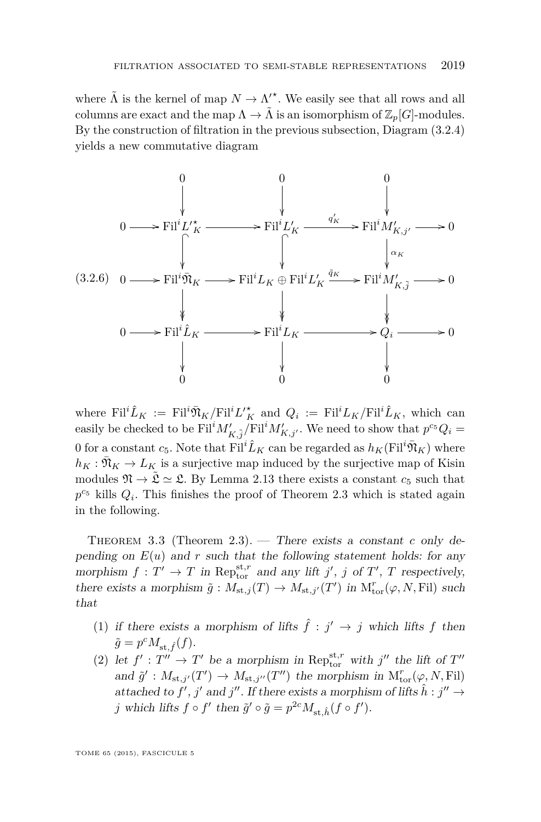where  $\tilde{\Lambda}$  is the kernel of map  $N \to \Lambda^{\prime \star}$ . We easily see that all rows and all columns are exact and the map  $\Lambda \to \tilde{\Lambda}$  is an isomorphism of  $\mathbb{Z}_p[G]$ -modules. By the construction of filtration in the previous subsection, Diagram [\(3.2.4\)](#page-20-0) yields a new commutative diagram



where  $\text{Fil}^i \hat{L}_K := \text{Fil}^i \bar{\mathfrak{N}}_K / \text{Fil}^i L_K^{\prime \star}$  and  $Q_i := \text{Fil}^i L_K / \text{Fil}^i \hat{L}_K$ , which can easily be checked to be  $\text{Fil}^i M'_{K,\tilde{j}}/\text{Fil}^i M'_{K,j'}$ . We need to show that  $p^{c_5}Q_i =$ 0 for a constant  $c_5$ . Note that Fil<sup>*i*</sup> $\hat{L}_K$  can be regarded as  $h_K$ (Fil<sup>*i*</sup> $\bar{\mathfrak{N}}_K$ ) where  $h_K : \bar{\mathfrak{N}}_K \to L_K$  is a surjective map induced by the surjective map of Kisin modules  $\mathfrak{N} \to \tilde{\mathfrak{L}} \simeq \mathfrak{L}$ . By Lemma [2.13](#page-15-0) there exists a constant  $c_5$  such that  $p^{c_5}$  kills  $Q_i$ . This finishes the proof of Theorem [2.3](#page-6-0) which is stated again in the following.

Theorem 3.3 (Theorem [2.3\)](#page-6-0). — There exists a constant *c* only depending on  $E(u)$  and  $r$  such that the following statement holds: for any morphism  $f: T' \to T$  in Rep<sub>tor</sub> and any lift *j'*, *j* of *T'*, *T* respectively, there exists a morphism  $\tilde{g}: M_{st,j}(T) \to M_{st,j'}(T')$  in  $M^r_{tor}(\varphi, N, Fil)$  such that

- (1) if there exists a morphism of lifts  $\hat{f}$  :  $j' \rightarrow j$  which lifts f then  $\tilde{g} = p^c M_{\text{st},\hat{f}}(f).$
- (2) let  $f' : T'' \to T'$  be a morphism in Rep<sub>tor</sub> with  $j''$  the lift of  $T''$ and  $\tilde{g}' : M_{st,j'}(T') \to M_{st,j''}(T'')$  the morphism in  $M_{tor}^r(\varphi, N, Fil)$ attached to  $f'$ ,  $j'$  and  $j''$ . If there exists a morphism of lifts  $\hat{h}: j'' \to$ *j* which lifts  $f \circ f'$  then  $\tilde{g}' \circ \tilde{g} = p^{2c} M_{st, \hat{h}}(f \circ f')$ .

TOME 65 (2015), FASCICULE 5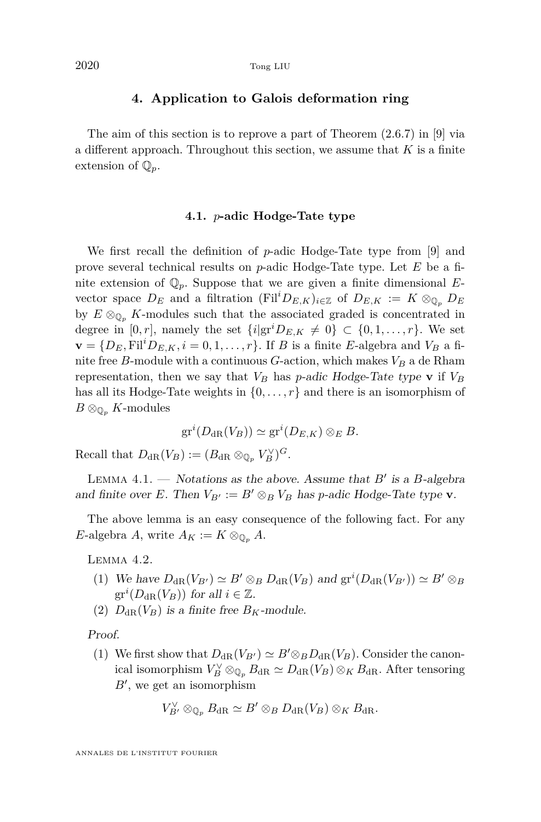#### **4. Application to Galois deformation ring**

<span id="page-22-0"></span>The aim of this section is to reprove a part of Theorem (2.6.7) in [\[9\]](#page-37-0) via a different approach. Throughout this section, we assume that *K* is a finite extension of  $\mathbb{Q}_p$ .

#### **4.1.** *p***-adic Hodge-Tate type**

We first recall the definition of *p*-adic Hodge-Tate type from [\[9\]](#page-37-0) and prove several technical results on *p*-adic Hodge-Tate type. Let *E* be a finite extension of Q*p*. Suppose that we are given a finite dimensional *E*vector space  $D_E$  and a filtration (Fil<sup>*i*</sup> $D_{E,K}$ )<sub>*i*∈Z</sub> of  $D_{E,K}$  :=  $K \otimes_{\mathbb{Q}_p} D_E$ by  $E \otimes_{\mathbb{Q}_p} K$ -modules such that the associated graded is concentrated in degree in  $[0, r]$ , namely the set  $\{i|gr^iD_{E,K} \neq 0\} \subset \{0, 1, \ldots, r\}$ . We set  $\mathbf{v} = \{D_E, \mathrm{Fil}^i D_{E,K}, i = 0, 1, \ldots, r\}$ . If *B* is a finite *E*-algebra and  $V_B$  a finite free *B*-module with a continuous *G*-action, which makes  $V_B$  a de Rham representation, then we say that  $V_B$  has *p*-adic Hodge-Tate type **v** if  $V_B$ has all its Hodge-Tate weights in  $\{0, \ldots, r\}$  and there is an isomorphism of  $B \otimes_{\mathbb{O}_n} K$ -modules

$$
\mathrm{gr}^i(D_{\mathrm{dR}}(V_B)) \simeq \mathrm{gr}^i(D_{E,K}) \otimes_E B.
$$

Recall that  $D_{\text{dR}}(V_B) := (B_{\text{dR}} \otimes_{\mathbb{Q}_p} V_B^{\vee})^G$ .

LEMMA  $4.1.$   $-$  *Notations as the above. Assume that B' is a B-algebra* and finite over *E*. Then  $V_{B'} := B' \otimes_B V_B$  has *p*-adic Hodge-Tate type **v**.

The above lemma is an easy consequence of the following fact. For any *E*-algebra *A*, write  $A_K := K \otimes_{\mathbb{Q}_n} A$ .

Lemma 4.2.

- (1) We have  $D_{dR}(V_{B}) \simeq B' \otimes_B D_{dR}(V_B)$  and  $gr^i(D_{dR}(V_{B'})) \simeq B' \otimes_B D_{dR}(V_B)$  $gr^i(D_{dR}(V_B))$  for all  $i \in \mathbb{Z}$ .
- (2)  $D_{\text{dR}}(V_B)$  is a finite free  $B_K$ -module.

Proof.

(1) We first show that  $D_{\text{dR}}(V_{B'}) \simeq B' \otimes_B D_{\text{dR}}(V_B)$ . Consider the canonical isomorphism  $V_B^{\vee} \otimes_{\mathbb{Q}_p} B_{\text{dR}} \simeq D_{\text{dR}}(V_B) \otimes_K B_{\text{dR}}$ . After tensoring  $B'$ , we get an isomorphism

$$
V_{B'}^{\vee} \otimes_{\mathbb{Q}_p} B_{\mathrm{dR}} \simeq B' \otimes_B D_{\mathrm{dR}}(V_B) \otimes_K B_{\mathrm{dR}}.
$$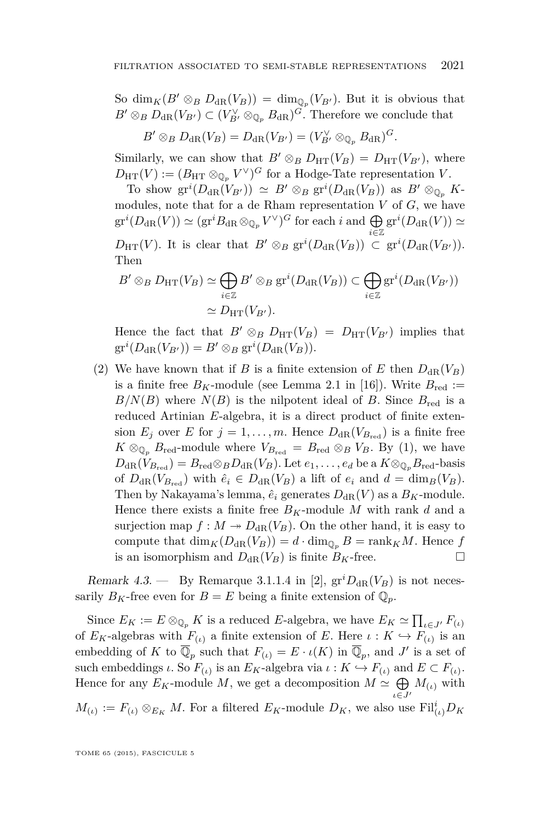<span id="page-23-0"></span>So dim<sub>*K*</sub>( $B' \otimes_B D_{dR}(V_B)$ ) = dim<sub>Q<sub>*p*</sub></sub>( $V_{B'}$ ). But it is obvious that  $B' \otimes_B D_{\text{dR}}(V_{B'}) \subset (V_{B'}^{\vee} \otimes_{\mathbb{Q}_p} B_{\text{dR}})^G$ . Therefore we conclude that

$$
B' \otimes_B D_{\mathrm{dR}}(V_B) = D_{\mathrm{dR}}(V_{B'}) = (V_{B'}^{\vee} \otimes_{\mathbb{Q}_p} B_{\mathrm{dR}})^G.
$$

Similarly, we can show that  $B' \otimes_B D_{\text{HT}}(V_B) = D_{\text{HT}}(V_{B'})$ , where  $D_{\text{HT}}(V) := (B_{\text{HT}} \otimes_{\mathbb{Q}_p} V^{\vee})^G$  for a Hodge-Tate representation *V*.

To show  $gr^i(D_{dR}(V_{B'})) \simeq B' \otimes_B gr^i(D_{dR}(V_B))$  as  $B' \otimes_{\mathbb{Q}_p} K$ modules, note that for a de Rham representation *V* of *G*, we have  $gr^i(D_{\rm dR}(V)) \simeq (gr^iB_{\rm dR} \otimes_{\mathbb{Q}_p} V^{\vee})^G$  for each *i* and  $\bigoplus$ *i*∈Z  $gr^i(D_{dR}(V)) \simeq$  $D_{\text{HT}}(V)$ . It is clear that  $B' \otimes_B \text{gr}^i(D_{\text{dR}}(V_B)) \subset \text{gr}^i(D_{\text{dR}}(V_{B'})).$ Then

$$
B' \otimes_B D_{\text{HT}}(V_B) \simeq \bigoplus_{i \in \mathbb{Z}} B' \otimes_B \text{gr}^i(D_{\text{dR}}(V_B)) \subset \bigoplus_{i \in \mathbb{Z}} \text{gr}^i(D_{\text{dR}}(V_{B'}))
$$

$$
\simeq D_{\text{HT}}(V_{B'}).
$$

Hence the fact that  $B' \otimes_B D_{\text{HT}}(V_B) = D_{\text{HT}}(V_{B'})$  implies that  $gr^i(D_{\text{dR}}(V_{B'})) = B' \otimes_B gr^i(D_{\text{dR}}(V_B)).$ 

(2) We have known that if *B* is a finite extension of *E* then  $D_{\text{dR}}(V_B)$ is a finite free  $B_K$ -module (see Lemma 2.1 in [\[16\]](#page-37-0)). Write  $B_{\text{red}} :=$  $B/N(B)$  where  $N(B)$  is the nilpotent ideal of *B*. Since  $B_{\text{red}}$  is a reduced Artinian *E*-algebra, it is a direct product of finite extension  $E_j$  over *E* for  $j = 1, \ldots, m$ . Hence  $D_{\text{dR}}(V_{B_{\text{red}}})$  is a finite free  $K \otimes_{\mathbb{Q}_p} B_{\text{red}}$ -module where  $V_{B_{\text{red}}} = B_{\text{red}} \otimes_B V_B$ . By (1), we have  $D_{\text{dR}}(V_{B_{\text{red}}}) = B_{\text{red}} \otimes_B D_{\text{dR}}(V_B)$ . Let  $e_1, \ldots, e_d$  be a  $K \otimes_{\mathbb{Q}_p} B_{\text{red}}$ -basis of  $D_{dR}(V_{B_{red}})$  with  $\hat{e}_i \in D_{dR}(V_B)$  a lift of  $e_i$  and  $d = \dim_B(V_B)$ . Then by Nakayama's lemma,  $\hat{e}_i$  generates  $D_{\text{dR}}(V)$  as a  $B_K$ -module. Hence there exists a finite free  $B_K$ -module M with rank d and a surjection map  $f : M \to D_{dR}(V_B)$ . On the other hand, it is easy to compute that  $\dim_K(D_{\text{dR}}(V_B)) = d \cdot \dim_{\mathbb{Q}_p} B = \text{rank}_K M$ . Hence *f* is an isomorphism and  $D_{\text{dR}}(V_B)$  is finite  $B_K$ -free.

Remark 4.3. — By Remarque 3.1.1.4 in [\[2\]](#page-36-0),  $gr^{\prime}D_{dR}(V_B)$  is not necessarily  $B_K$ -free even for  $B = E$  being a finite extension of  $\mathbb{Q}_p$ .

Since  $E_K := E \otimes_{\mathbb{Q}_p} K$  is a reduced *E*-algebra, we have  $E_K \simeq \prod_{\iota \in J'} F_{(\iota)}$ of  $E_K$ -algebras with  $F_{(\iota)}$  a finite extension of *E*. Here  $\iota: K \hookrightarrow F_{(\iota)}$  is an embedding of *K* to  $\overline{\mathbb{Q}}_p$  such that  $F_{(\iota)} = E \cdot \iota(K)$  in  $\overline{\mathbb{Q}}_p$ , and *J*' is a set of such embeddings *ι*. So  $F_{(t)}$  is an  $E_K$ -algebra via  $\iota : K \hookrightarrow F_{(t)}$  and  $E \subset F_{(t)}$ . Hence for any  $E_K$ -module M, we get a decomposition  $M \simeq \bigoplus M_{(\iota)}$  with  $$  $M_{(\iota)} := F_{(\iota)} \otimes_{E_K} M$ . For a filtered  $E_K$ -module  $D_K$ , we also use  $\text{Fil}_{(\iota)}^iD_K$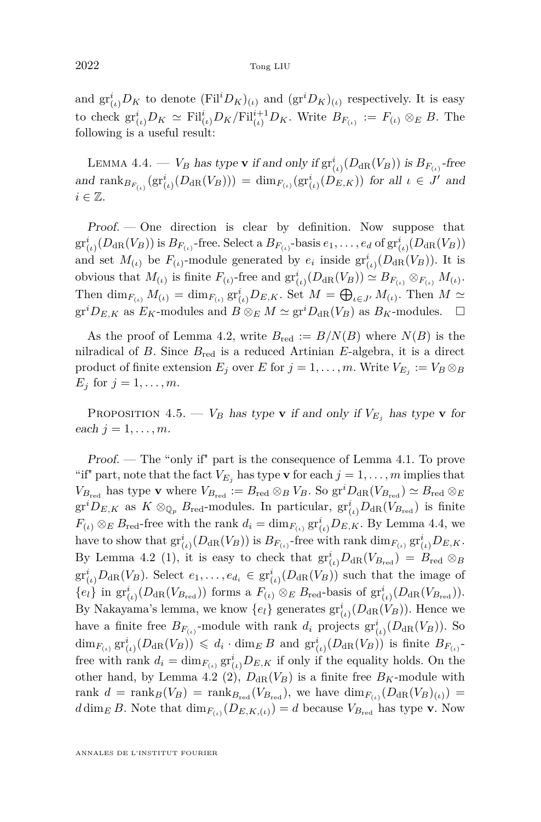<span id="page-24-0"></span>and  $\text{gr}^i_{(\iota)}D_K$  to denote  $(\text{Fil}^iD_K)_{(\iota)}$  and  $(\text{gr}^iD_K)_{(\iota)}$  respectively. It is easy to check  $\operatorname{gr}_{(\iota)}^i D_K \simeq \operatorname{Fil}_{(\iota)}^i D_K / \operatorname{Fil}_{(\iota)}^{i+1} D_K$ . Write  $B_{F_{(\iota)}} := F_{(\iota)} \otimes_E B$ . The following is a useful result:

LEMMA 4.4. — *V<sub>B</sub>* has type **v** if and only if  $\text{gr}_{(\iota)}^{i}(D_{\text{dR}}(V_B))$  is  $B_{F_{(\iota)}}$ -free and  $\text{rank}_{B_{F_{(\iota)}}}(gr_{(\iota)}^i(D_{\text{dR}}(V_B))) = \dim_{F_{(\iota)}}(gr_{(\iota)}^i(D_{E,K}))$  for all  $\iota \in J'$  and  $i \in \mathbb{Z}$ .

 $Proof.$  — One direction is clear by definition. Now suppose that  $\mathrm{gr}^i_{(\iota)}(D_{\mathrm{dR}}(V_B))$  is  $B_{F_{(\iota)}}$ -free. Select a  $B_{F_{(\iota)}}$ -basis  $e_1,\ldots,e_d$  of  $\mathrm{gr}^i_{(\iota)}(D_{\mathrm{dR}}(V_B))$ and set  $M_{(\iota)}$  be  $F_{(\iota)}$ -module generated by  $e_i$  inside  $gr^i_{(\iota)}(D_{\text{dR}}(V_B))$ . It is obvious that  $M_{(\iota)}$  is finite  $F_{(\iota)}$ -free and  $\operatorname{gr}_{(\iota)}^i(D_{\text{dR}}(V_B)) \simeq B_{F_{(\iota)}} \otimes_{F_{(\iota)}} M_{(\iota)}$ . Then  $\dim_{F_{(\iota)}} M_{(\iota)} = \dim_{F_{(\iota)}} \mathrm{gr}^i_{(\iota)} D_{E,K}$ . Set  $M = \bigoplus_{\iota \in J'} M_{(\iota)}$ . Then  $M \simeq$  $gr^iD_{E,K}$  as  $E_K$ -modules and  $B \otimes_E M \simeq gr^iD_{dR}(V_B)$  as  $B_K$ -modules.  $\square$ 

As the proof of Lemma [4.2,](#page-22-0) write  $B_{\text{red}} := B/N(B)$  where  $N(B)$  is the nilradical of *B*. Since *B*red is a reduced Artinian *E*-algebra, it is a direct product of finite extension  $E_j$  over  $E$  for  $j = 1, \ldots, m$ . Write  $V_{E_j} := V_B \otimes_B$ *E*<sup>*j*</sup> for  $j = 1, ..., m$ .

PROPOSITION 4.5. —  $V_B$  has type **v** if and only if  $V_{E_i}$  has type **v** for each  $j = 1, \ldots, m$ .

Proof. — The "only if" part is the consequence of Lemma [4.1.](#page-22-0) To prove "if" part, note that the fact  $V_{E_j}$  has type **v** for each  $j = 1, \ldots, m$  implies that  $V_{B_{\text{red}}}$  has type **v** where  $V_{B_{\text{red}}} := B_{\text{red}} \otimes_B V_B$ . So  $\text{gr}^i D_{\text{dR}}(V_{B_{\text{red}}}) \simeq B_{\text{red}} \otimes_E$  $gr^iD_{E,K}$  as  $K \otimes_{\mathbb{Q}_p} B_{\text{red}}$ -modules. In particular,  $gr^i_{(\iota)}D_{\text{dR}}(V_{B_{\text{red}}})$  is finite  $F_{(\iota)} \otimes_E B_{\text{red}}$ -free with the rank  $d_i = \dim_{F_{(\iota)}} \operatorname{gr}^i_{(\iota)} D_{E,K}$ . By Lemma 4.4, we have to show that  $\mathrm{gr}^i_{(\iota)}(D_{\mathrm{dR}}(V_B))$  is  $B_{F_{(\iota)}}$ -free with rank  $\dim_{F_{(\iota)}} \mathrm{gr}^i_{(\iota)}D_{E,K}$ . By Lemma [4.2](#page-22-0) (1), it is easy to check that  $\mathrm{gr}^i_{(\iota)}D_{\mathrm{dR}}(V_{B_{\mathrm{red}}}) = B_{\mathrm{red}} \otimes_B$  $gr_{(\iota)}^iD_{\mathrm{dR}}(V_B)$ . Select  $e_1,\ldots,e_{d_i} \in gr_{(\iota)}^i(D_{\mathrm{dR}}(V_B))$  such that the image of  ${e_l}$  in  $\mathrm{gr}^i_{(\iota)}(D_{\mathrm{dR}}(V_{B_{\mathrm{red}}}))$  forms a  $F_{(\iota)} \otimes_E B_{\mathrm{red}}$ -basis of  $\mathrm{gr}^i_{(\iota)}(D_{\mathrm{dR}}(V_{B_{\mathrm{red}}}))$ . By Nakayama's lemma, we know  $\{e_l\}$  generates  $\text{gr}^i_{(\iota)}(D_{\text{dR}}(V_B))$ . Hence we have a finite free  $B_{F_{(\iota)}}$ -module with rank  $d_i$  projects  $gr^i_{(\iota)}(D_{dR}(V_B))$ . So  $\dim_{F_{(\iota)}} \mathrm{gr}^i_{(\iota)}(D_{\mathrm{dR}}(V_B)) \leqslant d_i \cdot \dim_E B$  and  $\mathrm{gr}^i_{(\iota)}(D_{\mathrm{dR}}(V_B))$  is finite  $B_{F_{(\iota)}}$ free with rank  $d_i = \dim_{F_{(i)}} \operatorname{gr}^i_{(i)} D_{E,K}$  if only if the equality holds. On the other hand, by Lemma [4.2](#page-22-0) (2),  $D_{\text{dR}}(V_B)$  is a finite free  $B_K$ -module with rank  $d = \text{rank}_B(V_B) = \text{rank}_{B_{\text{red}}}(V_{B_{\text{red}}})$ , we have  $\dim_{F_{(\iota)}}(D_{\text{dR}}(V_B)_{(\iota)}) =$  $d \dim_E B$ . Note that  $\dim_{F_{(\iota)}}(D_{E,K,(\iota)}) = d$  because  $V_{B_{red}}$  has type **v**. Now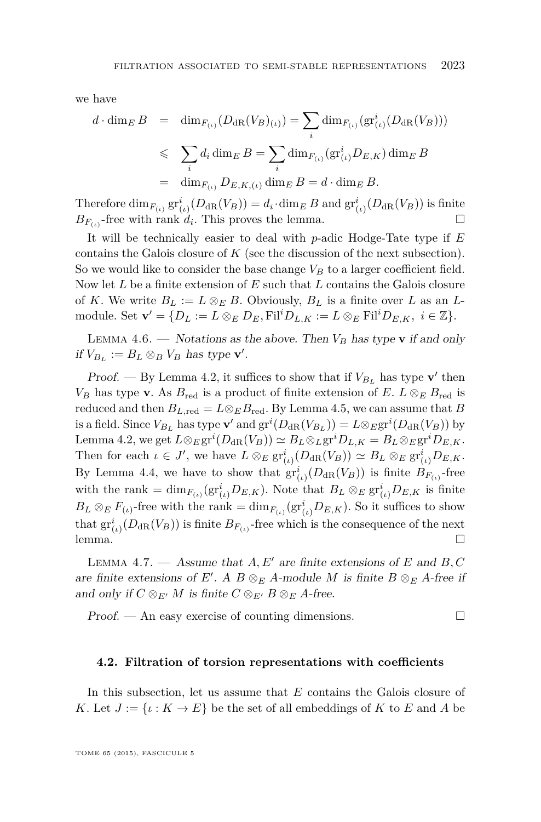<span id="page-25-0"></span>we have

$$
d \cdot \dim_E B = \dim_{F_{(\iota)}} (D_{\mathrm{dR}} (V_B)_{(\iota)}) = \sum_i \dim_{F_{(\iota)}} (\mathrm{gr}^i_{(\iota)} (D_{\mathrm{dR}} (V_B)))
$$
  

$$
\leqslant \sum_i d_i \dim_E B = \sum_i \dim_{F_{(\iota)}} (\mathrm{gr}^i_{(\iota)} D_{E,K}) \dim_E B
$$
  

$$
= \dim_{F_{(\iota)}} D_{E,K,(\iota)} \dim_E B = d \cdot \dim_E B.
$$

Therefore  $\dim_{F_{(\iota)}} \mathrm{gr}^i_{(\iota)}(D_{\mathrm{dR}}(V_B)) = d_i \cdot \dim_E B$  and  $\mathrm{gr}^i_{(\iota)}(D_{\mathrm{dR}}(V_B))$  is finite  $B_{F_{(\iota)}}$ -free with rank  $d_i$ . This proves the lemma.

It will be technically easier to deal with *p*-adic Hodge-Tate type if *E* contains the Galois closure of *K* (see the discussion of the next subsection). So we would like to consider the base change  $V_B$  to a larger coefficient field. Now let *L* be a finite extension of *E* such that *L* contains the Galois closure of *K*. We write  $B_L := L \otimes_E B$ . Obviously,  $B_L$  is a finite over *L* as an *L*module. Set  $\mathbf{v}' = \{D_L := L \otimes_E D_E, \text{Fil}^i D_{L,K} := L \otimes_E \text{Fil}^i D_{E,K}, i \in \mathbb{Z}\}.$ 

LEMMA 4.6. — Notations as the above. Then  $V_B$  has type **v** if and only if  $V_{B_L} := B_L \otimes_B V_B$  has type **v**'.

Proof. — By Lemma [4.2,](#page-22-0) it suffices to show that if  $V_{B_L}$  has type **v**' then *V<sub>B</sub>* has type **v**. As  $B_{\text{red}}$  is a product of finite extension of *E*.  $L \otimes_E B_{\text{red}}$  is reduced and then  $B_{L, \text{red}} = L \otimes_E B_{\text{red}}$ . By Lemma [4.5,](#page-24-0) we can assume that *B* is a field. Since  $V_{B_L}$  has type  $\mathbf{v}'$  and  $\operatorname{gr}^i(D_{\mathrm{dR}}(V_{B_L})) = L \otimes_E \operatorname{gr}^i(D_{\mathrm{dR}}(V_B))$  by  $\text{Lemma 4.2, we get } L \otimes_E \text{gr}^i(D_{\text{dR}}(V_B)) \simeq B_L \otimes_L \text{gr}^i D_{L,K} = B_L \otimes_E \text{gr}^i D_{E,K}.$  $\text{Lemma 4.2, we get } L \otimes_E \text{gr}^i(D_{\text{dR}}(V_B)) \simeq B_L \otimes_L \text{gr}^i D_{L,K} = B_L \otimes_E \text{gr}^i D_{E,K}.$  $\text{Lemma 4.2, we get } L \otimes_E \text{gr}^i(D_{\text{dR}}(V_B)) \simeq B_L \otimes_L \text{gr}^i D_{L,K} = B_L \otimes_E \text{gr}^i D_{E,K}.$ Then for each  $\iota \in J'$ , we have  $L \otimes_E \operatorname{gr}^i_{(\iota)}(D_{\text{dR}}(V_B)) \simeq B_L \otimes_E \operatorname{gr}^i_{(\iota)}D_{E,K}$ . By Lemma [4.4,](#page-24-0) we have to show that  $\mathrm{gr}^i_{(l)}(D_{\mathrm{dR}}(V_B))$  is finite  $B_{F_{(l)}}$ -free with the rank =  $\dim_{F_{(\iota)}}(\mathrm{gr}^i_{(\iota)}D_{E,K})$ . Note that  $B_L \otimes_E \mathrm{gr}^i_{(\iota)}D_{E,K}$  is finite  $B_L \otimes_E F_{(\iota)}$ -free with the rank = dim<sub>*F*(*ι*)</sub> (gr<sup>*i*</sup><sub>(*ι*</sub>)</sub> $D_{E,K}$ ). So it suffices to show that  $\mathrm{gr}^i_{(\iota)}(D_{\mathrm{dR}}(V_B))$  is finite  $B_{F_{(\iota)}}$ -free which is the consequence of the next  $l$ emma.  $\Box$ 

LEMMA 4.7.  $-$  Assume that  $A, E'$  are finite extensions of  $E$  and  $B, C$ are finite extensions of *E'*. A  $B \otimes_E A$ -module *M* is finite  $B \otimes_E A$ -free if and only if  $C \otimes_{E'} M$  is finite  $C \otimes_{E'} B \otimes_{E} A$ -free.

 $Proof.$  — An easy exercise of counting dimensions.  $\Box$ 

#### **4.2. Filtration of torsion representations with coefficients**

In this subsection, let us assume that *E* contains the Galois closure of *K*. Let  $J := \{ \iota : K \to E \}$  be the set of all embeddings of *K* to *E* and *A* be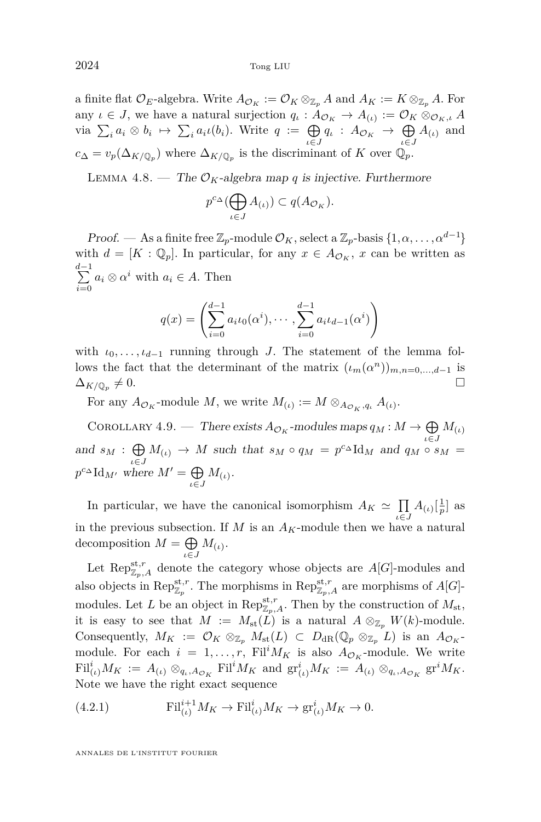<span id="page-26-0"></span>a finite flat  $\mathcal{O}_E$ -algebra. Write  $A_{\mathcal{O}_K} := \mathcal{O}_K \otimes_{\mathbb{Z}_p} A$  and  $A_K := K \otimes_{\mathbb{Z}_p} A$ . For any  $\iota \in J$ , we have a natural surjection  $q_{\iota}: A_{\mathcal{O}_K} \to A_{(\iota)} := \mathcal{O}_K \otimes_{\mathcal{O}_K, \iota} A$  $\varphi$  via  $\sum_i a_i \otimes b_i \mapsto \sum_i a_i \iota(b_i)$ . Write  $q := \bigoplus_{\iota \in J} q_\iota : A_{\mathcal{O}_K} \to \bigoplus_{\iota \in J} q_\iota$  $\bigoplus_{\iota \in J} A_{(\iota)}$  and  $c_{\Delta} = v_p(\Delta_{K/\mathbb{Q}_p})$  where  $\Delta_{K/\mathbb{Q}_p}$  is the discriminant of *K* over  $\mathbb{Q}_p$ .

LEMMA 4.8. — The  $\mathcal{O}_K$ -algebra map *q* is injective. Furthermore

$$
p^{c_{\Delta}}(\bigoplus_{\iota \in J} A_{(\iota)}) \subset q(A_{\mathcal{O}_K}).
$$

Proof. — As a finite free  $\mathbb{Z}_p$ -module  $\mathcal{O}_K$ , select a  $\mathbb{Z}_p$ -basis  $\{1, \alpha, \ldots, \alpha^{d-1}\}\$ with  $d = [K : \mathbb{Q}_p]$ . In particular, for any  $x \in A_{\mathcal{O}_K}$ ,  $x$  can be written as d<sup>-1</sup>  $\sum_{i=0} a_i \otimes \alpha^i$  with  $a_i \in A$ . Then

$$
q(x) = \left(\sum_{i=0}^{d-1} a_i t_0(\alpha^i), \cdots, \sum_{i=0}^{d-1} a_i t_{d-1}(\alpha^i)\right)
$$

with  $\iota_0, \ldots, \iota_{d-1}$  running through *J*. The statement of the lemma follows the fact that the determinant of the matrix  $(\iota_m(\alpha^n))_{m,n=0,\dots,d-1}$  is  $\Delta_{K/\mathbb{Q}_p} \neq 0.$  $\neq 0.$ 

For any  $A_{\mathcal{O}_K}$ -module M, we write  $M_{(\iota)} := M \otimes_{A_{\mathcal{O}_K},q_{\iota}} A_{(\iota)}$ .

COROLLARY 4.9. — There exists  $A_{\mathcal{O}_K}$ -modules maps  $q_M : M \to \bigoplus M_{(\iota)}$ and  $s_M$  :  $\bigoplus M_{(\iota)} \to M$  such that  $s_M \circ q_M = p^{c \Delta} \text{Id}_M$  and  $q_M \circ s$  $\bigoplus_{i \in J} M_{(i)} \to M$  such that  $s_M \circ q_M = p^c \Delta \mathrm{Id}_M$  and  $q_M \circ s_M =$  $p^{c} \Delta \mathrm{Id}_{M'}$  where  $M' = \bigoplus$  $\bigoplus_{\iota \in J} M_{(\iota)}.$ 

In particular, we have the canonical isomorphism  $A_K \simeq \prod$  $\prod_{\iota \in J} A_{(\iota)}\left[\frac{1}{p}\right]$  as in the previous subsection. If  $M$  is an  $A_K$ -module then we have a natural decomposition  $M = \bigoplus$  $\bigoplus_{\iota \in J} M_{(\iota)}.$ 

Let  $\text{Rep}_{\mathbb{Z}_p,A}^{\text{st},r}$  denote the category whose objects are  $A[G]$ -modules and also objects in  $\text{Rep}_{\mathbb{Z}_p}^{\text{st},r}$ . The morphisms in  $\text{Rep}_{\mathbb{Z}_p,A}^{\text{st},r}$  are morphisms of  $A[G]$ modules. Let *L* be an object in  $\text{Rep}_{\mathbb{Z}_p,A}^{\text{st},r}$ . Then by the construction of  $M_{\text{st}}$ , it is easy to see that  $M := M_{st}(L)$  is a natural  $A \otimes_{\mathbb{Z}_p} W(k)$ -module. Consequently,  $M_K := \mathcal{O}_K \otimes_{\mathbb{Z}_p} M_{\text{st}}(L) \subset D_{\text{dR}}(\mathbb{Q}_p \otimes_{\mathbb{Z}_p} L)$  is an  $A_{\mathcal{O}_K}$ module. For each  $i = 1, \ldots, r$ , Fil<sup>*i*</sup> $M_K$  is also  $A_{\mathcal{O}_K}$ -module. We write  $\mathrm{Fil}_{(\iota)}^i M_K := A_{(\iota)} \otimes_{q_\iota, A_{\mathcal{O}_K}} \mathrm{Fil}^i M_K \text{ and } \mathrm{gr}_{(\iota)}^i M_K := A_{(\iota)} \otimes_{q_\iota, A_{\mathcal{O}_K}} \mathrm{gr}^i M_K.$ Note we have the right exact sequence

(4.2.1) 
$$
\mathrm{Fil}_{(\iota)}^{i+1}M_K \to \mathrm{Fil}_{(\iota)}^{i}M_K \to \mathrm{gr}_{(\iota)}^{i}M_K \to 0.
$$

ANNALES DE L'INSTITUT FOURIER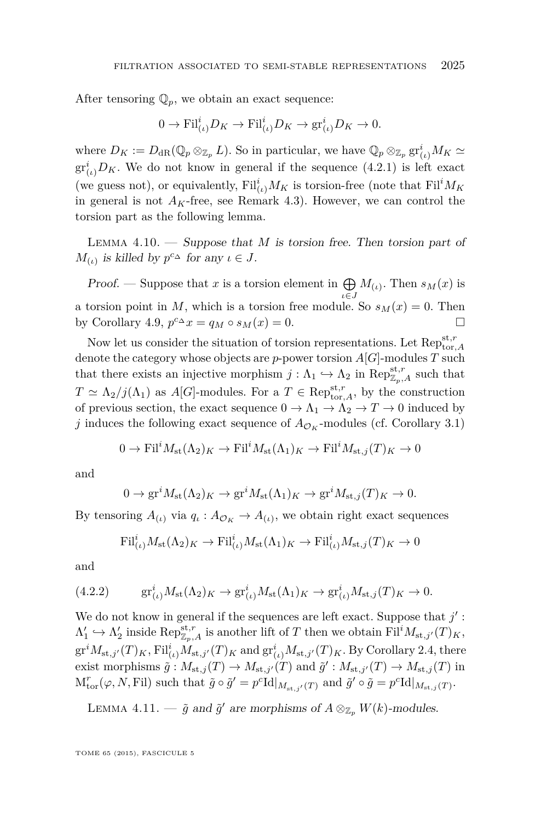<span id="page-27-0"></span>After tensoring  $\mathbb{Q}_p$ , we obtain an exact sequence:

$$
0 \to \operatorname{Fil}^i_{(\iota)} D_K \to \operatorname{Fil}^i_{(\iota)} D_K \to \operatorname{gr}^i_{(\iota)} D_K \to 0.
$$

where  $D_K := D_{\text{dR}}(\mathbb{Q}_p \otimes_{\mathbb{Z}_p} L)$ . So in particular, we have  $\mathbb{Q}_p \otimes_{\mathbb{Z}_p} \text{gr}_{(\iota)}^i M_K \simeq$  $gr_{(\iota)}^iD_K$ . We do not know in general if the sequence  $(4.2.1)$  is left exact (we guess not), or equivalently,  $\text{Fil}_{(\iota)}^i M_K$  is torsion-free (note that  $\text{Fil}^i M_K$ in general is not  $A_K$ -free, see Remark [4.3\)](#page-23-0). However, we can control the torsion part as the following lemma.

Lemma 4.10. — Suppose that *M* is torsion free. Then torsion part of *M*<sub>(*ι*)</sub> is killed by  $p^{c_{\Delta}}$  for any  $\iota \in J$ .

Proof. — Suppose that x is a torsion element in  $\bigoplus$  $\bigoplus_{\iota \in J} M_{(\iota)}$ . Then  $s_M(x)$  is a torsion point in *M*, which is a torsion free module. So  $s_M(x) = 0$ . Then by Corollary [4.9,](#page-26-0)  $p^{c_{\Delta}}x = q_M \circ s_M(x) = 0.$ 

Now let us consider the situation of torsion representations. Let  $\operatorname{Rep}_{\operatorname{tor},A}^{\operatorname{st},r}$ denote the category whose objects are *p*-power torsion *A*[*G*]-modules *T* such that there exists an injective morphism  $j : \Lambda_1 \hookrightarrow \Lambda_2$  in  $\text{Rep}_{\mathbb{Z}_p,A}^{\text{st},r}$  such that  $T \simeq \Lambda_2/j(\Lambda_1)$  as *A*[*G*]-modules. For a  $T \in \text{Rep}_{\text{tor},A}^{\text{st},r}$ , by the construction of previous section, the exact sequence  $0 \to \Lambda_1 \to \Lambda_2 \to T \to 0$  induced by *j* induces the following exact sequence of  $A_{\mathcal{O}_K}$ -modules (cf. Corollary [3.1\)](#page-18-0)

$$
0 \to \text{Fil}^i M_{\text{st}}(\Lambda_2)_K \to \text{Fil}^i M_{\text{st}}(\Lambda_1)_K \to \text{Fil}^i M_{\text{st},j}(T)_K \to 0
$$

and

$$
0 \to \text{gr}^i M_{\text{st}}(\Lambda_2)_K \to \text{gr}^i M_{\text{st}}(\Lambda_1)_K \to \text{gr}^i M_{\text{st},j}(T)_K \to 0.
$$

By tensoring  $A_{(\iota)}$  via  $q_{\iota}: A_{\mathcal{O}_K} \to A_{(\iota)}$ , we obtain right exact sequences

$$
\mathrm{Fil}^i_{(\iota)} M_{\mathrm{st}}(\Lambda_2)_K \to \mathrm{Fil}^i_{(\iota)} M_{\mathrm{st}}(\Lambda_1)_K \to \mathrm{Fil}^i_{(\iota)} M_{\mathrm{st},j}(T)_K \to 0
$$

and

(4.2.2) 
$$
\text{gr}_{(\iota)}^i M_{\text{st}}(\Lambda_2)_K \to \text{gr}_{(\iota)}^i M_{\text{st}}(\Lambda_1)_K \to \text{gr}_{(\iota)}^i M_{\text{st},j}(T)_K \to 0.
$$

We do not know in general if the sequences are left exact. Suppose that  $j'$ :  $\Lambda'_1 \hookrightarrow \Lambda'_2$  inside  $\text{Rep}_{\mathbb{Z}_p,A}^{\text{st},r}$  is another lift of *T* then we obtain  $\text{Fil}^i M_{\text{st},j'}(T)_K$ ,  $gr^iM_{st,j'}(T)_K$ ,  $Fil^i_{(\iota)}M_{st,j'}(T)_K$  and  $gr^i_{(\iota)}M_{st,j'}(T)_K$ . By Corollary [2.4,](#page-6-0) there exist morphisms  $\tilde{g}: M_{st,j}(T) \to M_{st,j'}(T)$  and  $\tilde{g}': M_{st,j'}(T) \to M_{st,j}(T)$  in  $M_{\text{tor}}^r(\varphi, N, \text{Fil})$  such that  $\tilde{g} \circ \tilde{g}' = p^c \text{Id}|_{M_{\text{st},j'}(T)}$  and  $\tilde{g}' \circ \tilde{g} = p^c \text{Id}|_{M_{\text{st},j}(T)}$ .

LEMMA 4.11. —  $\tilde{g}$  and  $\tilde{g}'$  are morphisms of  $A \otimes_{\mathbb{Z}_p} W(k)$ -modules.

TOME 65 (2015), FASCICULE 5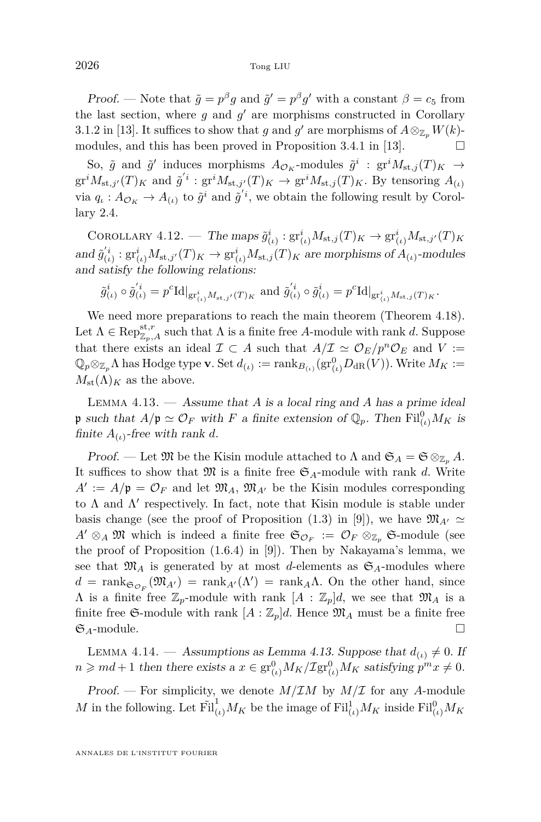<span id="page-28-0"></span>Proof. — Note that  $\tilde{g} = p^{\beta}g$  and  $\tilde{g}' = p^{\beta}g'$  with a constant  $\beta = c_5$  from the last section, where  $g$  and  $g'$  are morphisms constructed in Corollary 3.1.2 in [\[13\]](#page-37-0). It suffices to show that *g* and *g*' are morphisms of  $A \otimes_{\mathbb{Z}_p} W(k)$ -modules, and this has been proved in Proposition 3.4.1 in [\[13\]](#page-37-0).  $\Box$ 

So,  $\tilde{g}$  and  $\tilde{g}'$  induces morphisms  $A_{\mathcal{O}_K}$ -modules  $\tilde{g}^i$  :  $gr^iM_{st,j}(T)_K \rightarrow$  $\mathrm{gr}^i M_{\mathrm{st},j'}(T)_K$  and  $\tilde{g}'^i$  :  $\mathrm{gr}^i M_{\mathrm{st},j'}(T)_K \to \mathrm{gr}^i M_{\mathrm{st},j}(T)_K$ . By tensoring  $A_{(\iota)}$ via  $q_{\iota}: A_{\mathcal{O}_K} \to A_{(\iota)}$  to  $\tilde{g}^i$  and  $\tilde{g}^{'i}$ , we obtain the following result by Corollary [2.4.](#page-6-0)

COROLLARY  $4.12.$  — The maps  $\tilde{g}^i_{(\iota)} : \text{gr}^i_{(\iota)} M_{\text{st},j}(T)_K \to \text{gr}^i_{(\iota)} M_{\text{st},j'}(T)_K$  $\inf \tilde{g}_{(\iota)}^{'i}: \operatorname{gr}_{(\iota)}^{i}M_{\operatorname{st},j'}(T)_K \to \operatorname{gr}_{(\iota)}^{i}M_{\operatorname{st},j}(T)_K$  are morphisms of  $A_{(\iota)}$ -modules and satisfy the following relations:

$$
\tilde{g}_{(\iota)}^i \circ \tilde{g}_{(\iota)}^{'i} = p^c {\rm Id}|_{{\rm gr}^i_{(\iota)}M_{{\rm st},j'}(T)_K} \text{ and } \tilde{g}_{(\iota)}^{'i} \circ \tilde{g}_{(\iota)}^i = p^c {\rm Id}|_{{\rm gr}^i_{(\iota)}M_{{\rm st},j}(T)_K}.
$$

We need more preparations to reach the main theorem (Theorem [4.18\)](#page-31-0). Let  $\Lambda \in \operatorname{Rep}^{\operatorname{st},r}_{\mathbb{Z}_p,A}$  such that  $\Lambda$  is a finite free *A*-module with rank *d*. Suppose that there exists an ideal  $\mathcal{I} \subset A$  such that  $A/\mathcal{I} \simeq \mathcal{O}_E/p^n\mathcal{O}_E$  and  $V :=$  $\mathbb{Q}_p \otimes_{\mathbb{Z}_p} \Lambda$  has Hodge type **v**. Set  $d_{(\iota)} := \text{rank}_{B_{(\iota)}}(\text{gr}_{(\iota)}^0 D_{\text{dR}}(V))$ . Write  $M_K :=$  $M_{\text{st}}(\Lambda)_K$  as the above.

Lemma 4.13. — Assume that *A* is a local ring and *A* has a prime ideal p such that  $A/\mathfrak{p} \simeq \mathcal{O}_F$  with *F* a finite extension of  $\mathbb{Q}_p$ . Then  $\text{Fil}_{(\iota)}^0 M_K$  is finite  $A_{(\iota)}$ -free with rank *d*.

Proof. — Let  $\mathfrak{M}$  be the Kisin module attached to  $\Lambda$  and  $\mathfrak{S}_A = \mathfrak{S} \otimes_{\mathbb{Z}_p} A$ . It suffices to show that  $\mathfrak{M}$  is a finite free  $\mathfrak{S}_A$ -module with rank *d*. Write  $A' := A/\mathfrak{p} = \mathcal{O}_F$  and let  $\mathfrak{M}_A$ ,  $\mathfrak{M}_{A'}$  be the Kisin modules corresponding to  $\Lambda$  and  $\Lambda'$  respectively. In fact, note that Kisin module is stable under basis change (see the proof of Proposition  $(1.3)$  in [\[9\]](#page-37-0)), we have  $\mathfrak{M}_{A'} \simeq$  $A' \otimes_A \mathfrak{M}$  which is indeed a finite free  $\mathfrak{S}_{\mathcal{O}_F} := \mathcal{O}_F \otimes_{\mathbb{Z}_p} \mathfrak{S}\text{-module (see }$ the proof of Proposition (1.6.4) in [\[9\]](#page-37-0)). Then by Nakayama's lemma, we see that  $\mathfrak{M}_A$  is generated by at most *d*-elements as  $\mathfrak{S}_A$ -modules where  $d = \text{rank}_{\mathfrak{S}_{\mathcal{O}_F}}(\mathfrak{M}_{A}) = \text{rank}_{A}(\Lambda') = \text{rank}_{A}\Lambda$ . On the other hand, since  $\Lambda$  is a finite free  $\mathbb{Z}_p$ -module with rank  $[A : \mathbb{Z}_p]d$ , we see that  $\mathfrak{M}_A$  is a finite free  $\mathfrak{S}$ -module with rank  $[A:\mathbb{Z}_p]d$ . Hence  $\mathfrak{M}_A$  must be a finite free  $\mathfrak{S}_A$ -module.

LEMMA 4.14. — Assumptions as Lemma 4.13. Suppose that  $d_{(i)} \neq 0$ . If  $n \geqslant md+1$  then there exists a  $x \in \text{gr}_{(t)}^{0}M_K/\text{Zgr}_{(t)}^{0}M_K$  satisfying  $p^mx \neq 0$ .

Proof. — For simplicity, we denote  $M/IM$  by  $M/\mathcal{I}$  for any A-module *M* in the following. Let  $\tilde{\mathrm{Fil}}_{(\iota)}^1 M_K$  be the image of  $\mathrm{Fil}_{(\iota)}^1 M_K$  inside  $\mathrm{Fil}_{(\iota)}^0 M_K$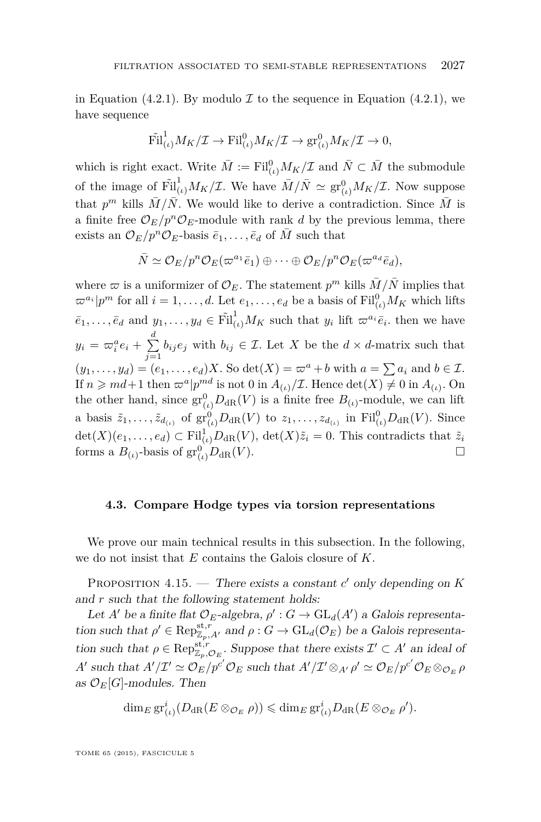<span id="page-29-0"></span>in Equation [\(4.2.1\)](#page-26-0). By modulo  $\mathcal I$  to the sequence in Equation (4.2.1), we have sequence

$$
\tilde{\mathrm{Fil}}_{(\iota)}^1 M_K/\mathcal{I} \to \mathrm{Fil}_{(\iota)}^0 M_K/\mathcal{I} \to \mathrm{gr}_{(\iota)}^0 M_K/\mathcal{I} \to 0,
$$

which is right exact. Write  $\bar{M} := \text{Fil}_{(\iota)}^0 M_K/\mathcal{I}$  and  $\bar{N} \subset \bar{M}$  the submodule of the image of  $\tilde{Fil}^1_{(\iota)}M_K/\mathcal{I}$ . We have  $\bar{M}/\bar{N} \simeq \text{gr}^0_{(\iota)}M_K/\mathcal{I}$ . Now suppose that  $p^m$  kills  $\overline{M}/\overline{N}$ . We would like to derive a contradiction. Since  $\overline{M}$  is a finite free  $\mathcal{O}_E/p^n\mathcal{O}_E$ -module with rank *d* by the previous lemma, there exists an  $\mathcal{O}_E/p^n\mathcal{O}_E$ -basis  $\bar{e}_1,\ldots,\bar{e}_d$  of  $\bar{M}$  such that

$$
\bar{N} \simeq \mathcal{O}_E/p^n \mathcal{O}_E(\varpi^{a_1} \bar{e}_1) \oplus \cdots \oplus \mathcal{O}_E/p^n \mathcal{O}_E(\varpi^{a_d} \bar{e}_d),
$$

where  $\varpi$  is a uniformizer of  $\mathcal{O}_E$ . The statement  $p^m$  kills  $\bar{M}/\bar{N}$  implies that  $\varpi^{a_i} | p^m$  for all  $i = 1, \ldots, d$ . Let  $e_1, \ldots, e_d$  be a basis of  $\mathrm{Fil}^0_{(\iota)} M_K$  which lifts  $\bar{e}_1, \ldots, \bar{e}_d$  and  $y_1, \ldots, y_d \in \tilde{Fil}^1_{(t)}M_K$  such that  $y_i$  lift  $\varpi^{a_i} \bar{e}_i$ , then we have  $y_i = \varpi_i^a e_i + \sum_{i=1}^d$  $\sum_{j=1}^{n} b_{ij} e_j$  with  $b_{ij} \in \mathcal{I}$ . Let *X* be the  $d \times d$ -matrix such that  $(y_1, \ldots, y_d) = (e_1, \ldots, e_d)X$ . So  $\det(X) = \varpi^a + b$  with  $a = \sum a_i$  and  $b \in \mathcal{I}$ . If  $n \geqslant md+1$  then  $\varpi^a | p^{md}$  is not 0 in  $A_{(\iota)}/\mathcal{I}$ . Hence  $\det(X) \neq 0$  in  $A_{(\iota)}$ . On the other hand, since  $\text{gr}_{(\iota)}^0 D_{\text{dR}}(V)$  is a finite free  $B_{(\iota)}$ -module, we can lift a basis  $\tilde{z}_1, \ldots, \tilde{z}_{d_{(\iota)}}$  of  $\operatorname{gr}_{(\iota)}^0 D_{\mathrm{dR}}(V)$  to  $z_1, \ldots, z_{d_{(\iota)}}$  in  $\operatorname{Fil}_{(\iota)}^0 D_{\mathrm{dR}}(V)$ . Since  $\det(X)(e_1, \ldots, e_d) \subset \mathrm{Fil}^1_{(\iota)}D_{\mathrm{dR}}(V)$ ,  $\det(X)\tilde{z}_i = 0$ . This contradicts that  $\tilde{z}_i$ forms a  $B_{(\iota)}$ -basis of  $gr_{(\iota)}^0 D_{dR}(V)$ .

#### **4.3. Compare Hodge types via torsion representations**

We prove our main technical results in this subsection. In the following, we do not insist that *E* contains the Galois closure of *K*.

PROPOSITION  $4.15$ . — There exists a constant *c'* only depending on *K* and *r* such that the following statement holds:

Let *A'* be a finite flat  $\mathcal{O}_E$ -algebra,  $\rho' : G \to \text{GL}_d(A')$  a Galois representation such that  $\rho' \in \operatorname{Rep}^{{\rm st},r}_{\mathbb{Z}_p,A'}$  and  $\rho: G \to \operatorname{GL}_d(\mathcal{O}_E)$  be a Galois representation such that  $\rho \in \operatorname{Rep}^{\operatorname{st},r}_{\mathbb{Z}_p,\mathcal{O}_E}$ . Suppose that there exists  $\mathcal{I}' \subset A'$  an ideal of *A*<sup>1</sup> such that  $A'/\mathcal{I}' \simeq \mathcal{O}_E/p^{c'}\mathcal{O}_E$  such that  $A'/\mathcal{I}' \otimes_{A'} \rho' \simeq \mathcal{O}_E/p^{c'}\mathcal{O}_E \otimes_{\mathcal{O}_E} \rho$ as  $\mathcal{O}_E[G]$ -modules. Then

$$
\dim_E \operatorname{gr}_{(\iota)}^i(D_{\operatorname{dR}}(E \otimes_{\mathcal{O}_E} \rho)) \leq \dim_E \operatorname{gr}_{(\iota)}^iD_{\operatorname{dR}}(E \otimes_{\mathcal{O}_E} \rho').
$$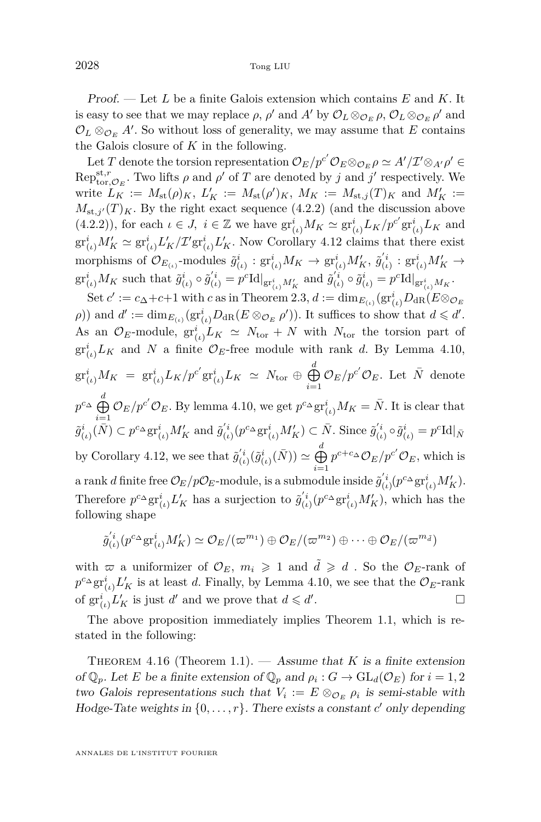Proof. — Let *L* be a finite Galois extension which contains *E* and *K*. It is easy to see that we may replace  $\rho$ ,  $\rho'$  and  $A'$  by  $\mathcal{O}_L \otimes_{\mathcal{O}_E} \rho$ ,  $\mathcal{O}_L \otimes_{\mathcal{O}_E} \rho'$  and  $\mathcal{O}_L \otimes_{\mathcal{O}_E} A'$ . So without loss of generality, we may assume that  $E$  contains the Galois closure of *K* in the following.

Let *T* denote the torsion representation  $\mathcal{O}_E/p^{c'}\mathcal{O}_E \otimes_{\mathcal{O}_E} \rho \simeq A'/\mathcal{I}' \otimes_{A'} \rho' \in$  $Rep_{\text{tor},\mathcal{O}_E}^{\text{st},r}$ . Two lifts  $\rho$  and  $\rho'$  of  $T$  are denoted by  $j$  and  $j'$  respectively. We write  $L_K := M_{\text{st}}(\rho)_K$ ,  $L'_K := M_{\text{st}}(\rho')_K$ ,  $M_K := M_{\text{st},j}(T)_K$  and  $M'_K :=$  $M_{st,j'}(T)_K$ . By the right exact sequence [\(4.2.2\)](#page-27-0) (and the discussion above [\(4.2.2\)](#page-27-0)), for each  $\iota \in J$ ,  $i \in \mathbb{Z}$  we have  $\operatorname{gr}_{(\iota)}^i M_K \simeq \operatorname{gr}_{(\iota)}^i L_K / p^{c'} \operatorname{gr}_{(\iota)}^i L_K$  and  $\mathrm{gr}^i_{(\iota)}M'_K \simeq \mathrm{gr}^i_{(\iota)}L'_K/\mathcal{I}'\mathrm{gr}^i_{(\iota)}L'_K.$  Now Corollary [4.12](#page-28-0) claims that there exist morphisms of  $\mathcal{O}_{E_{(\iota)}}$ -modules  $\tilde{g}^i_{(\iota)} : \operatorname{gr}^i_{(\iota)} M_K \to \operatorname{gr}^i_{(\iota)} M'_K$ ,  $\tilde{g}'^i_{(\iota)} : \operatorname{gr}^i_{(\iota)} M'_K \to$  $\mathrm{gr}^i_{(\iota)} M_K$  such that  $\tilde{g}^i_{(\iota)} \circ \tilde{g}'^i_{(\iota)} = p^c \mathrm{Id}|_{\mathrm{gr}^i_{(\iota)} M'_K}$  and  $\tilde{g}'^i_{(\iota)} \circ \tilde{g}^i_{(\iota)} = p^c \mathrm{Id}|_{\mathrm{gr}^i_{(\iota)} M_K}.$ 

 $\operatorname{Set} c' := c_{\Delta} + c + 1$  with *c* as in Theorem [2.3,](#page-6-0)  $d := \dim_{E_{(\iota)}}(\operatorname{gr}_{(\iota)}^i D_{\operatorname{dR}}(E \otimes_{\mathcal{O}_E} E))$ *ρ*)) and  $d' := \dim_{E_{(i)}}(\mathrm{gr}^i_{(i)}D_{\mathrm{dR}}(E \otimes_{\mathcal{O}_E} \rho'))$ . It suffices to show that  $d \leq d'$ . As an  $\mathcal{O}_E$ -module,  $\mathrm{gr}_{(\iota)}^i L_K \simeq N_{\text{tor}} + N$  with  $N_{\text{tor}}$  the torsion part of  $gr_{(\iota)}^i L_K$  and N a finite  $\mathcal{O}_E$ -free module with rank *d*. By Lemma [4.10,](#page-27-0)  $\mathrm{gr}^i_{(\iota)} M_K \;=\; \mathrm{gr}^i_{(\iota)} L_K / p^{c'} \mathrm{gr}^i_{(\iota)} L_K \;\simeq\; N_{\mathrm{tor}} \,\oplus\, \bigoplus^d_{{\mathbb C}}$  $\bigoplus_{i=1}^{\infty} \mathcal{O}_E / p^{c'} \mathcal{O}_E$ . Let  $\bar{N}$  denote  $p^{c\Delta} \bigoplus_{i=1}^{d} \mathcal{O}_E/p^{c'} \mathcal{O}_E$ . By lemma [4.10,](#page-27-0) we get  $p^{c\Delta} \text{gr}^i_{(\iota)} M_K = \bar{N}$ . It is clear that *i*=1  $\tilde{g}_{(\iota)}^{i}(\bar{N}) \subset p^{c_{\Delta}} \text{gr}_{(\iota)}^{i} M'_{K}$  and  $\tilde{g}_{(\iota)}^{'i} (p^{c_{\Delta}} \text{gr}_{(\iota)}^{i} M'_{K}) \subset \bar{N}$ . Since  $\tilde{g}_{(\iota)}^{'i} \circ \tilde{g}_{(\iota)}^{i} = p^{c} \text{Id}|_{\bar{N}}$ by Corollary [4.12,](#page-28-0) we see that  $\tilde{g}'^i_{(i)}(\tilde{g}^i_{(i)}(\bar{N})) \simeq \bigoplus^d$ *i*=1  $p^{c+c}$ ∆  $\mathcal{O}_E/p^{c'}$   $\mathcal{O}_E$ , which is  $\alpha$  rank *d* finite free  $\mathcal{O}_E/p\mathcal{O}_E$ -module, is a submodule inside  $\tilde{g}_{(\iota)}^{'i}(p^{c_\Delta} \text{gr}^i_{(\iota)} M'_K)$ . Therefore  $p^{c_{\Delta}}$ gr<sup>*i*</sup><sub>*i*</sub></sub>,  $L'_{K}$  has a surjection to  $\tilde{g}'^{i}_{(i)}(p^{c_{\Delta}}$ gr<sup>*i*</sup><sub>*i*</sub>,  $M'_{K}$ ), which has the following shape

$$
\tilde{g}_{(t)}^{'i}(p^{c_{\Delta}}\mathrm{gr}^{i}_{(t)}M'_{K})\simeq \mathcal{O}_{E}/(\varpi^{m_{1}})\oplus \mathcal{O}_{E}/(\varpi^{m_{2}})\oplus \cdots \oplus \mathcal{O}_{E}/(\varpi^{m_{\tilde{d}}})
$$

with  $\varpi$  a uniformizer of  $\mathcal{O}_E$ ,  $m_i \geq 1$  and  $\tilde{d} \geq d$ . So the  $\mathcal{O}_E$ -rank of  $p^{c\Delta}$ gr<sup>*i*</sup><sub>(*ι*</sub>)</sub>  $L'_{K}$  is at least *d*. Finally, by Lemma [4.10,](#page-27-0) we see that the  $\mathcal{O}_{E}$ -rank of  $\mathrm{gr}_{(\iota)}^i L'_K$  is just *d'* and we prove that  $d \leq d'$ . — Первый процесс в постановки программа в серверном становки производительно становки производите с производ<br>В серверном становки производительно становки производительно становки производительно становки производительн

The above proposition immediately implies Theorem [1.1,](#page-3-0) which is restated in the following:

THEOREM 4.16 (Theorem [1.1\)](#page-3-0).  $-$  Assume that *K* is a finite extension of  $\mathbb{Q}_p$ . Let *E* be a finite extension of  $\mathbb{Q}_p$  and  $\rho_i$ :  $G \to \text{GL}_d(\mathcal{O}_E)$  for  $i = 1, 2$ two Galois representations such that  $V_i := E \otimes_{\mathcal{O}_E} \rho_i$  is semi-stable with Hodge-Tate weights in  $\{0, \ldots, r\}$ . There exists a constant *c*' only depending

ANNALES DE L'INSTITUT FOURIER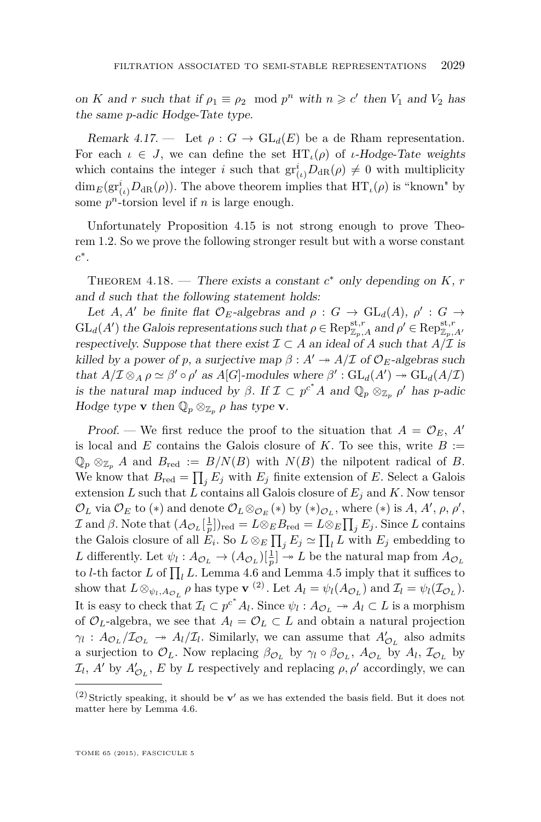<span id="page-31-0"></span>on *K* and *r* such that if  $\rho_1 \equiv \rho_2 \mod p^n$  with  $n \geq c'$  then  $V_1$  and  $V_2$  has the same *p*-adic Hodge-Tate type.

Remark 4.17. — Let  $\rho: G \to GL_d(E)$  be a de Rham representation. For each  $\iota \in J$ , we can define the set  $HT_{\iota}(\rho)$  of *ι*-Hodge-Tate weights which contains the integer *i* such that  $gr_{(\iota)}^i D_{dR}(\rho) \neq 0$  with multiplicity  $\dim_E(\mathrm{gr}^i_{(\iota)}D_{\mathrm{dR}}(\rho))$ . The above theorem implies that  $\mathrm{HT}_{\iota}(\rho)$  is "known" by some  $p^n$ -torsion level if  $n$  is large enough.

Unfortunately Proposition [4.15](#page-29-0) is not strong enough to prove Theorem [1.2.](#page-3-0) So we prove the following stronger result but with a worse constant *c* ∗ .

THEOREM 4.18. — There exists a constant  $c^*$  only depending on  $K$ ,  $r$ and *d* such that the following statement holds:

Let *A, A'* be finite flat  $\mathcal{O}_E$ -algebras and  $\rho : G \to \text{GL}_d(A)$ ,  $\rho' : G \to$  $GL_d(A')$  the Galois representations such that  $\rho \in \text{Rep}_{\mathbb{Z}_p,A}^{\text{st},r}$  and  $\rho' \in \text{Rep}_{\mathbb{Z}_p,A'}^{\text{st},r}$ respectively. Suppose that there exist  $\mathcal{I} \subset A$  an ideal of A such that  $A/\mathcal{I}$  is killed by a power of *p*, a surjective map  $\beta : A' \rightarrow A/\mathcal{I}$  of  $\mathcal{O}_E$ -algebras such that  $A/\mathcal{I} \otimes_A \rho \simeq \beta' \circ \rho'$  as  $A[G]$ -modules where  $\beta' : GL_d(A') \to GL_d(A/\mathcal{I})$ is the natural map induced by  $\beta$ . If  $\mathcal{I} \subset p^{c^*}A$  and  $\mathbb{Q}_p \otimes_{\mathbb{Z}_p} \rho'$  has *p*-adic Hodge type **v** then  $\mathbb{Q}_p \otimes_{\mathbb{Z}_p} \rho$  has type **v**.

Proof. — We first reduce the proof to the situation that  $A = \mathcal{O}_E$ , A' is local and *E* contains the Galois closure of *K*. To see this, write  $B :=$  $\mathbb{Q}_p \otimes_{\mathbb{Z}_p} A$  and  $B_{\text{red}} := B/N(B)$  with  $N(B)$  the nilpotent radical of *B*. We know that  $B_{\text{red}} = \prod_j E_j$  with  $E_j$  finite extension of *E*. Select a Galois extension *L* such that *L* contains all Galois closure of *E<sup>j</sup>* and *K*. Now tensor  $\mathcal{O}_L$  via  $\mathcal{O}_E$  to (\*) and denote  $\mathcal{O}_L \otimes_{\mathcal{O}_E} (*)$  by (\*) $_{\mathcal{O}_L}$ , where (\*) is *A*, *A'*,  $\rho$ ,  $\rho'$ ,  $\mathcal{I}$  and  $\beta$ . Note that  $(A_{\mathcal{O}_L}[\frac{1}{p}])_{\text{red}} = L \otimes_E B_{\text{red}} = L \otimes_E \prod_j E_j$ . Since *L* contains the Galois closure of all  $E_i$ . So  $L \otimes_E \prod_j E_j \simeq \prod_l L$  with  $E_j$  embedding to L differently. Let  $\psi_l: A_{\mathcal{O}_L} \to (A_{\mathcal{O}_L})[\frac{1}{p}] \to L$  be the natural map from  $A_{\mathcal{O}_L}$ to *l*-th factor *L* of  $\prod_l L$ . Lemma [4.6](#page-25-0) and Lemma [4.5](#page-24-0) imply that it suffices to show that  $L \otimes_{\psi_l, A_{\mathcal{O}_L}} \rho$  has type **v**<sup>(2)</sup>. Let  $A_l = \psi_l(A_{\mathcal{O}_L})$  and  $\mathcal{I}_l = \psi_l(\mathcal{I}_{\mathcal{O}_L})$ . It is easy to check that  $\mathcal{I}_l \subset p^{c^*} A_l$ . Since  $\psi_l : A_{\mathcal{O}_L} \to A_l \subset L$  is a morphism of  $\mathcal{O}_L$ -algebra, we see that  $A_l = \mathcal{O}_L \subset L$  and obtain a natural projection  $\gamma_l$  :  $A_{\mathcal{O}_L}/\mathcal{I}_{\mathcal{O}_L} \rightarrow A_l/\mathcal{I}_l$ . Similarly, we can assume that  $A'_{\mathcal{O}_L}$  also admits a surjection to  $\mathcal{O}_L$ . Now replacing  $\beta_{\mathcal{O}_L}$  by  $\gamma_l \circ \beta_{\mathcal{O}_L}$ ,  $A_{\mathcal{O}_L}$  by  $A_l$ ,  $\mathcal{I}_{\mathcal{O}_L}$  by  $\mathcal{I}_l$ , *A*<sup>*l*</sup> by *A*<sup>*l*</sup><sub>*O<sub><i>L*</sub></sub>, *E* by *L* respectively and replacing *ρ*, *ρ*<sup>*l*</sup> accordingly, we can</sub>

 $(2)$  Strictly speaking, it should be **v**' as we has extended the basis field. But it does not matter here by Lemma [4.6.](#page-25-0)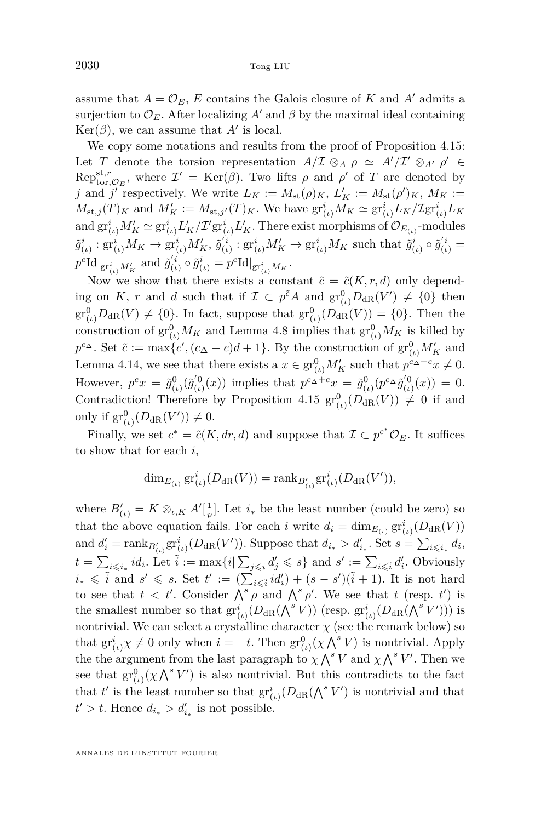assume that  $A = \mathcal{O}_E$ , E contains the Galois closure of K and A' admits a surjection to  $\mathcal{O}_E$ . After localizing A' and  $\beta$  by the maximal ideal containing  $\text{Ker}(\beta)$ , we can assume that  $A'$  is local.

We copy some notations and results from the proof of Proposition [4.15:](#page-29-0) Let *T* denote the torsion representation  $A/\mathcal{I} \otimes_A \rho \simeq A'/\mathcal{I}' \otimes_{A'} \rho' \in$  $Rep_{\text{tor},\mathcal{O}_E}^{\text{st},r}$ , where  $\mathcal{I}' = \text{Ker}(\beta)$ . Two lifts  $\rho$  and  $\rho'$  of  $T$  are denoted by *j* and *j'* respectively. We write  $L_K := M_{\text{st}}(\rho)_K$ ,  $L'_K := M_{\text{st}}(\rho')_K$ ,  $M_K :=$  $M_{\text{st},j}(T)_K$  and  $M'_K := M_{\text{st},j'}(T)_K$ . We have  $\text{gr}_{(\iota)}^i M_K \simeq \text{gr}_{(\iota)}^i L_K / \text{Zgr}_{(\iota)}^i L_K$  $\text{and } \text{gr}_{(\iota)}^i M'_K \simeq \text{gr}_{(\iota)}^i L'_K / \mathcal{I}' \text{gr}_{(\iota)}^i L'_K.$  There exist morphisms of  $\mathcal{O}_{E_{(\iota)}}$ -modules  $\tilde{g}_{(\iota)}^{i} : \operatorname{gr}_{(\iota)}^{i} M_K \to \operatorname{gr}_{(\iota)}^{i} M_K', \ \tilde{g}_{(\iota)}^{'i} : \operatorname{gr}_{(\iota)}^{i} M_K' \to \operatorname{gr}_{(\iota)}^{i} M_K \text{ such that } \tilde{g}_{(\iota)}^{i} \circ \tilde{g}_{(\iota)}^{'i} =$  $p^{c} \text{Id}\vert_{\text{gr}^{i}_{(t)}M'_{K}}$  and  $\tilde{g}^{i}_{(t)} \circ \tilde{g}^{i}_{(t)} = p^{c} \text{Id}\vert_{\text{gr}^{i}_{(t)}M_{K}}$ .

Now we show that there exists a constant  $\tilde{c} = \tilde{c}(K, r, d)$  only depending on *K*, *r* and *d* such that if  $\mathcal{I} \subset p^{\tilde{c}}A$  and  $\text{gr}_{(\iota)}^0D_{\text{dR}}(V') \neq \{0\}$  then  $gr^0_{(\iota)}D_{\mathrm{dR}}(V) \neq \{0\}$ . In fact, suppose that  $gr^0_{(\iota)}(D_{\mathrm{dR}}(V)) = \{0\}$ . Then the construction of  $gr_{(\iota)}^0 M_K$  and Lemma [4.8](#page-26-0) implies that  $gr_{(\iota)}^0 M_K$  is killed by  $p^{c\Delta}$ . Set  $\tilde{c} := \max\{c', (c_{\Delta} + c)d + 1\}$ . By the construction of  $\text{gr}_{(\iota)}^0 M'_K$  and Lemma [4.14,](#page-28-0) we see that there exists a  $x \in \text{gr}_{(\iota)}^0 M'_K$  such that  $p^{c_{\Delta}+c}x \neq 0$ . However,  $p^c x = \tilde{g}^0_{(\iota)}(\tilde{g}'^0_{(\iota)})$  implies that  $p^{c_{\Delta}+c}x = \tilde{g}^0_{(\iota)}(p^{c_{\Delta}}\tilde{g}'^0_{(\iota)}(x)) = 0$ . Contradiction! Therefore by Proposition [4.15](#page-29-0)  $\text{gr}^0_{(\iota)}(D_{\text{dR}}(V)) \neq 0$  if and only if  $gr_{(\iota)}^0(D_{\text{dR}}(V')) \neq 0$ *.* 

Finally, we set  $c^* = \tilde{c}(K, dr, d)$  and suppose that  $\mathcal{I} \subset p^{c^*} \mathcal{O}_E$ . It suffices to show that for each *i*,

$$
\dim_{E_{(\iota)}}\mathrm{gr}^i_{(\iota)}(D_{\mathrm{dR}}(V)) = \mathrm{rank}_{B'_{(\iota)}}\mathrm{gr}^i_{(\iota)}(D_{\mathrm{dR}}(V')),
$$

where  $B'_{(\iota)} = K \otimes_{\iota,K} A'[\frac{1}{p}]$ . Let  $i_*$  be the least number (could be zero) so that the above equation fails. For each *i* write  $d_i = \dim_{E_{(\iota)}} \operatorname{gr}^i_{(\iota)}(D_{\text{dR}}(V))$  $\text{and } d'_i = \text{rank}_{B'_{(i)}} \text{gr}^i_{(i)}(D_{\text{dR}}(V'))$ . Suppose that  $d_{i_*} > d'_{i_*}$ . Set  $s = \sum_{i \leq i_*} d_i$ ,  $t = \sum_{i \leqslant i_*} id_i$ . Let  $\tilde{i} := \max\{i | \sum_{j \leqslant i} d'_j \leqslant s\}$  and  $s' := \sum_{i \leqslant \tilde{i}} d'_i$ . Obviously  $i_* \leq \tilde{i}$  and  $s' \leq s$ . Set  $t' := (\sum_{i \leq \tilde{i}} id'_i) + (s - s')(\tilde{i} + 1)$ . It is not hard to see that  $t < t'$ . Consider  $\bigwedge^s \rho$  and  $\bigwedge^s \rho'$ . We see that *t* (resp. *t'*) is the smallest number so that  $\mathrm{gr}^i_{(\iota)}(D_{\text{dR}}(\bigwedge^s V))$  (resp.  $\mathrm{gr}^i_{(\iota)}(D_{\text{dR}}(\bigwedge^s V'))$ ) is nontrivial. We can select a crystalline character  $\chi$  (see the remark below) so that  $\mathrm{gr}^i_{(\iota)}\chi \neq 0$  only when  $i = -t$ . Then  $\mathrm{gr}^0_{(\iota)}(\chi \bigwedge^s V)$  is nontrivial. Apply the the argument from the last paragraph to  $\chi \wedge^s V$  and  $\chi \wedge^s V'$ . Then we see that  $gr^0_{(l)}(\chi \bigwedge^s V')$  is also nontrivial. But this contradicts to the fact that  $t'$  is the least number so that  $\mathrm{gr}^i_{(\iota)}(D_{\mathrm{dR}}(\bigwedge^s V')$  is nontrivial and that  $t' > t$ . Hence  $d_{i_*} > d'_{i_*}$  is not possible.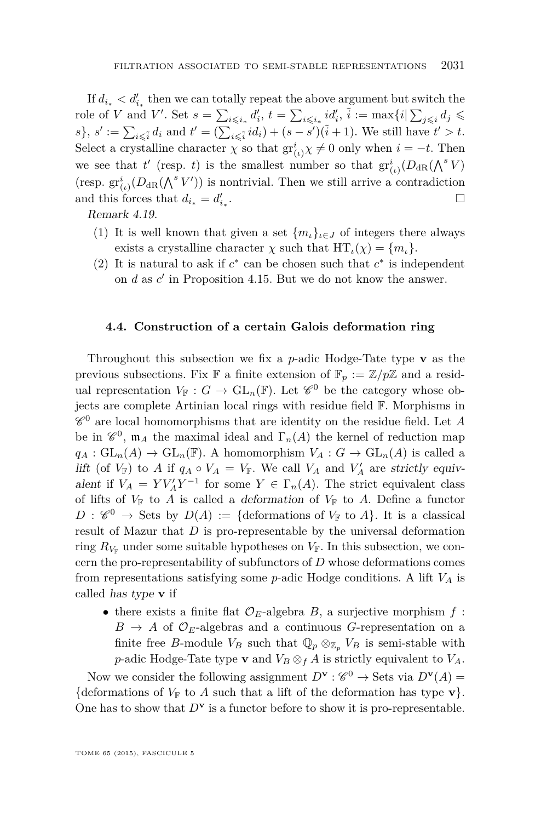If  $d_{i_*} < d'_{i_*}$  then we can totally repeat the above argument but switch the role of *V* and *V'*. Set  $s = \sum_{i \leq i_*} d'_i$ ,  $t = \sum_{i \leq i_*} id'_i$ ,  $\tilde{i} := \max\{i | \sum_{j \leq i} d_j \leq \tilde{i} \}$  $s$ ,  $s' := \sum_{i \leq \tilde{i}} d_i$  and  $t' = (\sum_{i \leq \tilde{i}} id_i) + (s - s')(\tilde{i} + 1)$ . We still have  $t' > t$ . Select a crystalline character  $\chi$  so that  $\mathrm{gr}^i_{(\iota)}\chi \neq 0$  only when  $i = -t$ . Then we see that *t'* (resp. *t*) is the smallest number so that  $gr^i_{(t)}(D_{dR}(\bigwedge^s V))$ (resp.  $gr_{(\iota)}^i(D_{dR}(\bigwedge^s V'))$  is nontrivial. Then we still arrive a contradiction and this forces that  $d_{i_*} = d'_{i_*}$ . В последните поставите на примерение и производите на селото на селото на селото на селото на селото на село<br>Селото на селото на селото на селото на селото на селото на селото на селото на селото на селото на селото на

Remark 4.19.

- (1) It is well known that given a set  ${m<sub>i</sub>}_{i\in J}$  of integers there always exists a crystalline character  $\chi$  such that  $HT_{\iota}(\chi) = \{m_{\iota}\}.$
- (2) It is natural to ask if  $c^*$  can be chosen such that  $c^*$  is independent on  $d$  as  $c'$  in Proposition [4.15.](#page-29-0) But we do not know the answer.

#### **4.4. Construction of a certain Galois deformation ring**

Throughout this subsection we fix a *p*-adic Hodge-Tate type **v** as the previous subsections. Fix **F** a finite extension of  $\mathbb{F}_p := \mathbb{Z}/p\mathbb{Z}$  and a residual representation  $V_{\mathbb{F}} : G \to \mathrm{GL}_n(\mathbb{F})$ . Let  $\mathscr{C}^0$  be the category whose objects are complete Artinian local rings with residue field F. Morphisms in  $\mathscr{C}^0$  are local homomorphisms that are identity on the residue field. Let A be in  $\mathscr{C}^0$ ,  $\mathfrak{m}_A$  the maximal ideal and  $\Gamma_n(A)$  the kernel of reduction map  $q_A: GL_n(A) \to GL_n(\mathbb{F})$ . A homomorphism  $V_A: G \to GL_n(A)$  is called a lift (of  $V_{\mathbb{F}}$ ) to *A* if  $q_A \circ V_A = V_{\mathbb{F}}$ . We call  $V_A$  and  $V'_A$  are strictly equivalent if  $V_A = Y V_A' Y^{-1}$  for some  $Y \in \Gamma_n(A)$ . The strict equivalent class of lifts of  $V_{\mathbb{F}}$  to *A* is called a deformation of  $V_{\mathbb{F}}$  to *A*. Define a functor  $D: \mathscr{C}^0 \to$  Sets by  $D(A) := \{ \text{deformations of } V_{\mathbb{F}} \text{ to } A \}.$  It is a classical result of Mazur that *D* is pro-representable by the universal deformation ring  $R_{V_F}$  under some suitable hypotheses on  $V_F$ . In this subsection, we concern the pro-representability of subfunctors of *D* whose deformations comes from representations satisfying some *p*-adic Hodge conditions. A lift *V<sup>A</sup>* is called has type **v** if

• there exists a finite flat  $\mathcal{O}_E$ -algebra *B*, a surjective morphism  $f$ :  $B \to A$  of  $\mathcal{O}_E$ -algebras and a continuous *G*-representation on a finite free *B*-module  $V_B$  such that  $\mathbb{Q}_p \otimes_{\mathbb{Z}_p} V_B$  is semi-stable with *p*-adic Hodge-Tate type **v** and  $V_B \otimes_f A$  is strictly equivalent to  $V_A$ .

Now we consider the following assignment  $D^{\mathbf{v}} : \mathscr{C}^0 \to \text{Sets}$  via  $D^{\mathbf{v}}(A) =$ {deformations of  $V_F$  to *A* such that a lift of the deformation has type **v**}. One has to show that  $D^{\mathbf{v}}$  is a functor before to show it is pro-representable.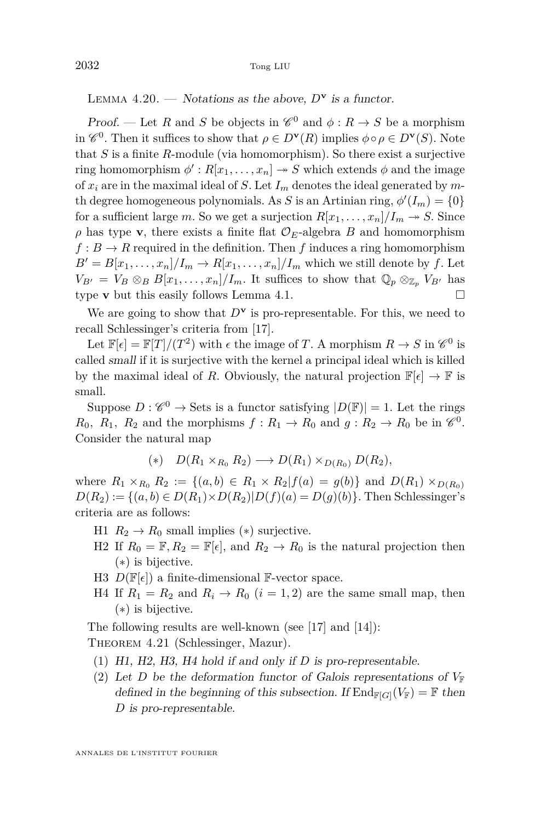LEMMA  $4.20.$  — Notations as the above,  $D^{\mathbf{v}}$  is a functor.

Proof. — Let *R* and *S* be objects in  $\mathcal{C}^0$  and  $\phi : R \to S$  be a morphism in  $\mathscr{C}^0$ . Then it suffices to show that  $\rho \in D^{\mathbf{v}}(R)$  implies  $\phi \circ \rho \in D^{\mathbf{v}}(S)$ . Note that *S* is a finite *R*-module (via homomorphism). So there exist a surjective ring homomorphism  $\phi': R[x_1, \ldots, x_n] \to S$  which extends  $\phi$  and the image of  $x_i$  are in the maximal ideal of *S*. Let  $I_m$  denotes the ideal generated by mth degree homogeneous polynomials. As *S* is an Artinian ring,  $\phi'(I_m) = \{0\}$ for a sufficient large *m*. So we get a surjection  $R[x_1, \ldots, x_n]/I_m \rightarrow S$ . Since  $\rho$  has type **v**, there exists a finite flat  $\mathcal{O}_E$ -algebra *B* and homomorphism  $f : B \to R$  required in the definition. Then f induces a ring homomorphism  $B' = B[x_1, \ldots, x_n]/I_m \rightarrow R[x_1, \ldots, x_n]/I_m$  which we still denote by *f*. Let  $V_{B'} = V_B \otimes_B B[x_1, \ldots, x_n]/I_m$ . It suffices to show that  $\mathbb{Q}_p \otimes_{\mathbb{Z}_p} V_{B'}$  has type **v** but this easily follows Lemma [4.1.](#page-22-0)

We are going to show that  $D^{\mathbf{v}}$  is pro-representable. For this, we need to recall Schlessinger's criteria from [\[17\]](#page-37-0).

Let  $\mathbb{F}[\epsilon] = \mathbb{F}[T]/(T^2)$  with  $\epsilon$  the image of *T*. A morphism  $R \to S$  in  $\mathscr{C}^0$  is called small if it is surjective with the kernel a principal ideal which is killed by the maximal ideal of *R*. Obviously, the natural projection  $\mathbb{F}[\epsilon] \to \mathbb{F}$  is small.

Suppose  $D: \mathscr{C}^0 \to \operatorname{Sets}$  is a functor satisfying  $|D(\mathbb{F})| = 1$ . Let the rings *R*<sub>0</sub>, *R*<sub>1</sub>, *R*<sub>2</sub> and the morphisms  $f: R_1 \to R_0$  and  $g: R_2 \to R_0$  be in  $\mathcal{C}^0$ . Consider the natural map

$$
(*)\quad D(R_1\times_{R_0}R_2)\longrightarrow D(R_1)\times_{D(R_0)}D(R_2),
$$

where  $R_1 \times_{R_0} R_2 := \{(a, b) \in R_1 \times R_2 | f(a) = g(b)\}\$  and  $D(R_1) \times_{D(R_0)}$  $D(R_2) := \{(a, b) \in D(R_1) \times D(R_2) | D(f)(a) = D(g)(b)\}.$  Then Schlessinger's criteria are as follows:

- H1  $R_2 \rightarrow R_0$  small implies (\*) surjective.
- H2 If  $R_0 = \mathbb{F}, R_2 = \mathbb{F}[\epsilon]$ , and  $R_2 \to R_0$  is the natural projection then (∗) is bijective.
- H3  $D(\mathbb{F}[\epsilon])$  a finite-dimensional F-vector space.
- H4 If  $R_1 = R_2$  and  $R_i \rightarrow R_0$  ( $i = 1, 2$ ) are the same small map, then (∗) is bijective.

The following results are well-known (see [\[17\]](#page-37-0) and [\[14\]](#page-37-0)):

THEOREM 4.21 (Schlessinger, Mazur).

- (1) H1, H2, H3, H4 hold if and only if *D* is pro-representable.
- (2) Let *D* be the deformation functor of Galois representations of  $V_F$ defined in the beginning of this subsection. If  $\text{End}_{\mathbb{F}[G]}(V_{\mathbb{F}}) = \mathbb{F}$  then *D* is pro-representable.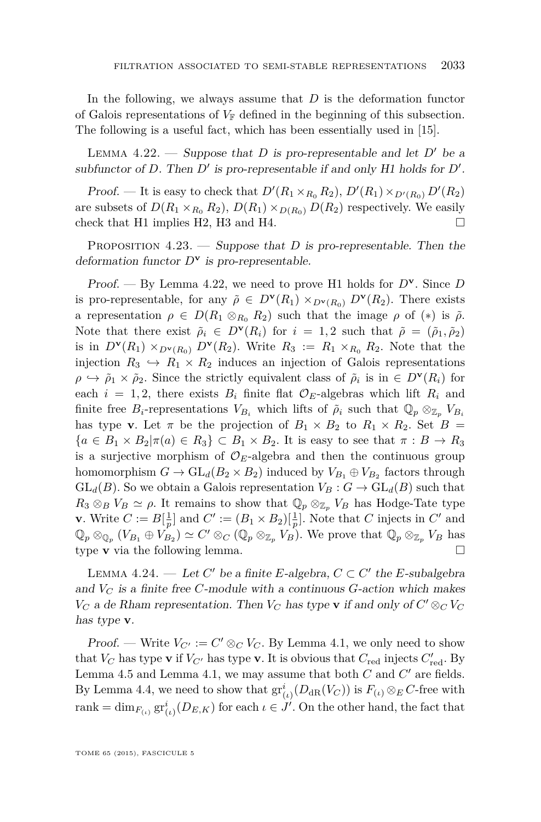In the following, we always assume that *D* is the deformation functor of Galois representations of  $V_F$  defined in the beginning of this subsection. The following is a useful fact, which has been essentially used in [\[15\]](#page-37-0).

LEMMA 4.22. — Suppose that *D* is pro-representable and let *D'* be a subfunctor of  $D$ . Then  $D'$  is pro-representable if and only  $H1$  holds for  $D'$ .

*Proof.* — It is easy to check that  $D'(R_1 \times_{R_0} R_2)$ ,  $D'(R_1) \times_{D'(R_0)} D'(R_2)$ are subsets of  $D(R_1 \times_{R_0} R_2)$ ,  $D(R_1) \times_{D(R_0)} D(R_2)$  respectively. We easily check that H1 implies H2, H3 and H4.  $\square$ 

PROPOSITION 4.23. — Suppose that *D* is pro-representable. Then the deformation functor *D***<sup>v</sup>** is pro-representable.

Proof. — By Lemma 4.22, we need to prove H1 holds for *D***<sup>v</sup>** *.* Since *D* is pro-representable, for any  $\tilde{\rho} \in D^{\mathbf{v}}(R_1) \times_{D^{\mathbf{v}}(R_0)} D^{\mathbf{v}}(R_2)$ . There exists a representation  $\rho \in D(R_1 \otimes_{R_0} R_2)$  such that the image  $\rho$  of  $(*)$  is  $\tilde{\rho}$ . Note that there exist  $\tilde{\rho}_i \in D^{\mathbf{v}}(R_i)$  for  $i = 1, 2$  such that  $\tilde{\rho} = (\tilde{\rho}_1, \tilde{\rho}_2)$ is in  $D^{\mathbf{v}}(R_1) \times_{D^{\mathbf{v}}(R_0)} D^{\mathbf{v}}(R_2)$ . Write  $R_3 := R_1 \times_{R_0} R_2$ . Note that the injection  $R_3 \hookrightarrow R_1 \times R_2$  induces an injection of Galois representations  $\rho \hookrightarrow \tilde{\rho}_1 \times \tilde{\rho}_2$ . Since the strictly equivalent class of  $\tilde{\rho}_i$  is in  $\in D^{\mathbf{v}}(R_i)$  for each  $i = 1, 2$ , there exists  $B_i$  finite flat  $\mathcal{O}_E$ -algebras which lift  $R_i$  and finite free  $B_i$ -representations  $V_{B_i}$  which lifts of  $\tilde{\rho}_i$  such that  $\mathbb{Q}_p \otimes_{\mathbb{Z}_p} V_{B_i}$ has type **v**. Let  $\pi$  be the projection of  $B_1 \times B_2$  to  $R_1 \times R_2$ . Set  $B =$  ${a \in B_1 \times B_2 | \pi(a) \in R_3} \subset B_1 \times B_2$ . It is easy to see that  $\pi : B \to R_3$ is a surjective morphism of  $\mathcal{O}_E$ -algebra and then the continuous group homomorphism  $G \to GL_d(B_2 \times B_2)$  induced by  $V_{B_1} \oplus V_{B_2}$  factors through  $GL_d(B)$ . So we obtain a Galois representation  $V_B: G \to GL_d(B)$  such that  $R_3 \otimes_B V_B \simeq \rho$ . It remains to show that  $\mathbb{Q}_p \otimes_{\mathbb{Z}_p} V_B$  has Hodge-Tate type **v**. Write  $C := B[\frac{1}{p}]$  and  $C' := (B_1 \times B_2)[\frac{1}{p}]$ . Note that *C* injects in *C'* and  $\mathbb{Q}_p \otimes_{\mathbb{Q}_p} (V_{B_1} \oplus V_{B_2}) \simeq C' \otimes_C (\mathbb{Q}_p \otimes_{\mathbb{Z}_p} V_B)$ . We prove that  $\mathbb{Q}_p \otimes_{\mathbb{Z}_p} V_B$  has type **v** via the following lemma.

LEMMA 4.24. — Let  $C'$  be a finite *E*-algebra,  $C \subset C'$  the *E*-subalgebra and  $V_C$  is a finite free *C*-module with a continuous *G*-action which makes *V<sub>C</sub>* a de Rham representation. Then *V<sub>C</sub>* has type **v** if and only of  $C' \otimes_C V_C$ has type **v**.

Proof. — Write  $V_{C'} := C' \otimes_C V_C$ . By Lemma [4.1,](#page-22-0) we only need to show that  $V_C$  has type **v** if  $V_{C'}$  has type **v**. It is obvious that  $C_{\text{red}}$  injects  $C'_{\text{red}}$ . By Lemma [4.5](#page-24-0) and Lemma [4.1,](#page-22-0) we may assume that both  $C$  and  $C'$  are fields. By Lemma [4.4,](#page-24-0) we need to show that  $\mathrm{gr}^i_{(\iota)}(D_{\mathrm{dR}}(V_C))$  is  $F_{(\iota)} \otimes_E C$ -free with  $\text{rank} = \dim_{F_{(\iota)}} \text{gr}^i_{(\iota)}(D_{E,K})$  for each  $\iota \in J'$ . On the other hand, the fact that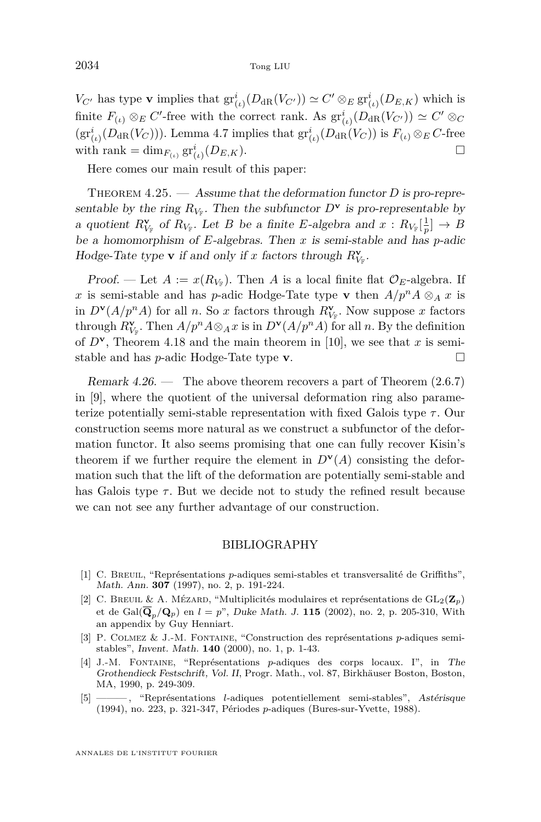<span id="page-36-0"></span> $V_{C'}$  has type **v** implies that  $gr_{(i)}^i(D_{dR}(V_{C'})) \simeq C' \otimes_E gr_{(i)}^i(D_{E,K})$  which is finite  $F_{(\iota)} \otimes_E C'$ -free with the correct rank. As  $gr^i_{(\iota)}(D_{\text{dR}}(V_{C'})) \simeq C' \otimes_C$  $(\text{gr}_{(\iota)}^i(D_{\text{dR}}(V_C)))$ . Lemma [4.7](#page-25-0) implies that  $\text{gr}_{(\iota)}^i(D_{\text{dR}}(V_C))$  is  $F_{(\iota)} \otimes_E C$ -free with rank = dim<sub>*F*(*ι*)</sub>  $\operatorname{gr}^i_{(t)}(D_{E,K})$ .

Here comes our main result of this paper:

THEOREM 4.25. — Assume that the deformation functor *D* is pro-representable by the ring  $R_{V_F}$ . Then the subfunctor  $D^{\mathbf{v}}$  is pro-representable by a quotient  $R_{V_{\mathbb{F}}}^{\mathbf{v}}$  of  $R_{V_{\mathbb{F}}}$ . Let *B* be a finite *E*-algebra and  $x: R_{V_{\mathbb{F}}}[\frac{1}{p}] \to B$ be a homomorphism of *E*-algebras. Then *x* is semi-stable and has *p*-adic Hodge-Tate type **v** if and only if *x* factors through  $R_{V_{\mathbb{F}}}^{\mathbf{v}}$ .

Proof. — Let  $A := x(R_{V_F})$ . Then  $A$  is a local finite flat  $\mathcal{O}_E$ -algebra. If *x* is semi-stable and has *p*-adic Hodge-Tate type **v** then  $A/p^n A \otimes_A x$  is in  $D^{\mathbf{v}}(A/p^n A)$  for all *n*. So *x* factors through  $R^{\mathbf{v}}_{V_F}$ . Now suppose *x* factors through  $R_{V_F}^{\mathbf{v}}$ . Then  $A/p^n A \otimes_A x$  is in  $D^{\mathbf{v}}(A/p^n A)$  for all *n*. By the definition of  $D^{\mathbf{v}}$ , Theorem [4.18](#page-31-0) and the main theorem in [\[10\]](#page-37-0), we see that *x* is semistable and has *p*-adic Hodge-Tate type **v**.

Remark  $4.26.$  — The above theorem recovers a part of Theorem  $(2.6.7)$ in [\[9\]](#page-37-0), where the quotient of the universal deformation ring also parameterize potentially semi-stable representation with fixed Galois type  $\tau$ . Our construction seems more natural as we construct a subfunctor of the deformation functor. It also seems promising that one can fully recover Kisin's theorem if we further require the element in  $D^{\mathbf{v}}(A)$  consisting the deformation such that the lift of the deformation are potentially semi-stable and has Galois type  $\tau$ . But we decide not to study the refined result because we can not see any further advantage of our construction.

#### BIBLIOGRAPHY

- [1] C. Breuil, "Représentations *p*-adiques semi-stables et transversalité de Griffiths", Math. Ann. **307** (1997), no. 2, p. 191-224.
- $[2]$  C. BREUIL & A. MÉZARD, "Multiplicités modulaires et représentations de  $\mathrm{GL}_2(\mathbf{Z}_p)$ et de Gal $(\overline{\mathbf{Q}}_p/\mathbf{Q}_p)$  en  $l = p^{\nu}$ , Duke Math. J. 115 (2002), no. 2, p. 205-310, With an appendix by Guy Henniart.
- [3] P. Colmez & J.-M. Fontaine, "Construction des représentations *p*-adiques semistables", Invent. Math. **140** (2000), no. 1, p. 1-43.
- [4] J.-M. Fontaine, "Représentations *p*-adiques des corps locaux. I", in The Grothendieck Festschrift, Vol. II, Progr. Math., vol. 87, Birkhäuser Boston, Boston, MA, 1990, p. 249-309.
- [5] ——— , "Représentations *l*-adiques potentiellement semi-stables", Astérisque (1994), no. 223, p. 321-347, Périodes *p*-adiques (Bures-sur-Yvette, 1988).